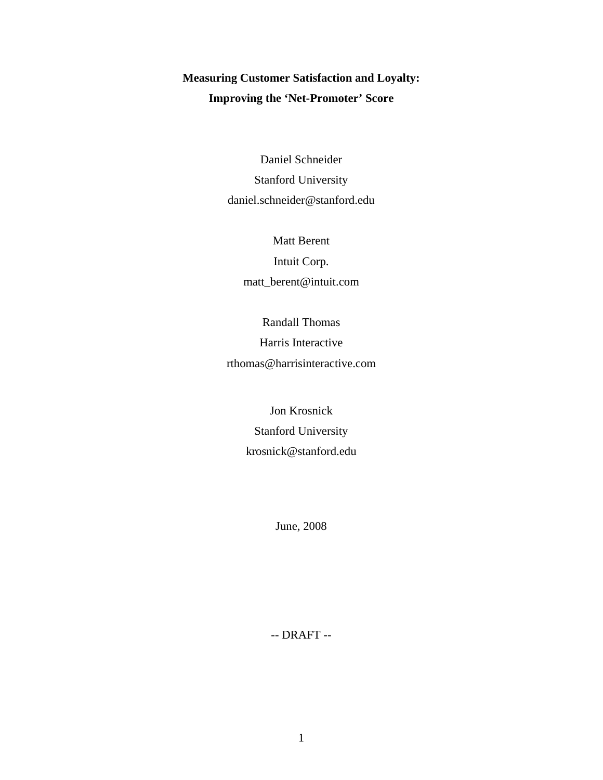# **Measuring Customer Satisfaction and Loyalty: Improving the 'Net-Promoter' Score**

Daniel Schneider Stanford University daniel.schneider@stanford.edu

> Matt Berent Intuit Corp. matt\_berent@intuit.com

Randall Thomas Harris Interactive rthomas@harrisinteractive.com

> Jon Krosnick Stanford University krosnick@stanford.edu

> > June, 2008

-- DRAFT --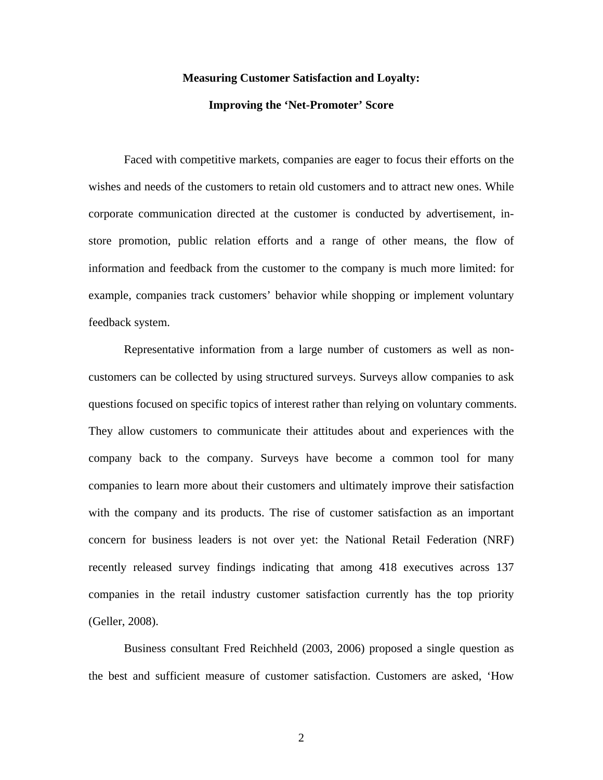# **Measuring Customer Satisfaction and Loyalty:**

## **Improving the 'Net-Promoter' Score**

Faced with competitive markets, companies are eager to focus their efforts on the wishes and needs of the customers to retain old customers and to attract new ones. While corporate communication directed at the customer is conducted by advertisement, instore promotion, public relation efforts and a range of other means, the flow of information and feedback from the customer to the company is much more limited: for example, companies track customers' behavior while shopping or implement voluntary feedback system.

Representative information from a large number of customers as well as noncustomers can be collected by using structured surveys. Surveys allow companies to ask questions focused on specific topics of interest rather than relying on voluntary comments. They allow customers to communicate their attitudes about and experiences with the company back to the company. Surveys have become a common tool for many companies to learn more about their customers and ultimately improve their satisfaction with the company and its products. The rise of customer satisfaction as an important concern for business leaders is not over yet: the National Retail Federation (NRF) recently released survey findings indicating that among 418 executives across 137 companies in the retail industry customer satisfaction currently has the top priority (Geller, 2008).

Business consultant Fred Reichheld (2003, 2006) proposed a single question as the best and sufficient measure of customer satisfaction. Customers are asked, 'How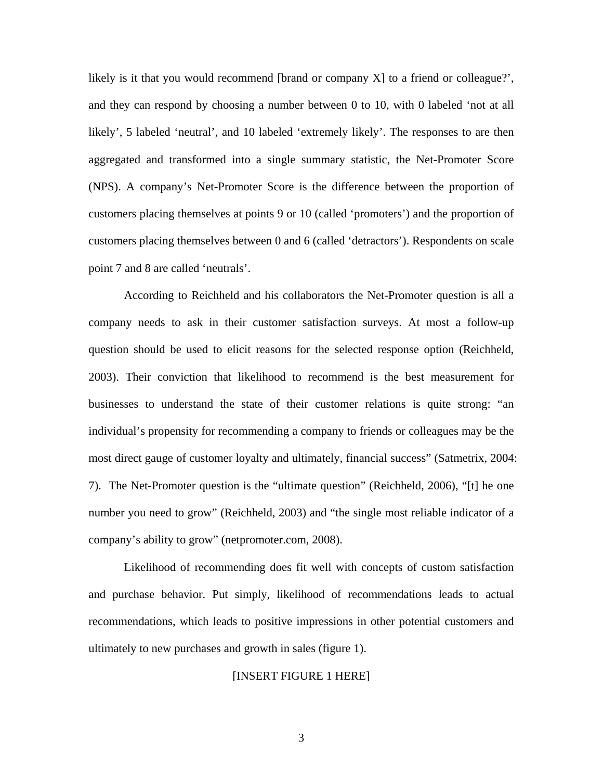likely is it that you would recommend [brand or company X] to a friend or colleague?', and they can respond by choosing a number between 0 to 10, with 0 labeled 'not at all likely', 5 labeled 'neutral', and 10 labeled 'extremely likely'. The responses to are then aggregated and transformed into a single summary statistic, the Net-Promoter Score (NPS). A company's Net-Promoter Score is the difference between the proportion of customers placing themselves at points 9 or 10 (called 'promoters') and the proportion of customers placing themselves between 0 and 6 (called 'detractors'). Respondents on scale point 7 and 8 are called 'neutrals'.

According to Reichheld and his collaborators the Net-Promoter question is all a company needs to ask in their customer satisfaction surveys. At most a follow-up question should be used to elicit reasons for the selected response option (Reichheld, 2003). Their conviction that likelihood to recommend is the best measurement for businesses to understand the state of their customer relations is quite strong: "an individual's propensity for recommending a company to friends or colleagues may be the most direct gauge of customer loyalty and ultimately, financial success" (Satmetrix, 2004: 7). The Net-Promoter question is the "ultimate question" (Reichheld, 2006), "[t] he one number you need to grow" (Reichheld, 2003) and "the single most reliable indicator of a company's ability to grow" (netpromoter.com, 2008).

Likelihood of recommending does fit well with concepts of custom satisfaction and purchase behavior. Put simply, likelihood of recommendations leads to actual recommendations, which leads to positive impressions in other potential customers and ultimately to new purchases and growth in sales (figure 1).

# [INSERT FIGURE 1 HERE]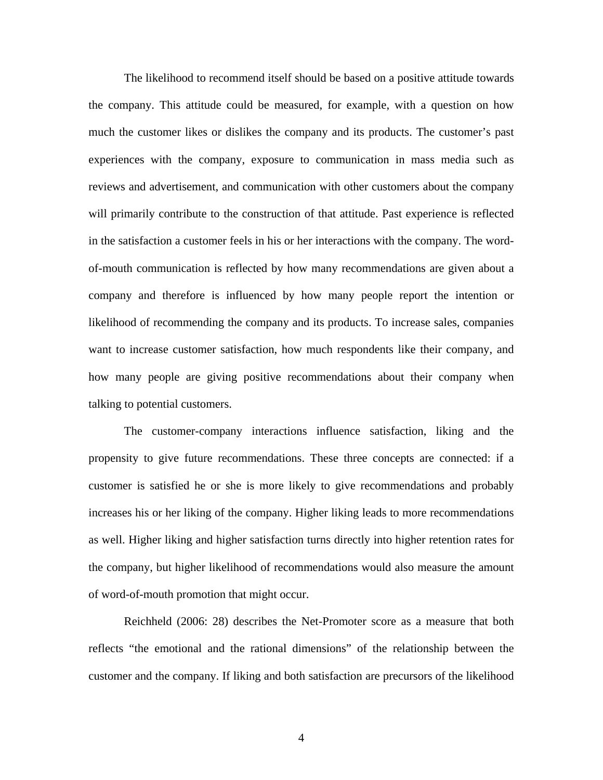The likelihood to recommend itself should be based on a positive attitude towards the company. This attitude could be measured, for example, with a question on how much the customer likes or dislikes the company and its products. The customer's past experiences with the company, exposure to communication in mass media such as reviews and advertisement, and communication with other customers about the company will primarily contribute to the construction of that attitude. Past experience is reflected in the satisfaction a customer feels in his or her interactions with the company. The wordof-mouth communication is reflected by how many recommendations are given about a company and therefore is influenced by how many people report the intention or likelihood of recommending the company and its products. To increase sales, companies want to increase customer satisfaction, how much respondents like their company, and how many people are giving positive recommendations about their company when talking to potential customers.

The customer-company interactions influence satisfaction, liking and the propensity to give future recommendations. These three concepts are connected: if a customer is satisfied he or she is more likely to give recommendations and probably increases his or her liking of the company. Higher liking leads to more recommendations as well. Higher liking and higher satisfaction turns directly into higher retention rates for the company, but higher likelihood of recommendations would also measure the amount of word-of-mouth promotion that might occur.

Reichheld (2006: 28) describes the Net-Promoter score as a measure that both reflects "the emotional and the rational dimensions" of the relationship between the customer and the company. If liking and both satisfaction are precursors of the likelihood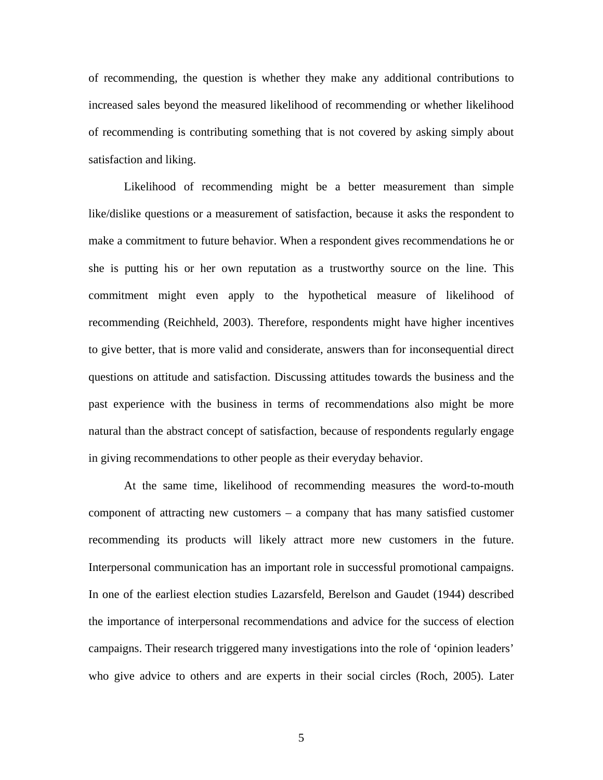of recommending, the question is whether they make any additional contributions to increased sales beyond the measured likelihood of recommending or whether likelihood of recommending is contributing something that is not covered by asking simply about satisfaction and liking.

Likelihood of recommending might be a better measurement than simple like/dislike questions or a measurement of satisfaction, because it asks the respondent to make a commitment to future behavior. When a respondent gives recommendations he or she is putting his or her own reputation as a trustworthy source on the line. This commitment might even apply to the hypothetical measure of likelihood of recommending (Reichheld, 2003). Therefore, respondents might have higher incentives to give better, that is more valid and considerate, answers than for inconsequential direct questions on attitude and satisfaction. Discussing attitudes towards the business and the past experience with the business in terms of recommendations also might be more natural than the abstract concept of satisfaction, because of respondents regularly engage in giving recommendations to other people as their everyday behavior.

At the same time, likelihood of recommending measures the word-to-mouth component of attracting new customers – a company that has many satisfied customer recommending its products will likely attract more new customers in the future. Interpersonal communication has an important role in successful promotional campaigns. In one of the earliest election studies Lazarsfeld, Berelson and Gaudet (1944) described the importance of interpersonal recommendations and advice for the success of election campaigns. Their research triggered many investigations into the role of 'opinion leaders' who give advice to others and are experts in their social circles (Roch, 2005). Later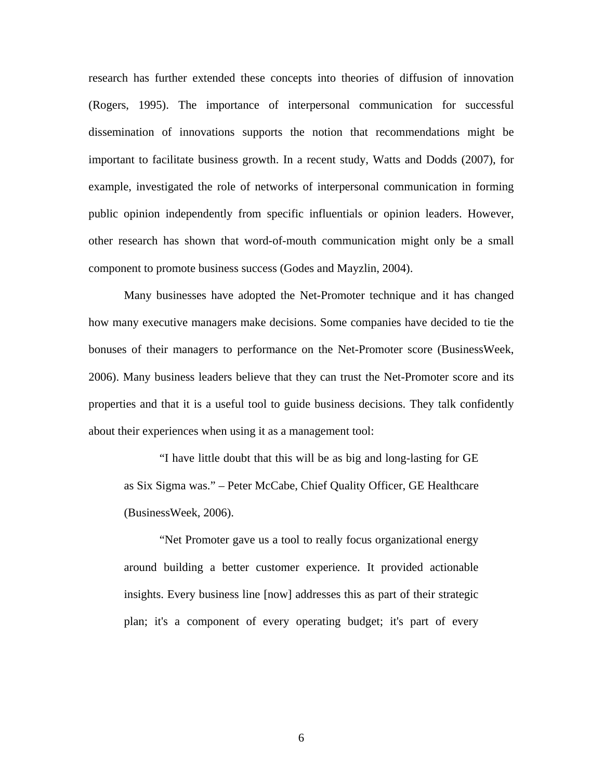research has further extended these concepts into theories of diffusion of innovation (Rogers, 1995). The importance of interpersonal communication for successful dissemination of innovations supports the notion that recommendations might be important to facilitate business growth. In a recent study, Watts and Dodds (2007), for example, investigated the role of networks of interpersonal communication in forming public opinion independently from specific influentials or opinion leaders. However, other research has shown that word-of-mouth communication might only be a small component to promote business success (Godes and Mayzlin, 2004).

Many businesses have adopted the Net-Promoter technique and it has changed how many executive managers make decisions. Some companies have decided to tie the bonuses of their managers to performance on the Net-Promoter score (BusinessWeek, 2006). Many business leaders believe that they can trust the Net-Promoter score and its properties and that it is a useful tool to guide business decisions. They talk confidently about their experiences when using it as a management tool:

"I have little doubt that this will be as big and long-lasting for GE as Six Sigma was." – Peter McCabe, Chief Quality Officer, GE Healthcare (BusinessWeek, 2006).

"Net Promoter gave us a tool to really focus organizational energy around building a better customer experience. It provided actionable insights. Every business line [now] addresses this as part of their strategic plan; it's a component of every operating budget; it's part of every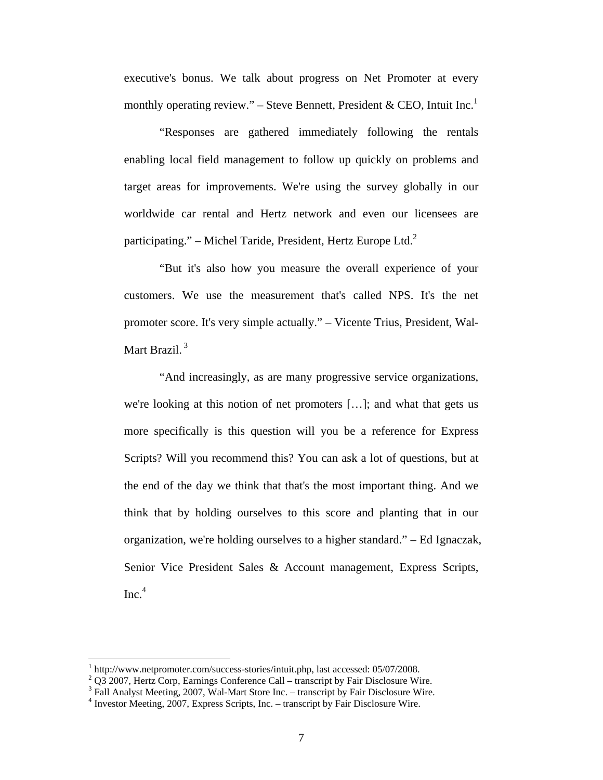executive's bonus. We talk about progress on Net Promoter at every monthly operating review." – Steve Bennett, President & CEO, Intuit Inc. $<sup>1</sup>$ </sup>

"Responses are gathered immediately following the rentals enabling local field management to follow up quickly on problems and target areas for improvements. We're using the survey globally in our worldwide car rental and Hertz network and even our licensees are participating." – Michel Taride, President, Hertz Europe Ltd. $2$ 

"But it's also how you measure the overall experience of your customers. We use the measurement that's called NPS. It's the net promoter score. It's very simple actually." – Vicente Trius, President, Wal-Mart Brazil.<sup>3</sup>

"And increasingly, as are many progressive service organizations, we're looking at this notion of net promoters […]; and what that gets us more specifically is this question will you be a reference for Express Scripts? Will you recommend this? You can ask a lot of questions, but at the end of the day we think that that's the most important thing. And we think that by holding ourselves to this score and planting that in our organization, we're holding ourselves to a higher standard." – Ed Ignaczak, Senior Vice President Sales & Account management, Express Scripts,  $Inc.<sup>4</sup>$ 

 $\overline{a}$ 

 $1$  http://www.netpromoter.com/success-stories/intuit.php, last accessed: 05/07/2008.  $^1$  http://www.netpromoter.com/success-stories/intuit.php, last accessed: 05/07/2008.<br><sup>2</sup> Q3 2007, Hertz Corp, Earnings Conference Call – transcript by Fair Disclosure Wire.

<sup>&</sup>lt;sup>3</sup> Fall Analyst Meeting, 2007, Wal-Mart Store Inc. – transcript by Fair Disclosure Wire.

<sup>&</sup>lt;sup>4</sup> Investor Meeting, 2007, Express Scripts, Inc. – transcript by Fair Disclosure Wire.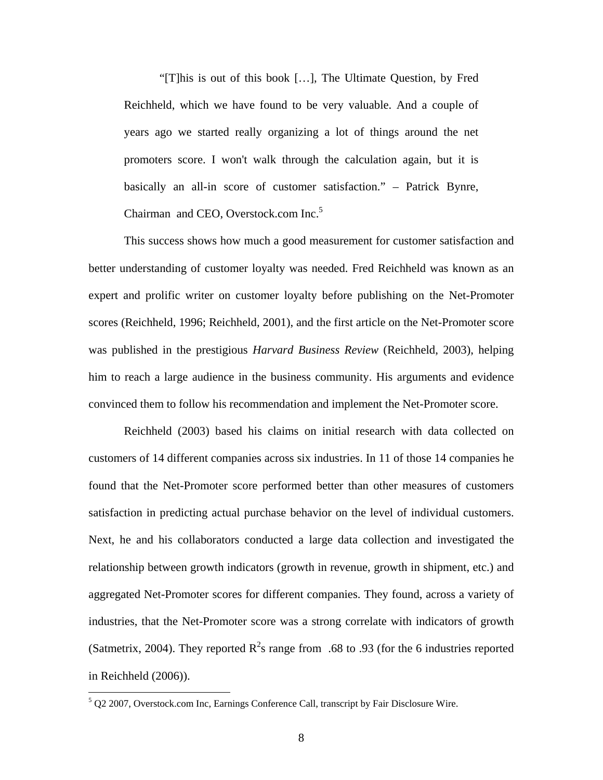"[T]his is out of this book […], The Ultimate Question, by Fred Reichheld, which we have found to be very valuable. And a couple of years ago we started really organizing a lot of things around the net promoters score. I won't walk through the calculation again, but it is basically an all-in score of customer satisfaction." – Patrick Bynre, Chairman and CEO, Overstock.com Inc.<sup>5</sup>

This success shows how much a good measurement for customer satisfaction and better understanding of customer loyalty was needed. Fred Reichheld was known as an expert and prolific writer on customer loyalty before publishing on the Net-Promoter scores (Reichheld, 1996; Reichheld, 2001), and the first article on the Net-Promoter score was published in the prestigious *Harvard Business Review* (Reichheld, 2003), helping him to reach a large audience in the business community. His arguments and evidence convinced them to follow his recommendation and implement the Net-Promoter score.

Reichheld (2003) based his claims on initial research with data collected on customers of 14 different companies across six industries. In 11 of those 14 companies he found that the Net-Promoter score performed better than other measures of customers satisfaction in predicting actual purchase behavior on the level of individual customers. Next, he and his collaborators conducted a large data collection and investigated the relationship between growth indicators (growth in revenue, growth in shipment, etc.) and aggregated Net-Promoter scores for different companies. They found, across a variety of industries, that the Net-Promoter score was a strong correlate with indicators of growth (Satmetrix, 2004). They reported  $R^2$ s range from .68 to .93 (for the 6 industries reported in Reichheld (2006)).

<u>.</u>

 $5$  Q2 2007, Overstock.com Inc, Earnings Conference Call, transcript by Fair Disclosure Wire.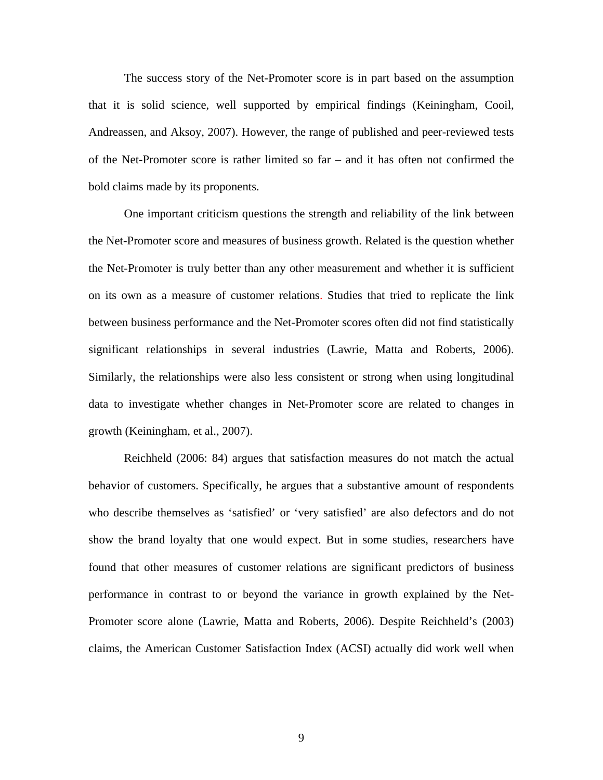The success story of the Net-Promoter score is in part based on the assumption that it is solid science, well supported by empirical findings (Keiningham, Cooil, Andreassen, and Aksoy, 2007). However, the range of published and peer-reviewed tests of the Net-Promoter score is rather limited so far – and it has often not confirmed the bold claims made by its proponents.

One important criticism questions the strength and reliability of the link between the Net-Promoter score and measures of business growth. Related is the question whether the Net-Promoter is truly better than any other measurement and whether it is sufficient on its own as a measure of customer relations. Studies that tried to replicate the link between business performance and the Net-Promoter scores often did not find statistically significant relationships in several industries (Lawrie, Matta and Roberts, 2006). Similarly, the relationships were also less consistent or strong when using longitudinal data to investigate whether changes in Net-Promoter score are related to changes in growth (Keiningham, et al., 2007).

Reichheld (2006: 84) argues that satisfaction measures do not match the actual behavior of customers. Specifically, he argues that a substantive amount of respondents who describe themselves as 'satisfied' or 'very satisfied' are also defectors and do not show the brand loyalty that one would expect. But in some studies, researchers have found that other measures of customer relations are significant predictors of business performance in contrast to or beyond the variance in growth explained by the Net-Promoter score alone (Lawrie, Matta and Roberts, 2006). Despite Reichheld's (2003) claims, the American Customer Satisfaction Index (ACSI) actually did work well when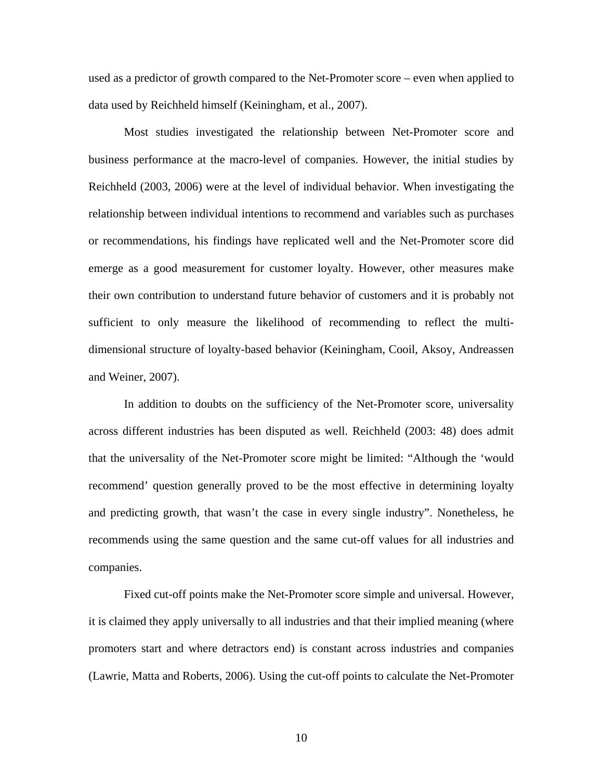used as a predictor of growth compared to the Net-Promoter score – even when applied to data used by Reichheld himself (Keiningham, et al., 2007).

Most studies investigated the relationship between Net-Promoter score and business performance at the macro-level of companies. However, the initial studies by Reichheld (2003, 2006) were at the level of individual behavior. When investigating the relationship between individual intentions to recommend and variables such as purchases or recommendations, his findings have replicated well and the Net-Promoter score did emerge as a good measurement for customer loyalty. However, other measures make their own contribution to understand future behavior of customers and it is probably not sufficient to only measure the likelihood of recommending to reflect the multidimensional structure of loyalty-based behavior (Keiningham, Cooil, Aksoy, Andreassen and Weiner, 2007).

In addition to doubts on the sufficiency of the Net-Promoter score, universality across different industries has been disputed as well. Reichheld (2003: 48) does admit that the universality of the Net-Promoter score might be limited: "Although the 'would recommend' question generally proved to be the most effective in determining loyalty and predicting growth, that wasn't the case in every single industry". Nonetheless, he recommends using the same question and the same cut-off values for all industries and companies.

Fixed cut-off points make the Net-Promoter score simple and universal. However, it is claimed they apply universally to all industries and that their implied meaning (where promoters start and where detractors end) is constant across industries and companies (Lawrie, Matta and Roberts, 2006). Using the cut-off points to calculate the Net-Promoter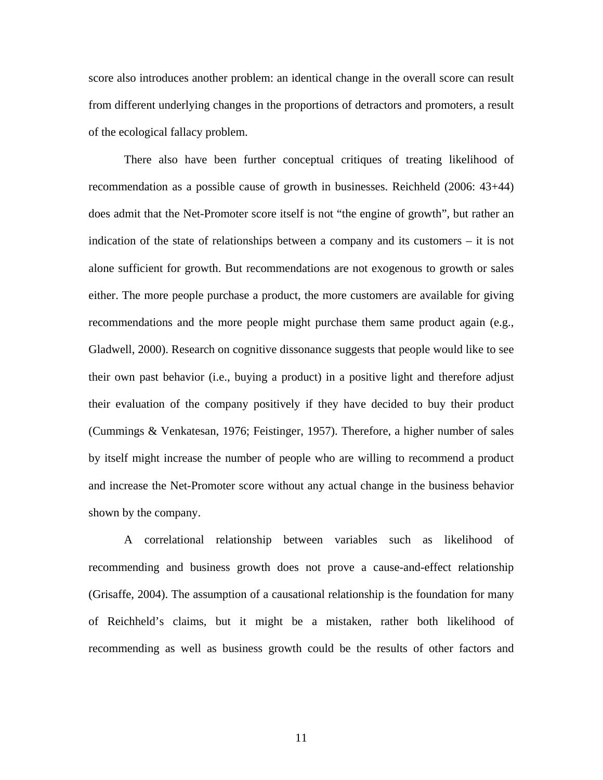score also introduces another problem: an identical change in the overall score can result from different underlying changes in the proportions of detractors and promoters, a result of the ecological fallacy problem.

There also have been further conceptual critiques of treating likelihood of recommendation as a possible cause of growth in businesses. Reichheld (2006: 43+44) does admit that the Net-Promoter score itself is not "the engine of growth", but rather an indication of the state of relationships between a company and its customers – it is not alone sufficient for growth. But recommendations are not exogenous to growth or sales either. The more people purchase a product, the more customers are available for giving recommendations and the more people might purchase them same product again (e.g., Gladwell, 2000). Research on cognitive dissonance suggests that people would like to see their own past behavior (i.e., buying a product) in a positive light and therefore adjust their evaluation of the company positively if they have decided to buy their product (Cummings & Venkatesan, 1976; Feistinger, 1957). Therefore, a higher number of sales by itself might increase the number of people who are willing to recommend a product and increase the Net-Promoter score without any actual change in the business behavior shown by the company.

A correlational relationship between variables such as likelihood of recommending and business growth does not prove a cause-and-effect relationship (Grisaffe, 2004). The assumption of a causational relationship is the foundation for many of Reichheld's claims, but it might be a mistaken, rather both likelihood of recommending as well as business growth could be the results of other factors and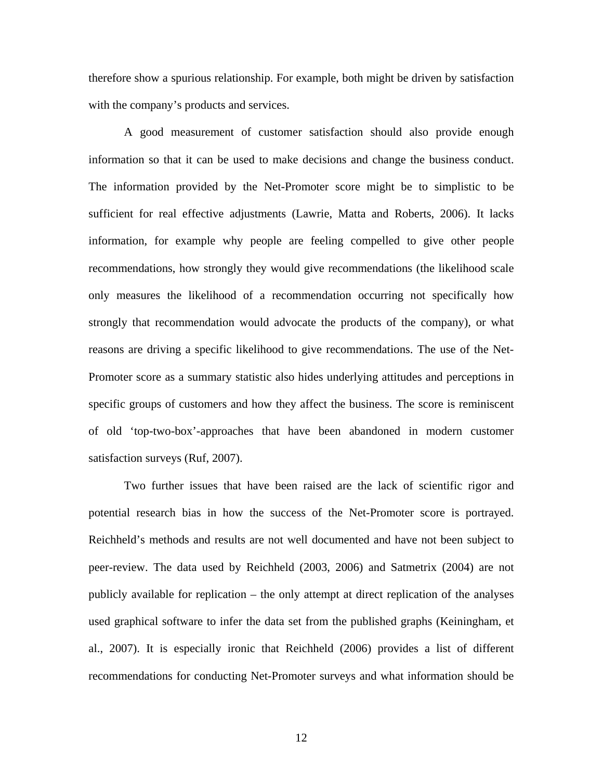therefore show a spurious relationship. For example, both might be driven by satisfaction with the company's products and services.

A good measurement of customer satisfaction should also provide enough information so that it can be used to make decisions and change the business conduct. The information provided by the Net-Promoter score might be to simplistic to be sufficient for real effective adjustments (Lawrie, Matta and Roberts, 2006). It lacks information, for example why people are feeling compelled to give other people recommendations, how strongly they would give recommendations (the likelihood scale only measures the likelihood of a recommendation occurring not specifically how strongly that recommendation would advocate the products of the company), or what reasons are driving a specific likelihood to give recommendations. The use of the Net-Promoter score as a summary statistic also hides underlying attitudes and perceptions in specific groups of customers and how they affect the business. The score is reminiscent of old 'top-two-box'-approaches that have been abandoned in modern customer satisfaction surveys (Ruf, 2007).

Two further issues that have been raised are the lack of scientific rigor and potential research bias in how the success of the Net-Promoter score is portrayed. Reichheld's methods and results are not well documented and have not been subject to peer-review. The data used by Reichheld (2003, 2006) and Satmetrix (2004) are not publicly available for replication – the only attempt at direct replication of the analyses used graphical software to infer the data set from the published graphs (Keiningham, et al., 2007). It is especially ironic that Reichheld (2006) provides a list of different recommendations for conducting Net-Promoter surveys and what information should be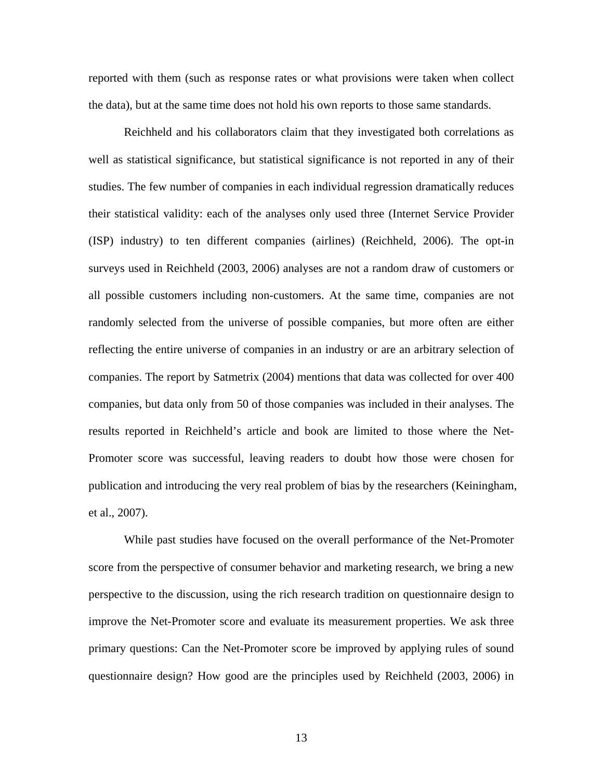reported with them (such as response rates or what provisions were taken when collect the data), but at the same time does not hold his own reports to those same standards.

Reichheld and his collaborators claim that they investigated both correlations as well as statistical significance, but statistical significance is not reported in any of their studies. The few number of companies in each individual regression dramatically reduces their statistical validity: each of the analyses only used three (Internet Service Provider (ISP) industry) to ten different companies (airlines) (Reichheld, 2006). The opt-in surveys used in Reichheld (2003, 2006) analyses are not a random draw of customers or all possible customers including non-customers. At the same time, companies are not randomly selected from the universe of possible companies, but more often are either reflecting the entire universe of companies in an industry or are an arbitrary selection of companies. The report by Satmetrix (2004) mentions that data was collected for over 400 companies, but data only from 50 of those companies was included in their analyses. The results reported in Reichheld's article and book are limited to those where the Net-Promoter score was successful, leaving readers to doubt how those were chosen for publication and introducing the very real problem of bias by the researchers (Keiningham, et al., 2007).

While past studies have focused on the overall performance of the Net-Promoter score from the perspective of consumer behavior and marketing research, we bring a new perspective to the discussion, using the rich research tradition on questionnaire design to improve the Net-Promoter score and evaluate its measurement properties. We ask three primary questions: Can the Net-Promoter score be improved by applying rules of sound questionnaire design? How good are the principles used by Reichheld (2003, 2006) in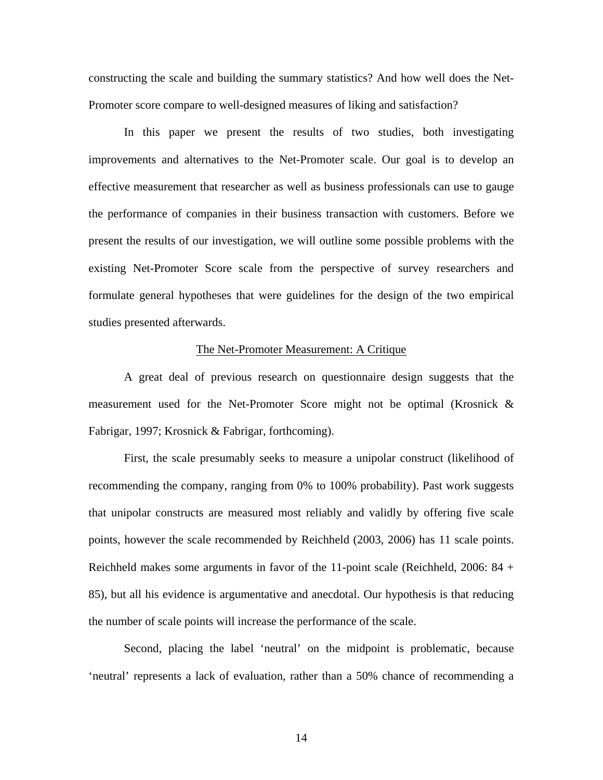constructing the scale and building the summary statistics? And how well does the Net-Promoter score compare to well-designed measures of liking and satisfaction?

In this paper we present the results of two studies, both investigating improvements and alternatives to the Net-Promoter scale. Our goal is to develop an effective measurement that researcher as well as business professionals can use to gauge the performance of companies in their business transaction with customers. Before we present the results of our investigation, we will outline some possible problems with the existing Net-Promoter Score scale from the perspective of survey researchers and formulate general hypotheses that were guidelines for the design of the two empirical studies presented afterwards.

## The Net-Promoter Measurement: A Critique

A great deal of previous research on questionnaire design suggests that the measurement used for the Net-Promoter Score might not be optimal (Krosnick & Fabrigar, 1997; Krosnick & Fabrigar, forthcoming).

First, the scale presumably seeks to measure a unipolar construct (likelihood of recommending the company, ranging from 0% to 100% probability). Past work suggests that unipolar constructs are measured most reliably and validly by offering five scale points, however the scale recommended by Reichheld (2003, 2006) has 11 scale points. Reichheld makes some arguments in favor of the 11-point scale (Reichheld, 2006: 84 + 85), but all his evidence is argumentative and anecdotal. Our hypothesis is that reducing the number of scale points will increase the performance of the scale.

Second, placing the label 'neutral' on the midpoint is problematic, because 'neutral' represents a lack of evaluation, rather than a 50% chance of recommending a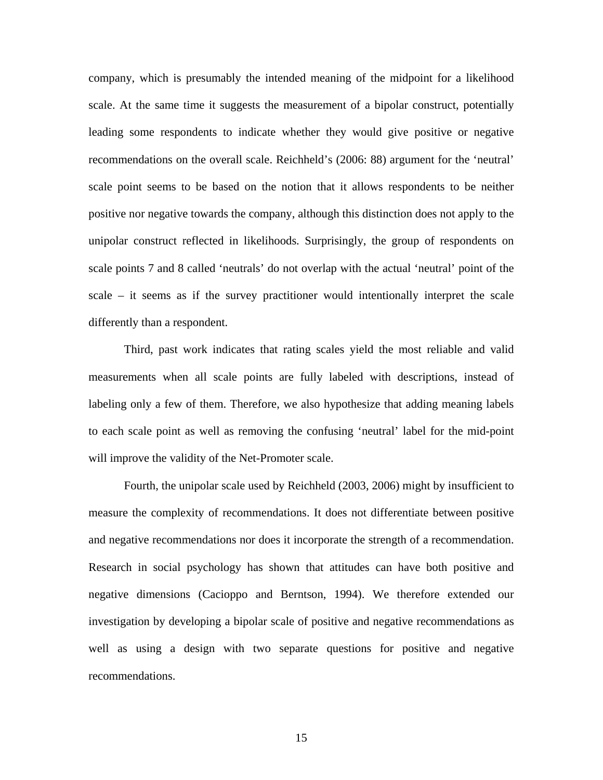company, which is presumably the intended meaning of the midpoint for a likelihood scale. At the same time it suggests the measurement of a bipolar construct, potentially leading some respondents to indicate whether they would give positive or negative recommendations on the overall scale. Reichheld's (2006: 88) argument for the 'neutral' scale point seems to be based on the notion that it allows respondents to be neither positive nor negative towards the company, although this distinction does not apply to the unipolar construct reflected in likelihoods. Surprisingly, the group of respondents on scale points 7 and 8 called 'neutrals' do not overlap with the actual 'neutral' point of the scale – it seems as if the survey practitioner would intentionally interpret the scale differently than a respondent.

Third, past work indicates that rating scales yield the most reliable and valid measurements when all scale points are fully labeled with descriptions, instead of labeling only a few of them. Therefore, we also hypothesize that adding meaning labels to each scale point as well as removing the confusing 'neutral' label for the mid-point will improve the validity of the Net-Promoter scale.

Fourth, the unipolar scale used by Reichheld (2003, 2006) might by insufficient to measure the complexity of recommendations. It does not differentiate between positive and negative recommendations nor does it incorporate the strength of a recommendation. Research in social psychology has shown that attitudes can have both positive and negative dimensions (Cacioppo and Berntson, 1994). We therefore extended our investigation by developing a bipolar scale of positive and negative recommendations as well as using a design with two separate questions for positive and negative recommendations.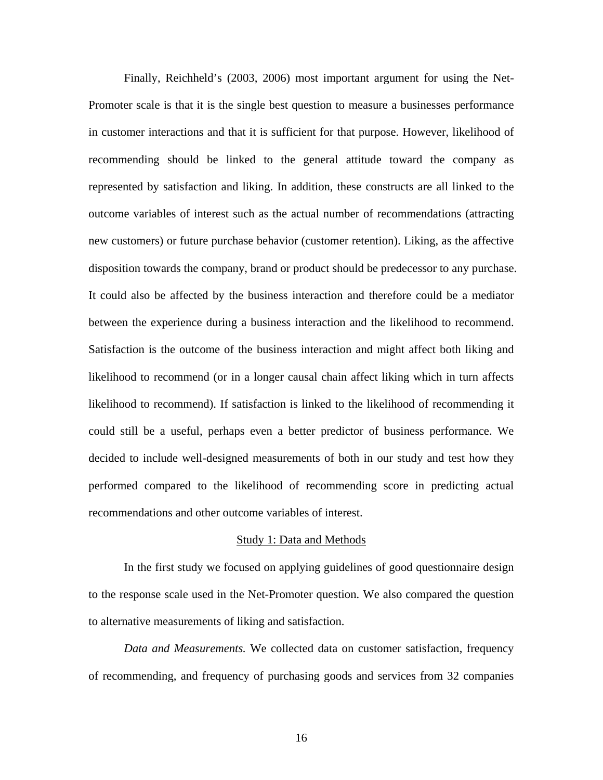Finally, Reichheld's (2003, 2006) most important argument for using the Net-Promoter scale is that it is the single best question to measure a businesses performance in customer interactions and that it is sufficient for that purpose. However, likelihood of recommending should be linked to the general attitude toward the company as represented by satisfaction and liking. In addition, these constructs are all linked to the outcome variables of interest such as the actual number of recommendations (attracting new customers) or future purchase behavior (customer retention). Liking, as the affective disposition towards the company, brand or product should be predecessor to any purchase. It could also be affected by the business interaction and therefore could be a mediator between the experience during a business interaction and the likelihood to recommend. Satisfaction is the outcome of the business interaction and might affect both liking and likelihood to recommend (or in a longer causal chain affect liking which in turn affects likelihood to recommend). If satisfaction is linked to the likelihood of recommending it could still be a useful, perhaps even a better predictor of business performance. We decided to include well-designed measurements of both in our study and test how they performed compared to the likelihood of recommending score in predicting actual recommendations and other outcome variables of interest.

#### Study 1: Data and Methods

In the first study we focused on applying guidelines of good questionnaire design to the response scale used in the Net-Promoter question. We also compared the question to alternative measurements of liking and satisfaction.

*Data and Measurements.* We collected data on customer satisfaction, frequency of recommending, and frequency of purchasing goods and services from 32 companies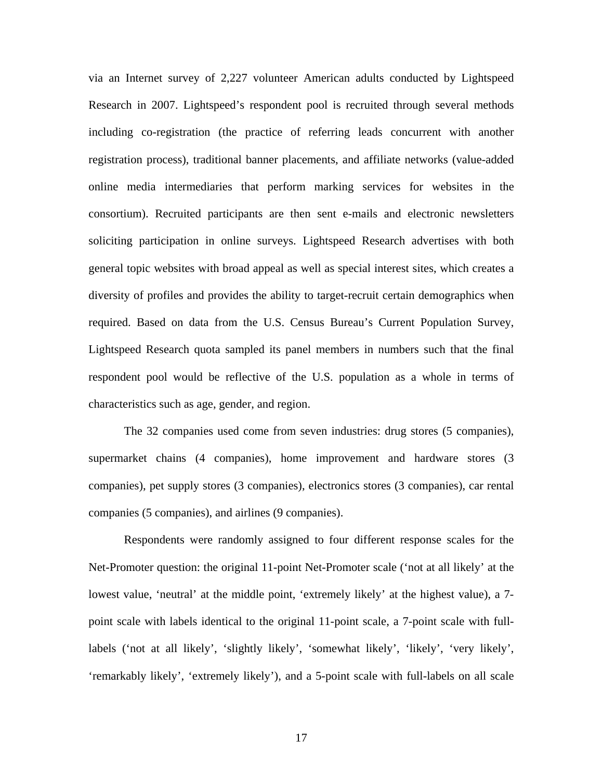via an Internet survey of 2,227 volunteer American adults conducted by Lightspeed Research in 2007. Lightspeed's respondent pool is recruited through several methods including co-registration (the practice of referring leads concurrent with another registration process), traditional banner placements, and affiliate networks (value-added online media intermediaries that perform marking services for websites in the consortium). Recruited participants are then sent e-mails and electronic newsletters soliciting participation in online surveys. Lightspeed Research advertises with both general topic websites with broad appeal as well as special interest sites, which creates a diversity of profiles and provides the ability to target-recruit certain demographics when required. Based on data from the U.S. Census Bureau's Current Population Survey, Lightspeed Research quota sampled its panel members in numbers such that the final respondent pool would be reflective of the U.S. population as a whole in terms of characteristics such as age, gender, and region.

The 32 companies used come from seven industries: drug stores (5 companies), supermarket chains (4 companies), home improvement and hardware stores (3 companies), pet supply stores (3 companies), electronics stores (3 companies), car rental companies (5 companies), and airlines (9 companies).

Respondents were randomly assigned to four different response scales for the Net-Promoter question: the original 11-point Net-Promoter scale ('not at all likely' at the lowest value, 'neutral' at the middle point, 'extremely likely' at the highest value), a 7 point scale with labels identical to the original 11-point scale, a 7-point scale with fulllabels ('not at all likely', 'slightly likely', 'somewhat likely', 'likely', 'very likely', 'remarkably likely', 'extremely likely'), and a 5-point scale with full-labels on all scale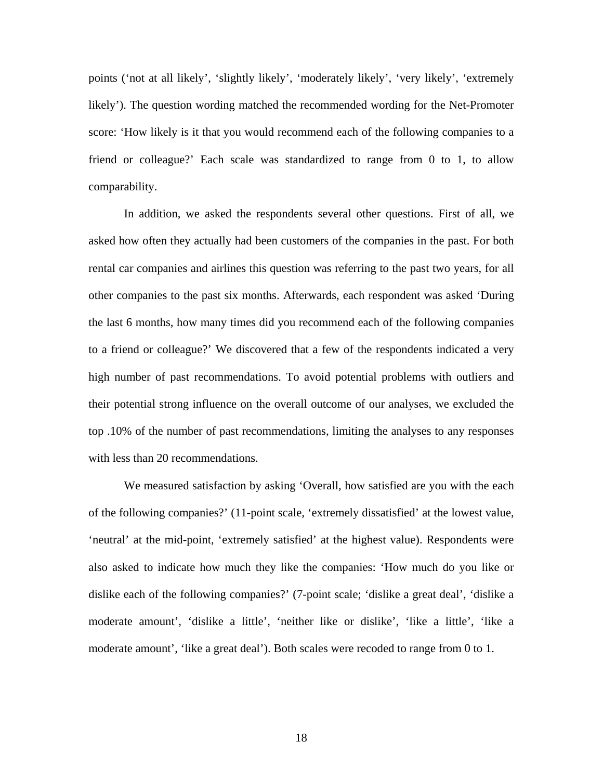points ('not at all likely', 'slightly likely', 'moderately likely', 'very likely', 'extremely likely'). The question wording matched the recommended wording for the Net-Promoter score: 'How likely is it that you would recommend each of the following companies to a friend or colleague?' Each scale was standardized to range from 0 to 1, to allow comparability.

In addition, we asked the respondents several other questions. First of all, we asked how often they actually had been customers of the companies in the past. For both rental car companies and airlines this question was referring to the past two years, for all other companies to the past six months. Afterwards, each respondent was asked 'During the last 6 months, how many times did you recommend each of the following companies to a friend or colleague?' We discovered that a few of the respondents indicated a very high number of past recommendations. To avoid potential problems with outliers and their potential strong influence on the overall outcome of our analyses, we excluded the top .10% of the number of past recommendations, limiting the analyses to any responses with less than 20 recommendations.

We measured satisfaction by asking 'Overall, how satisfied are you with the each of the following companies?' (11-point scale, 'extremely dissatisfied' at the lowest value, 'neutral' at the mid-point, 'extremely satisfied' at the highest value). Respondents were also asked to indicate how much they like the companies: 'How much do you like or dislike each of the following companies?' (7-point scale; 'dislike a great deal', 'dislike a moderate amount', 'dislike a little', 'neither like or dislike', 'like a little', 'like a moderate amount', 'like a great deal'). Both scales were recoded to range from 0 to 1.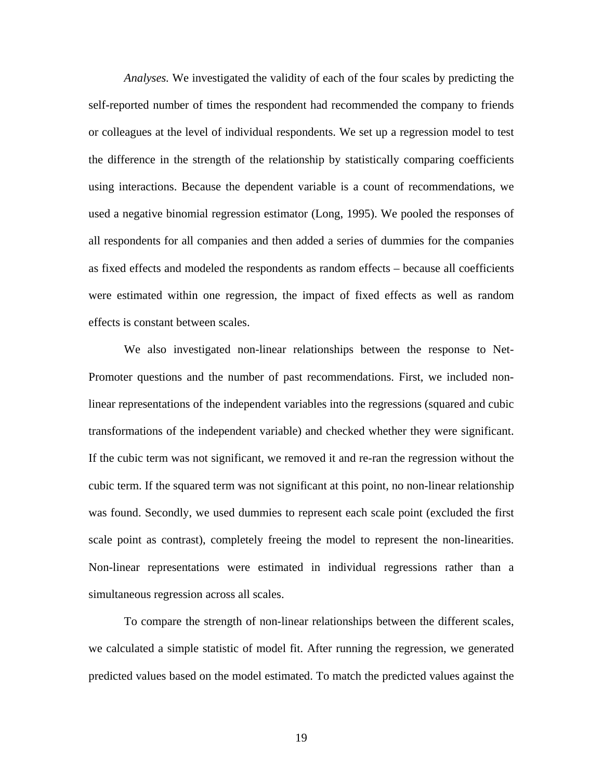*Analyses.* We investigated the validity of each of the four scales by predicting the self-reported number of times the respondent had recommended the company to friends or colleagues at the level of individual respondents. We set up a regression model to test the difference in the strength of the relationship by statistically comparing coefficients using interactions. Because the dependent variable is a count of recommendations, we used a negative binomial regression estimator (Long, 1995). We pooled the responses of all respondents for all companies and then added a series of dummies for the companies as fixed effects and modeled the respondents as random effects – because all coefficients were estimated within one regression, the impact of fixed effects as well as random effects is constant between scales.

We also investigated non-linear relationships between the response to Net-Promoter questions and the number of past recommendations. First, we included nonlinear representations of the independent variables into the regressions (squared and cubic transformations of the independent variable) and checked whether they were significant. If the cubic term was not significant, we removed it and re-ran the regression without the cubic term. If the squared term was not significant at this point, no non-linear relationship was found. Secondly, we used dummies to represent each scale point (excluded the first scale point as contrast), completely freeing the model to represent the non-linearities. Non-linear representations were estimated in individual regressions rather than a simultaneous regression across all scales.

To compare the strength of non-linear relationships between the different scales, we calculated a simple statistic of model fit. After running the regression, we generated predicted values based on the model estimated. To match the predicted values against the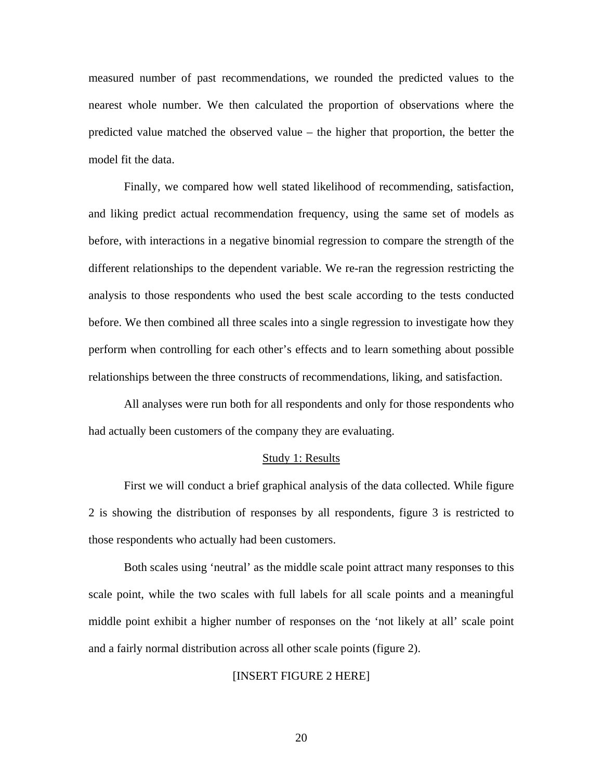measured number of past recommendations, we rounded the predicted values to the nearest whole number. We then calculated the proportion of observations where the predicted value matched the observed value – the higher that proportion, the better the model fit the data.

Finally, we compared how well stated likelihood of recommending, satisfaction, and liking predict actual recommendation frequency, using the same set of models as before, with interactions in a negative binomial regression to compare the strength of the different relationships to the dependent variable. We re-ran the regression restricting the analysis to those respondents who used the best scale according to the tests conducted before. We then combined all three scales into a single regression to investigate how they perform when controlling for each other's effects and to learn something about possible relationships between the three constructs of recommendations, liking, and satisfaction.

All analyses were run both for all respondents and only for those respondents who had actually been customers of the company they are evaluating.

#### Study 1: Results

First we will conduct a brief graphical analysis of the data collected. While figure 2 is showing the distribution of responses by all respondents, figure 3 is restricted to those respondents who actually had been customers.

Both scales using 'neutral' as the middle scale point attract many responses to this scale point, while the two scales with full labels for all scale points and a meaningful middle point exhibit a higher number of responses on the 'not likely at all' scale point and a fairly normal distribution across all other scale points (figure 2).

#### [INSERT FIGURE 2 HERE]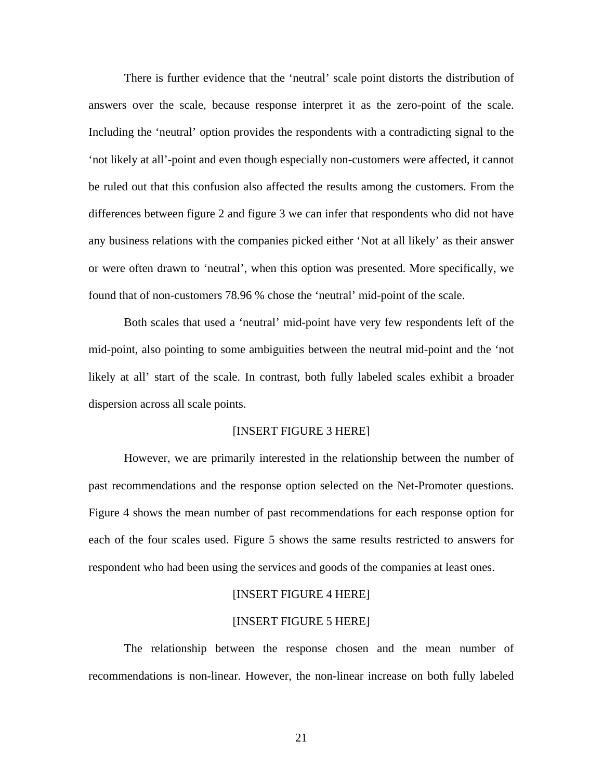There is further evidence that the 'neutral' scale point distorts the distribution of answers over the scale, because response interpret it as the zero-point of the scale. Including the 'neutral' option provides the respondents with a contradicting signal to the 'not likely at all'-point and even though especially non-customers were affected, it cannot be ruled out that this confusion also affected the results among the customers. From the differences between figure 2 and figure 3 we can infer that respondents who did not have any business relations with the companies picked either 'Not at all likely' as their answer or were often drawn to 'neutral', when this option was presented. More specifically, we found that of non-customers 78.96 % chose the 'neutral' mid-point of the scale.

Both scales that used a 'neutral' mid-point have very few respondents left of the mid-point, also pointing to some ambiguities between the neutral mid-point and the 'not likely at all' start of the scale. In contrast, both fully labeled scales exhibit a broader dispersion across all scale points.

## [INSERT FIGURE 3 HERE]

However, we are primarily interested in the relationship between the number of past recommendations and the response option selected on the Net-Promoter questions. Figure 4 shows the mean number of past recommendations for each response option for each of the four scales used. Figure 5 shows the same results restricted to answers for respondent who had been using the services and goods of the companies at least ones.

#### [INSERT FIGURE 4 HERE]

## [INSERT FIGURE 5 HERE]

The relationship between the response chosen and the mean number of recommendations is non-linear. However, the non-linear increase on both fully labeled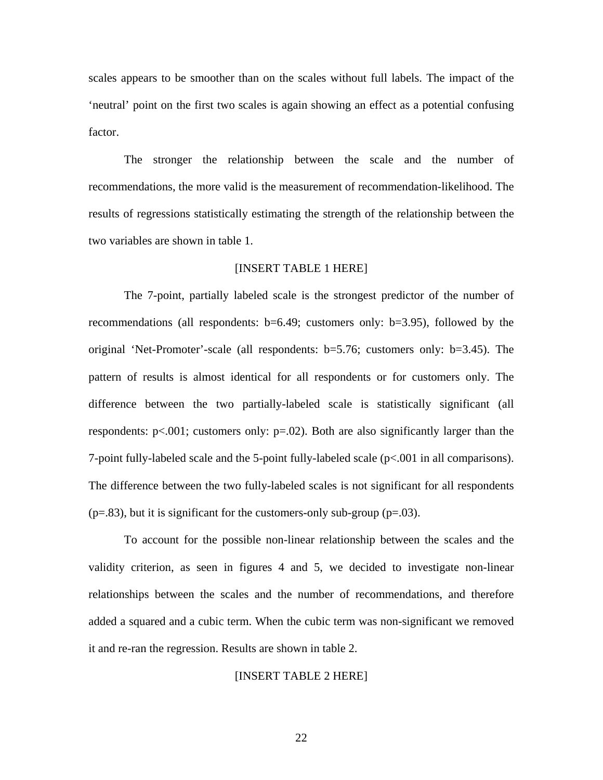scales appears to be smoother than on the scales without full labels. The impact of the 'neutral' point on the first two scales is again showing an effect as a potential confusing factor.

The stronger the relationship between the scale and the number of recommendations, the more valid is the measurement of recommendation-likelihood. The results of regressions statistically estimating the strength of the relationship between the two variables are shown in table 1.

## [INSERT TABLE 1 HERE]

The 7-point, partially labeled scale is the strongest predictor of the number of recommendations (all respondents: b=6.49; customers only: b=3.95), followed by the original 'Net-Promoter'-scale (all respondents: b=5.76; customers only: b=3.45). The pattern of results is almost identical for all respondents or for customers only. The difference between the two partially-labeled scale is statistically significant (all respondents:  $p<0.001$ ; customers only:  $p=0.02$ ). Both are also significantly larger than the 7-point fully-labeled scale and the 5-point fully-labeled scale (p<.001 in all comparisons). The difference between the two fully-labeled scales is not significant for all respondents  $(p=.83)$ , but it is significant for the customers-only sub-group  $(p=.03)$ .

To account for the possible non-linear relationship between the scales and the validity criterion, as seen in figures 4 and 5, we decided to investigate non-linear relationships between the scales and the number of recommendations, and therefore added a squared and a cubic term. When the cubic term was non-significant we removed it and re-ran the regression. Results are shown in table 2.

# [INSERT TABLE 2 HERE]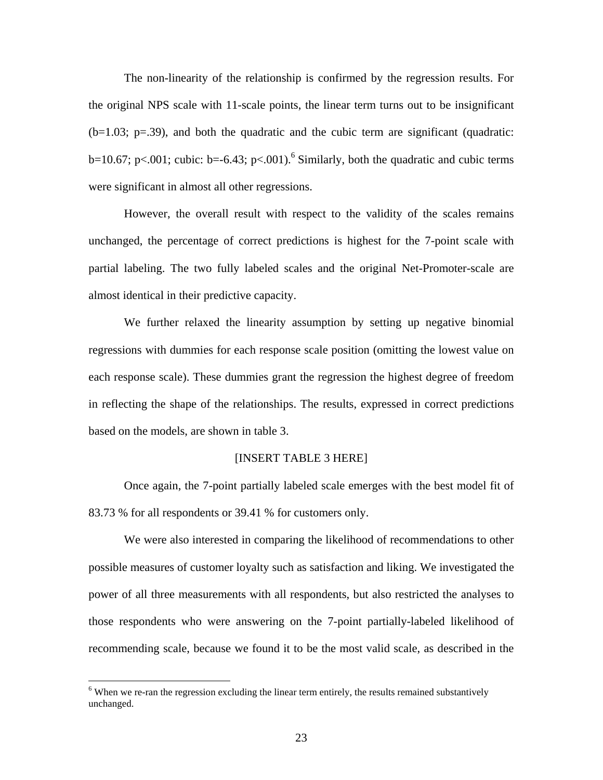The non-linearity of the relationship is confirmed by the regression results. For the original NPS scale with 11-scale points, the linear term turns out to be insignificant  $(b=1.03; p=.39)$ , and both the quadratic and the cubic term are significant (quadratic: b=10.67; p<.001; cubic: b=-6.43; p<.001).<sup>6</sup> Similarly, both the quadratic and cubic terms were significant in almost all other regressions.

However, the overall result with respect to the validity of the scales remains unchanged, the percentage of correct predictions is highest for the 7-point scale with partial labeling. The two fully labeled scales and the original Net-Promoter-scale are almost identical in their predictive capacity.

We further relaxed the linearity assumption by setting up negative binomial regressions with dummies for each response scale position (omitting the lowest value on each response scale). These dummies grant the regression the highest degree of freedom in reflecting the shape of the relationships. The results, expressed in correct predictions based on the models, are shown in table 3.

## [INSERT TABLE 3 HERE]

Once again, the 7-point partially labeled scale emerges with the best model fit of 83.73 % for all respondents or 39.41 % for customers only.

We were also interested in comparing the likelihood of recommendations to other possible measures of customer loyalty such as satisfaction and liking. We investigated the power of all three measurements with all respondents, but also restricted the analyses to those respondents who were answering on the 7-point partially-labeled likelihood of recommending scale, because we found it to be the most valid scale, as described in the

<sup>&</sup>lt;sup>6</sup> When we re-ran the regression excluding the linear term entirely, the results remained substantively unchanged.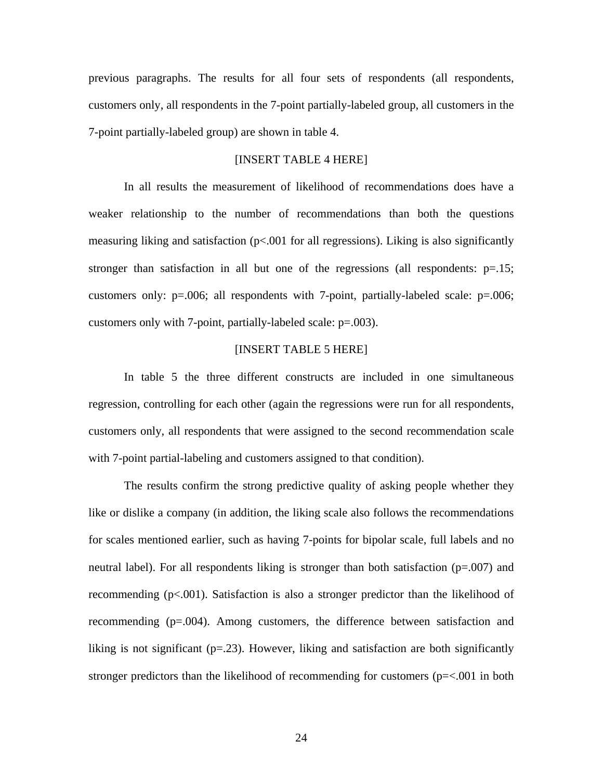previous paragraphs. The results for all four sets of respondents (all respondents, customers only, all respondents in the 7-point partially-labeled group, all customers in the 7-point partially-labeled group) are shown in table 4.

# [INSERT TABLE 4 HERE]

In all results the measurement of likelihood of recommendations does have a weaker relationship to the number of recommendations than both the questions measuring liking and satisfaction  $(p< 0.001$  for all regressions). Liking is also significantly stronger than satisfaction in all but one of the regressions (all respondents:  $p=15$ ; customers only:  $p=0.006$ ; all respondents with 7-point, partially-labeled scale:  $p=0.006$ ; customers only with 7-point, partially-labeled scale: p=.003).

# [INSERT TABLE 5 HERE]

In table 5 the three different constructs are included in one simultaneous regression, controlling for each other (again the regressions were run for all respondents, customers only, all respondents that were assigned to the second recommendation scale with 7-point partial-labeling and customers assigned to that condition).

The results confirm the strong predictive quality of asking people whether they like or dislike a company (in addition, the liking scale also follows the recommendations for scales mentioned earlier, such as having 7-points for bipolar scale, full labels and no neutral label). For all respondents liking is stronger than both satisfaction  $(p=007)$  and recommending (p<.001). Satisfaction is also a stronger predictor than the likelihood of recommending (p=.004). Among customers, the difference between satisfaction and liking is not significant  $(p=23)$ . However, liking and satisfaction are both significantly stronger predictors than the likelihood of recommending for customers ( $p = < 0.001$  in both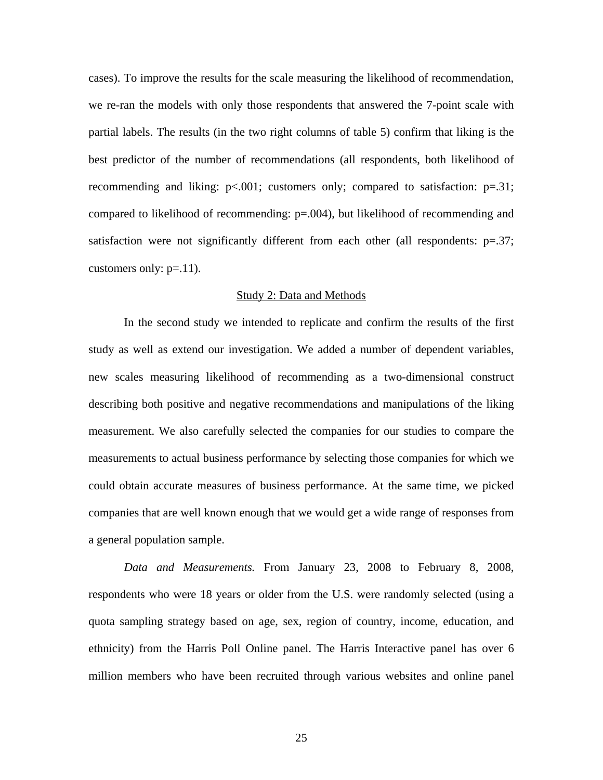cases). To improve the results for the scale measuring the likelihood of recommendation, we re-ran the models with only those respondents that answered the 7-point scale with partial labels. The results (in the two right columns of table 5) confirm that liking is the best predictor of the number of recommendations (all respondents, both likelihood of recommending and liking:  $p < .001$ ; customers only; compared to satisfaction:  $p = .31$ ; compared to likelihood of recommending: p=.004), but likelihood of recommending and satisfaction were not significantly different from each other (all respondents:  $p=37$ ; customers only:  $p=11$ ).

#### Study 2: Data and Methods

In the second study we intended to replicate and confirm the results of the first study as well as extend our investigation. We added a number of dependent variables, new scales measuring likelihood of recommending as a two-dimensional construct describing both positive and negative recommendations and manipulations of the liking measurement. We also carefully selected the companies for our studies to compare the measurements to actual business performance by selecting those companies for which we could obtain accurate measures of business performance. At the same time, we picked companies that are well known enough that we would get a wide range of responses from a general population sample.

*Data and Measurements.* From January 23, 2008 to February 8, 2008, respondents who were 18 years or older from the U.S. were randomly selected (using a quota sampling strategy based on age, sex, region of country, income, education, and ethnicity) from the Harris Poll Online panel. The Harris Interactive panel has over 6 million members who have been recruited through various websites and online panel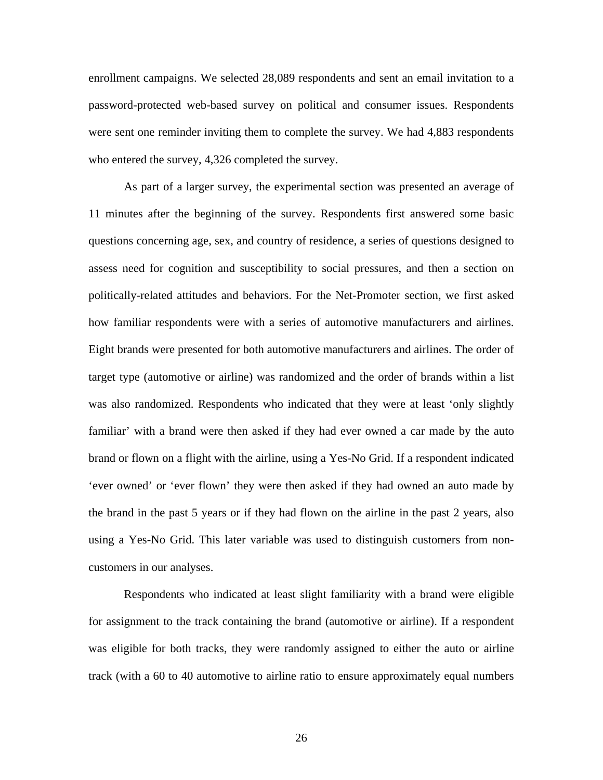enrollment campaigns. We selected 28,089 respondents and sent an email invitation to a password-protected web-based survey on political and consumer issues. Respondents were sent one reminder inviting them to complete the survey. We had 4,883 respondents who entered the survey, 4,326 completed the survey.

As part of a larger survey, the experimental section was presented an average of 11 minutes after the beginning of the survey. Respondents first answered some basic questions concerning age, sex, and country of residence, a series of questions designed to assess need for cognition and susceptibility to social pressures, and then a section on politically-related attitudes and behaviors. For the Net-Promoter section, we first asked how familiar respondents were with a series of automotive manufacturers and airlines. Eight brands were presented for both automotive manufacturers and airlines. The order of target type (automotive or airline) was randomized and the order of brands within a list was also randomized. Respondents who indicated that they were at least 'only slightly familiar' with a brand were then asked if they had ever owned a car made by the auto brand or flown on a flight with the airline, using a Yes-No Grid. If a respondent indicated 'ever owned' or 'ever flown' they were then asked if they had owned an auto made by the brand in the past 5 years or if they had flown on the airline in the past 2 years, also using a Yes-No Grid. This later variable was used to distinguish customers from noncustomers in our analyses.

Respondents who indicated at least slight familiarity with a brand were eligible for assignment to the track containing the brand (automotive or airline). If a respondent was eligible for both tracks, they were randomly assigned to either the auto or airline track (with a 60 to 40 automotive to airline ratio to ensure approximately equal numbers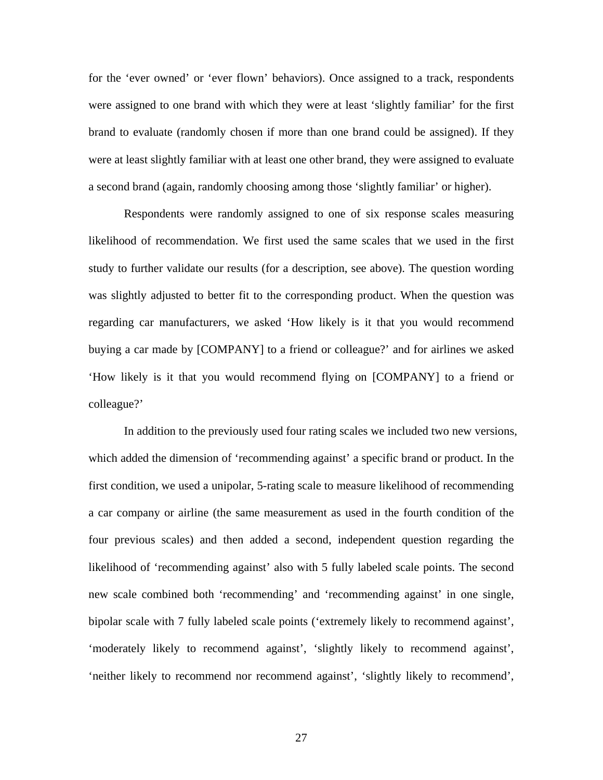for the 'ever owned' or 'ever flown' behaviors). Once assigned to a track, respondents were assigned to one brand with which they were at least 'slightly familiar' for the first brand to evaluate (randomly chosen if more than one brand could be assigned). If they were at least slightly familiar with at least one other brand, they were assigned to evaluate a second brand (again, randomly choosing among those 'slightly familiar' or higher).

Respondents were randomly assigned to one of six response scales measuring likelihood of recommendation. We first used the same scales that we used in the first study to further validate our results (for a description, see above). The question wording was slightly adjusted to better fit to the corresponding product. When the question was regarding car manufacturers, we asked 'How likely is it that you would recommend buying a car made by [COMPANY] to a friend or colleague?' and for airlines we asked 'How likely is it that you would recommend flying on [COMPANY] to a friend or colleague?'

In addition to the previously used four rating scales we included two new versions, which added the dimension of 'recommending against' a specific brand or product. In the first condition, we used a unipolar, 5-rating scale to measure likelihood of recommending a car company or airline (the same measurement as used in the fourth condition of the four previous scales) and then added a second, independent question regarding the likelihood of 'recommending against' also with 5 fully labeled scale points. The second new scale combined both 'recommending' and 'recommending against' in one single, bipolar scale with 7 fully labeled scale points ('extremely likely to recommend against', 'moderately likely to recommend against', 'slightly likely to recommend against', 'neither likely to recommend nor recommend against', 'slightly likely to recommend',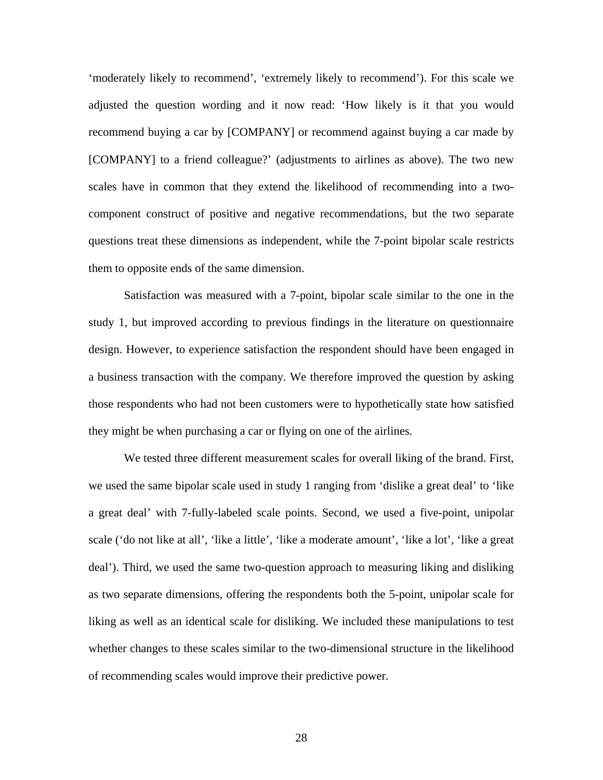'moderately likely to recommend', 'extremely likely to recommend'). For this scale we adjusted the question wording and it now read: 'How likely is it that you would recommend buying a car by [COMPANY] or recommend against buying a car made by [COMPANY] to a friend colleague?' (adjustments to airlines as above). The two new scales have in common that they extend the likelihood of recommending into a twocomponent construct of positive and negative recommendations, but the two separate questions treat these dimensions as independent, while the 7-point bipolar scale restricts them to opposite ends of the same dimension.

Satisfaction was measured with a 7-point, bipolar scale similar to the one in the study 1, but improved according to previous findings in the literature on questionnaire design. However, to experience satisfaction the respondent should have been engaged in a business transaction with the company. We therefore improved the question by asking those respondents who had not been customers were to hypothetically state how satisfied they might be when purchasing a car or flying on one of the airlines.

We tested three different measurement scales for overall liking of the brand. First, we used the same bipolar scale used in study 1 ranging from 'dislike a great deal' to 'like a great deal' with 7-fully-labeled scale points. Second, we used a five-point, unipolar scale ('do not like at all', 'like a little', 'like a moderate amount', 'like a lot', 'like a great deal'). Third, we used the same two-question approach to measuring liking and disliking as two separate dimensions, offering the respondents both the 5-point, unipolar scale for liking as well as an identical scale for disliking. We included these manipulations to test whether changes to these scales similar to the two-dimensional structure in the likelihood of recommending scales would improve their predictive power.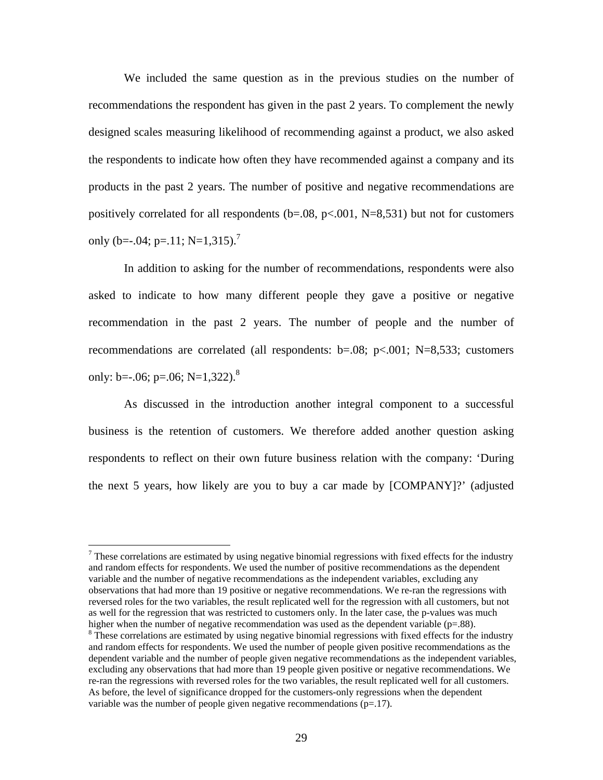We included the same question as in the previous studies on the number of recommendations the respondent has given in the past 2 years. To complement the newly designed scales measuring likelihood of recommending against a product, we also asked the respondents to indicate how often they have recommended against a company and its products in the past 2 years. The number of positive and negative recommendations are positively correlated for all respondents (b=.08, p<.001, N=8,531) but not for customers only (b=-.04; p=.11; N=1,315).<sup>7</sup>

In addition to asking for the number of recommendations, respondents were also asked to indicate to how many different people they gave a positive or negative recommendation in the past 2 years. The number of people and the number of recommendations are correlated (all respondents:  $b=.08$ ;  $p<.001$ ; N=8,533; customers only: b= $-0.06$ ; p= $0.06$ ; N= $1,322$ ).<sup>8</sup>

As discussed in the introduction another integral component to a successful business is the retention of customers. We therefore added another question asking respondents to reflect on their own future business relation with the company: 'During the next 5 years, how likely are you to buy a car made by [COMPANY]?' (adjusted

 $\overline{a}$ 

 $<sup>7</sup>$  These correlations are estimated by using negative binomial regressions with fixed effects for the industry</sup> and random effects for respondents. We used the number of positive recommendations as the dependent variable and the number of negative recommendations as the independent variables, excluding any observations that had more than 19 positive or negative recommendations. We re-ran the regressions with reversed roles for the two variables, the result replicated well for the regression with all customers, but not as well for the regression that was restricted to customers only. In the later case, the p-values was much higher when the number of negative recommendation was used as the dependent variable ( $p=88$ ).

<sup>&</sup>lt;sup>8</sup> These correlations are estimated by using negative binomial regressions with fixed effects for the industry and random effects for respondents. We used the number of people given positive recommendations as the dependent variable and the number of people given negative recommendations as the independent variables, excluding any observations that had more than 19 people given positive or negative recommendations. We re-ran the regressions with reversed roles for the two variables, the result replicated well for all customers. As before, the level of significance dropped for the customers-only regressions when the dependent variable was the number of people given negative recommendations (p=.17).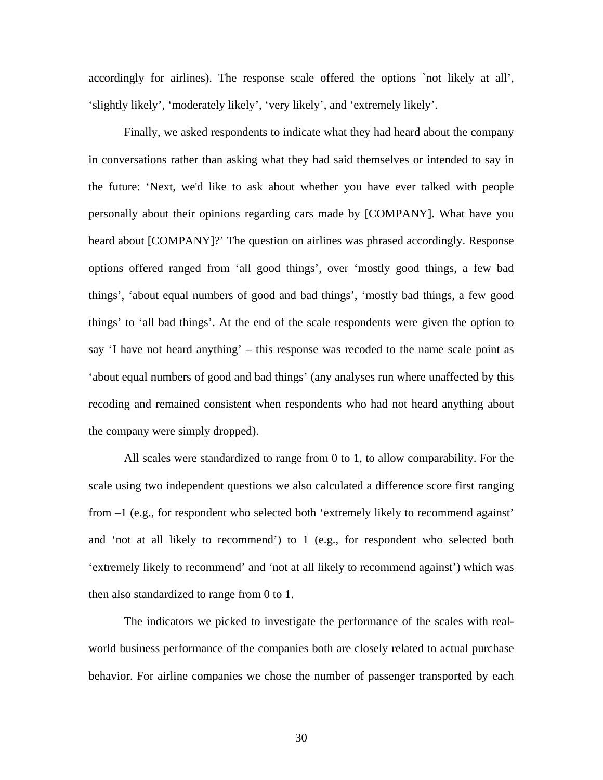accordingly for airlines). The response scale offered the options `not likely at all', 'slightly likely', 'moderately likely', 'very likely', and 'extremely likely'.

Finally, we asked respondents to indicate what they had heard about the company in conversations rather than asking what they had said themselves or intended to say in the future: 'Next, we'd like to ask about whether you have ever talked with people personally about their opinions regarding cars made by [COMPANY]. What have you heard about [COMPANY]?' The question on airlines was phrased accordingly. Response options offered ranged from 'all good things', over 'mostly good things, a few bad things', 'about equal numbers of good and bad things', 'mostly bad things, a few good things' to 'all bad things'. At the end of the scale respondents were given the option to say 'I have not heard anything' – this response was recoded to the name scale point as 'about equal numbers of good and bad things' (any analyses run where unaffected by this recoding and remained consistent when respondents who had not heard anything about the company were simply dropped).

All scales were standardized to range from 0 to 1, to allow comparability. For the scale using two independent questions we also calculated a difference score first ranging from –1 (e.g., for respondent who selected both 'extremely likely to recommend against' and 'not at all likely to recommend') to 1 (e.g., for respondent who selected both 'extremely likely to recommend' and 'not at all likely to recommend against') which was then also standardized to range from 0 to 1.

The indicators we picked to investigate the performance of the scales with realworld business performance of the companies both are closely related to actual purchase behavior. For airline companies we chose the number of passenger transported by each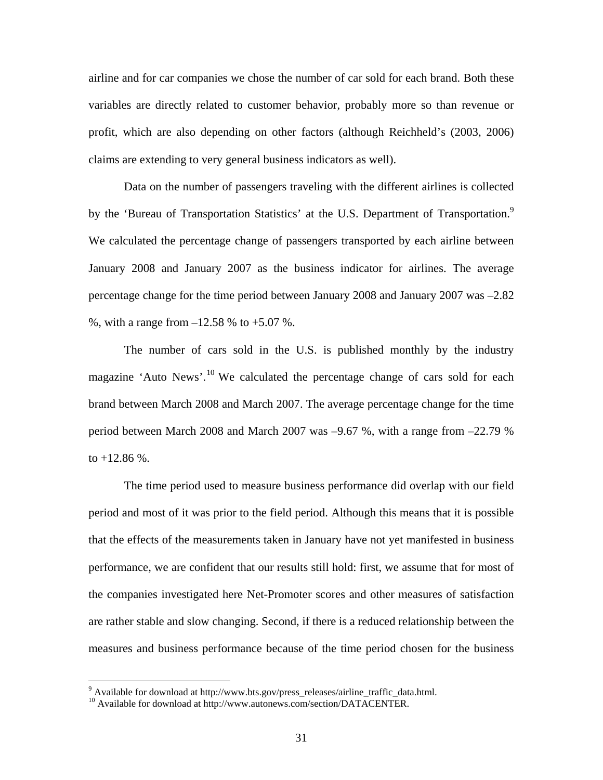airline and for car companies we chose the number of car sold for each brand. Both these variables are directly related to customer behavior, probably more so than revenue or profit, which are also depending on other factors (although Reichheld's (2003, 2006) claims are extending to very general business indicators as well).

Data on the number of passengers traveling with the different airlines is collected by the 'Bureau of Transportation Statistics' at the U.S. Department of Transportation.<sup>9</sup> We calculated the percentage change of passengers transported by each airline between January 2008 and January 2007 as the business indicator for airlines. The average percentage change for the time period between January 2008 and January 2007 was –2.82 %, with a range from  $-12.58$  % to  $+5.07$  %.

The number of cars sold in the U.S. is published monthly by the industry magazine 'Auto News'.<sup>10</sup> We calculated the percentage change of cars sold for each brand between March 2008 and March 2007. The average percentage change for the time period between March 2008 and March 2007 was –9.67 %, with a range from –22.79 % to  $+12.86$  %.

The time period used to measure business performance did overlap with our field period and most of it was prior to the field period. Although this means that it is possible that the effects of the measurements taken in January have not yet manifested in business performance, we are confident that our results still hold: first, we assume that for most of the companies investigated here Net-Promoter scores and other measures of satisfaction are rather stable and slow changing. Second, if there is a reduced relationship between the measures and business performance because of the time period chosen for the business

<sup>&</sup>lt;sup>9</sup> Available for download at http://www.bts.gov/press\_releases/airline\_traffic\_data.html.

<sup>&</sup>lt;sup>10</sup> Available for download at http://www.autonews.com/section/DATACENTER.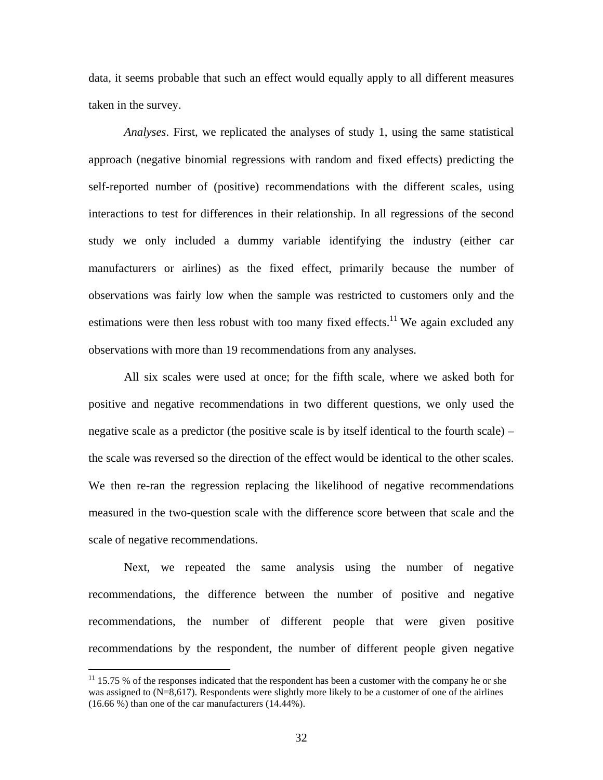data, it seems probable that such an effect would equally apply to all different measures taken in the survey.

*Analyses*. First, we replicated the analyses of study 1, using the same statistical approach (negative binomial regressions with random and fixed effects) predicting the self-reported number of (positive) recommendations with the different scales, using interactions to test for differences in their relationship. In all regressions of the second study we only included a dummy variable identifying the industry (either car manufacturers or airlines) as the fixed effect, primarily because the number of observations was fairly low when the sample was restricted to customers only and the estimations were then less robust with too many fixed effects.<sup>11</sup> We again excluded any observations with more than 19 recommendations from any analyses.

All six scales were used at once; for the fifth scale, where we asked both for positive and negative recommendations in two different questions, we only used the negative scale as a predictor (the positive scale is by itself identical to the fourth scale) – the scale was reversed so the direction of the effect would be identical to the other scales. We then re-ran the regression replacing the likelihood of negative recommendations measured in the two-question scale with the difference score between that scale and the scale of negative recommendations.

Next, we repeated the same analysis using the number of negative recommendations, the difference between the number of positive and negative recommendations, the number of different people that were given positive recommendations by the respondent, the number of different people given negative

 $\overline{a}$ 

 $11$  15.75 % of the responses indicated that the respondent has been a customer with the company he or she was assigned to  $(N=8,617)$ . Respondents were slightly more likely to be a customer of one of the airlines (16.66 %) than one of the car manufacturers (14.44%).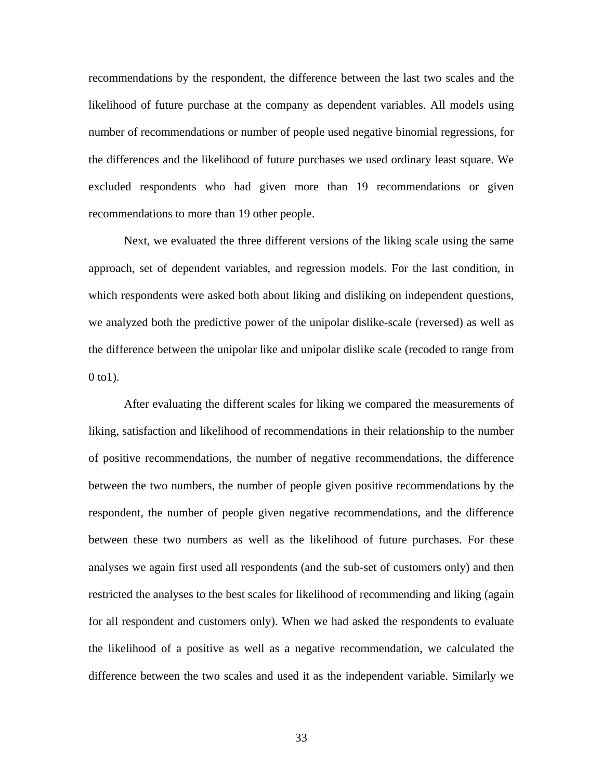recommendations by the respondent, the difference between the last two scales and the likelihood of future purchase at the company as dependent variables. All models using number of recommendations or number of people used negative binomial regressions, for the differences and the likelihood of future purchases we used ordinary least square. We excluded respondents who had given more than 19 recommendations or given recommendations to more than 19 other people.

Next, we evaluated the three different versions of the liking scale using the same approach, set of dependent variables, and regression models. For the last condition, in which respondents were asked both about liking and disliking on independent questions, we analyzed both the predictive power of the unipolar dislike-scale (reversed) as well as the difference between the unipolar like and unipolar dislike scale (recoded to range from 0 to1).

After evaluating the different scales for liking we compared the measurements of liking, satisfaction and likelihood of recommendations in their relationship to the number of positive recommendations, the number of negative recommendations, the difference between the two numbers, the number of people given positive recommendations by the respondent, the number of people given negative recommendations, and the difference between these two numbers as well as the likelihood of future purchases. For these analyses we again first used all respondents (and the sub-set of customers only) and then restricted the analyses to the best scales for likelihood of recommending and liking (again for all respondent and customers only). When we had asked the respondents to evaluate the likelihood of a positive as well as a negative recommendation, we calculated the difference between the two scales and used it as the independent variable. Similarly we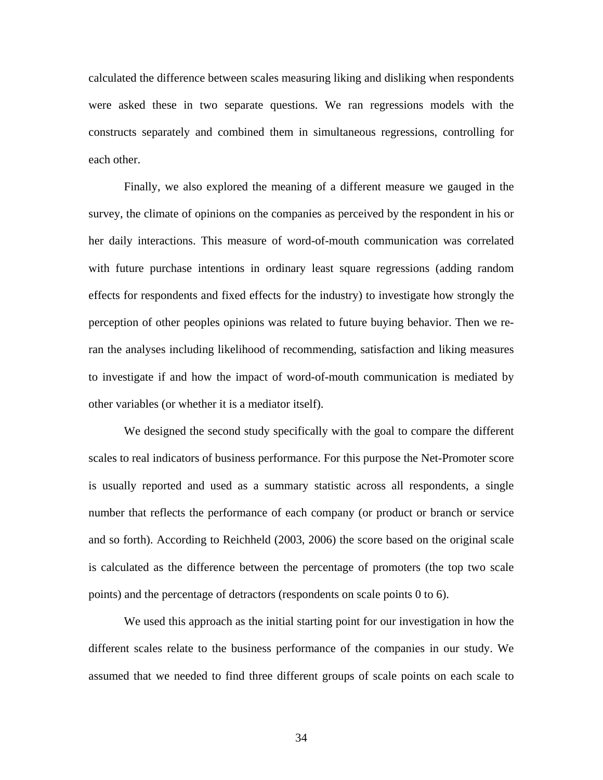calculated the difference between scales measuring liking and disliking when respondents were asked these in two separate questions. We ran regressions models with the constructs separately and combined them in simultaneous regressions, controlling for each other.

Finally, we also explored the meaning of a different measure we gauged in the survey, the climate of opinions on the companies as perceived by the respondent in his or her daily interactions. This measure of word-of-mouth communication was correlated with future purchase intentions in ordinary least square regressions (adding random effects for respondents and fixed effects for the industry) to investigate how strongly the perception of other peoples opinions was related to future buying behavior. Then we reran the analyses including likelihood of recommending, satisfaction and liking measures to investigate if and how the impact of word-of-mouth communication is mediated by other variables (or whether it is a mediator itself).

We designed the second study specifically with the goal to compare the different scales to real indicators of business performance. For this purpose the Net-Promoter score is usually reported and used as a summary statistic across all respondents, a single number that reflects the performance of each company (or product or branch or service and so forth). According to Reichheld (2003, 2006) the score based on the original scale is calculated as the difference between the percentage of promoters (the top two scale points) and the percentage of detractors (respondents on scale points 0 to 6).

We used this approach as the initial starting point for our investigation in how the different scales relate to the business performance of the companies in our study. We assumed that we needed to find three different groups of scale points on each scale to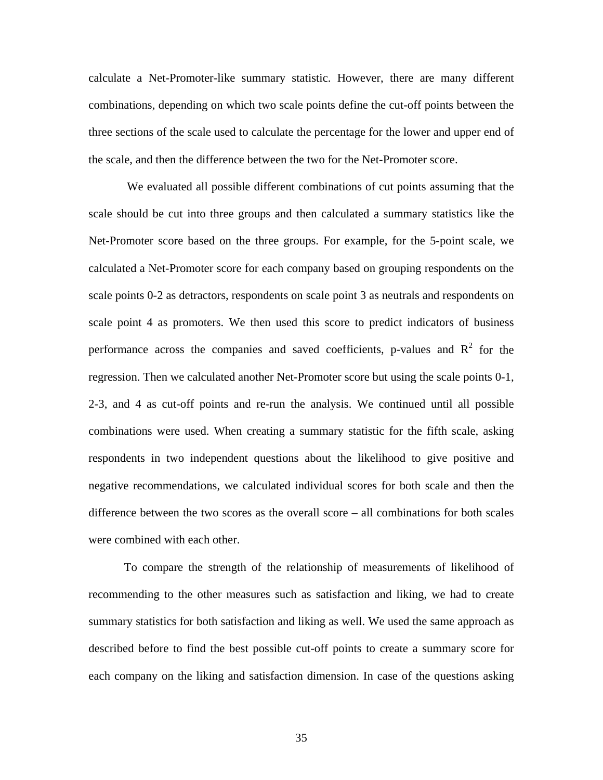calculate a Net-Promoter-like summary statistic. However, there are many different combinations, depending on which two scale points define the cut-off points between the three sections of the scale used to calculate the percentage for the lower and upper end of the scale, and then the difference between the two for the Net-Promoter score.

 We evaluated all possible different combinations of cut points assuming that the scale should be cut into three groups and then calculated a summary statistics like the Net-Promoter score based on the three groups. For example, for the 5-point scale, we calculated a Net-Promoter score for each company based on grouping respondents on the scale points 0-2 as detractors, respondents on scale point 3 as neutrals and respondents on scale point 4 as promoters. We then used this score to predict indicators of business performance across the companies and saved coefficients, p-values and  $R^2$  for the regression. Then we calculated another Net-Promoter score but using the scale points 0-1, 2-3, and 4 as cut-off points and re-run the analysis. We continued until all possible combinations were used. When creating a summary statistic for the fifth scale, asking respondents in two independent questions about the likelihood to give positive and negative recommendations, we calculated individual scores for both scale and then the difference between the two scores as the overall score – all combinations for both scales were combined with each other.

To compare the strength of the relationship of measurements of likelihood of recommending to the other measures such as satisfaction and liking, we had to create summary statistics for both satisfaction and liking as well. We used the same approach as described before to find the best possible cut-off points to create a summary score for each company on the liking and satisfaction dimension. In case of the questions asking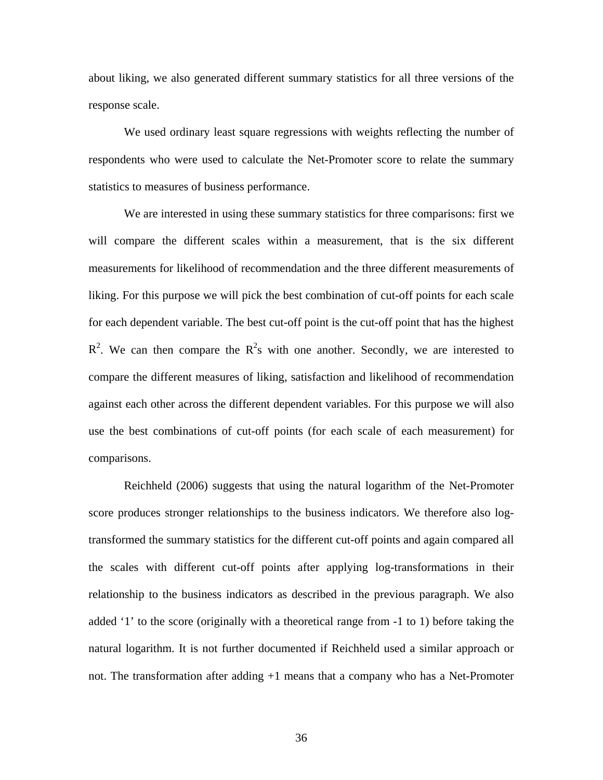about liking, we also generated different summary statistics for all three versions of the response scale.

We used ordinary least square regressions with weights reflecting the number of respondents who were used to calculate the Net-Promoter score to relate the summary statistics to measures of business performance.

We are interested in using these summary statistics for three comparisons: first we will compare the different scales within a measurement, that is the six different measurements for likelihood of recommendation and the three different measurements of liking. For this purpose we will pick the best combination of cut-off points for each scale for each dependent variable. The best cut-off point is the cut-off point that has the highest  $R^2$ . We can then compare the  $R^2$ s with one another. Secondly, we are interested to compare the different measures of liking, satisfaction and likelihood of recommendation against each other across the different dependent variables. For this purpose we will also use the best combinations of cut-off points (for each scale of each measurement) for comparisons.

Reichheld (2006) suggests that using the natural logarithm of the Net-Promoter score produces stronger relationships to the business indicators. We therefore also logtransformed the summary statistics for the different cut-off points and again compared all the scales with different cut-off points after applying log-transformations in their relationship to the business indicators as described in the previous paragraph. We also added '1' to the score (originally with a theoretical range from -1 to 1) before taking the natural logarithm. It is not further documented if Reichheld used a similar approach or not. The transformation after adding +1 means that a company who has a Net-Promoter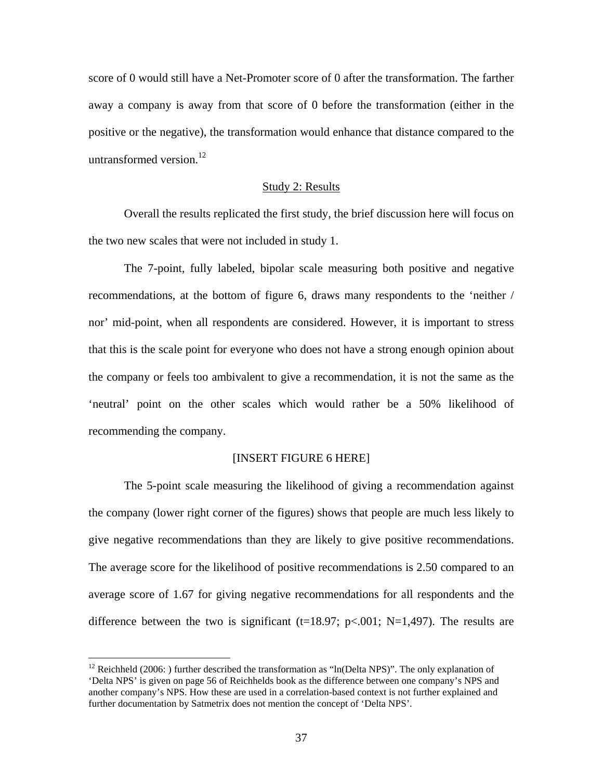score of 0 would still have a Net-Promoter score of 0 after the transformation. The farther away a company is away from that score of 0 before the transformation (either in the positive or the negative), the transformation would enhance that distance compared to the untransformed version. $12$ 

## Study 2: Results

Overall the results replicated the first study, the brief discussion here will focus on the two new scales that were not included in study 1.

The 7-point, fully labeled, bipolar scale measuring both positive and negative recommendations, at the bottom of figure 6, draws many respondents to the 'neither / nor' mid-point, when all respondents are considered. However, it is important to stress that this is the scale point for everyone who does not have a strong enough opinion about the company or feels too ambivalent to give a recommendation, it is not the same as the 'neutral' point on the other scales which would rather be a 50% likelihood of recommending the company.

## [INSERT FIGURE 6 HERE]

The 5-point scale measuring the likelihood of giving a recommendation against the company (lower right corner of the figures) shows that people are much less likely to give negative recommendations than they are likely to give positive recommendations. The average score for the likelihood of positive recommendations is 2.50 compared to an average score of 1.67 for giving negative recommendations for all respondents and the difference between the two is significant (t=18.97; p<.001; N=1,497). The results are

 $\overline{a}$ 

<sup>&</sup>lt;sup>12</sup> Reichheld (2006: ) further described the transformation as "ln(Delta NPS)". The only explanation of 'Delta NPS' is given on page 56 of Reichhelds book as the difference between one company's NPS and another company's NPS. How these are used in a correlation-based context is not further explained and further documentation by Satmetrix does not mention the concept of 'Delta NPS'.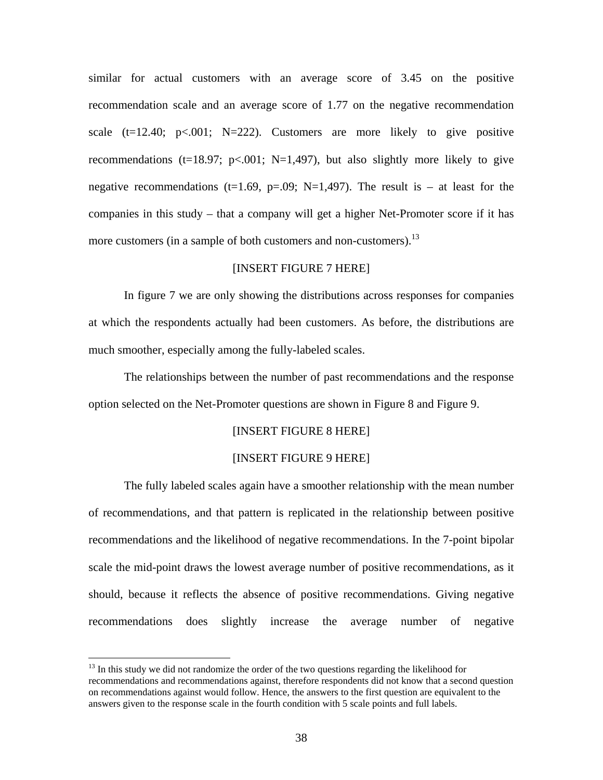similar for actual customers with an average score of 3.45 on the positive recommendation scale and an average score of 1.77 on the negative recommendation scale  $(t=12.40; p<.001; N=222)$ . Customers are more likely to give positive recommendations (t=18.97; p<.001; N=1,497), but also slightly more likely to give negative recommendations (t=1.69, p=.09; N=1,497). The result is – at least for the companies in this study – that a company will get a higher Net-Promoter score if it has more customers (in a sample of both customers and non-customers).<sup>13</sup>

## [INSERT FIGURE 7 HERE]

In figure 7 we are only showing the distributions across responses for companies at which the respondents actually had been customers. As before, the distributions are much smoother, especially among the fully-labeled scales.

The relationships between the number of past recommendations and the response option selected on the Net-Promoter questions are shown in Figure 8 and Figure 9.

## [INSERT FIGURE 8 HERE]

#### [INSERT FIGURE 9 HERE]

The fully labeled scales again have a smoother relationship with the mean number of recommendations, and that pattern is replicated in the relationship between positive recommendations and the likelihood of negative recommendations. In the 7-point bipolar scale the mid-point draws the lowest average number of positive recommendations, as it should, because it reflects the absence of positive recommendations. Giving negative recommendations does slightly increase the average number of negative

 $\overline{a}$ 

 $13$  In this study we did not randomize the order of the two questions regarding the likelihood for recommendations and recommendations against, therefore respondents did not know that a second question on recommendations against would follow. Hence, the answers to the first question are equivalent to the answers given to the response scale in the fourth condition with 5 scale points and full labels.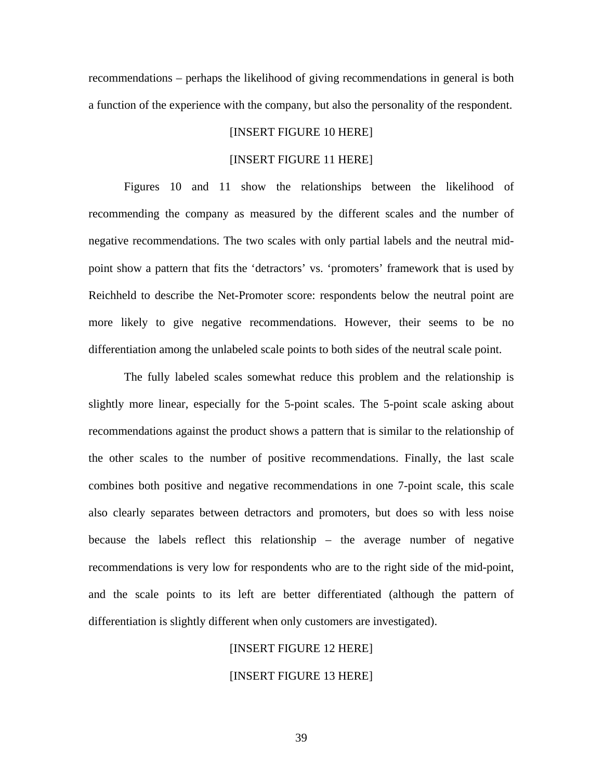recommendations – perhaps the likelihood of giving recommendations in general is both a function of the experience with the company, but also the personality of the respondent.

## [INSERT FIGURE 10 HERE]

## [INSERT FIGURE 11 HERE]

Figures 10 and 11 show the relationships between the likelihood of recommending the company as measured by the different scales and the number of negative recommendations. The two scales with only partial labels and the neutral midpoint show a pattern that fits the 'detractors' vs. 'promoters' framework that is used by Reichheld to describe the Net-Promoter score: respondents below the neutral point are more likely to give negative recommendations. However, their seems to be no differentiation among the unlabeled scale points to both sides of the neutral scale point.

The fully labeled scales somewhat reduce this problem and the relationship is slightly more linear, especially for the 5-point scales. The 5-point scale asking about recommendations against the product shows a pattern that is similar to the relationship of the other scales to the number of positive recommendations. Finally, the last scale combines both positive and negative recommendations in one 7-point scale, this scale also clearly separates between detractors and promoters, but does so with less noise because the labels reflect this relationship – the average number of negative recommendations is very low for respondents who are to the right side of the mid-point, and the scale points to its left are better differentiated (although the pattern of differentiation is slightly different when only customers are investigated).

## [INSERT FIGURE 12 HERE]

#### [INSERT FIGURE 13 HERE]

39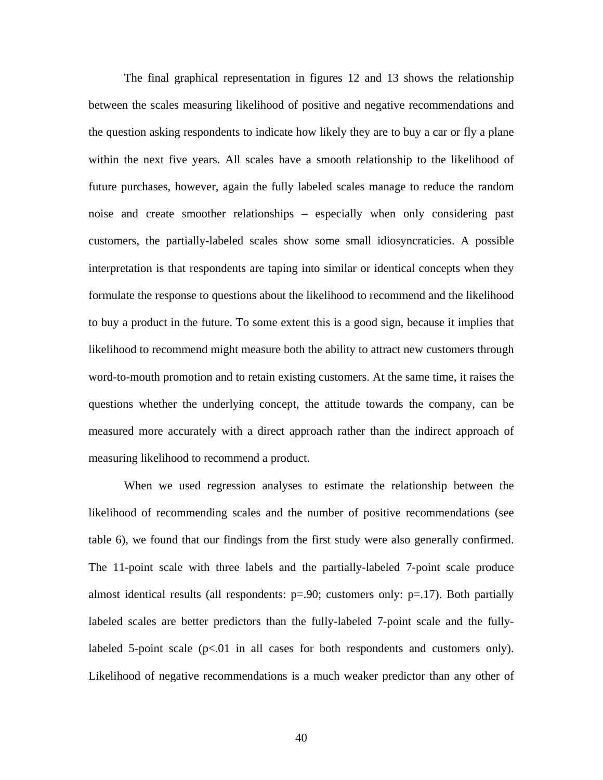The final graphical representation in figures 12 and 13 shows the relationship between the scales measuring likelihood of positive and negative recommendations and the question asking respondents to indicate how likely they are to buy a car or fly a plane within the next five years. All scales have a smooth relationship to the likelihood of future purchases, however, again the fully labeled scales manage to reduce the random noise and create smoother relationships – especially when only considering past customers, the partially-labeled scales show some small idiosyncraticies. A possible interpretation is that respondents are taping into similar or identical concepts when they formulate the response to questions about the likelihood to recommend and the likelihood to buy a product in the future. To some extent this is a good sign, because it implies that likelihood to recommend might measure both the ability to attract new customers through word-to-mouth promotion and to retain existing customers. At the same time, it raises the questions whether the underlying concept, the attitude towards the company, can be measured more accurately with a direct approach rather than the indirect approach of measuring likelihood to recommend a product.

When we used regression analyses to estimate the relationship between the likelihood of recommending scales and the number of positive recommendations (see table 6), we found that our findings from the first study were also generally confirmed. The 11-point scale with three labels and the partially-labeled 7-point scale produce almost identical results (all respondents:  $p=0.90$ ; customers only:  $p=.17$ ). Both partially labeled scales are better predictors than the fully-labeled 7-point scale and the fullylabeled 5-point scale  $(p<01$  in all cases for both respondents and customers only). Likelihood of negative recommendations is a much weaker predictor than any other of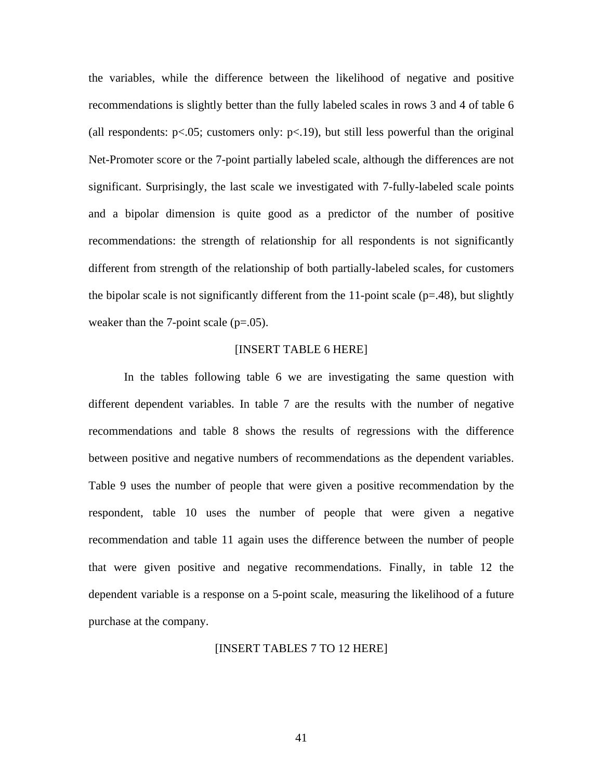the variables, while the difference between the likelihood of negative and positive recommendations is slightly better than the fully labeled scales in rows 3 and 4 of table 6 (all respondents:  $p<.05$ ; customers only:  $p<.19$ ), but still less powerful than the original Net-Promoter score or the 7-point partially labeled scale, although the differences are not significant. Surprisingly, the last scale we investigated with 7-fully-labeled scale points and a bipolar dimension is quite good as a predictor of the number of positive recommendations: the strength of relationship for all respondents is not significantly different from strength of the relationship of both partially-labeled scales, for customers the bipolar scale is not significantly different from the 11-point scale  $(p=0.48)$ , but slightly weaker than the 7-point scale  $(p=.05)$ .

## [INSERT TABLE 6 HERE]

In the tables following table 6 we are investigating the same question with different dependent variables. In table 7 are the results with the number of negative recommendations and table 8 shows the results of regressions with the difference between positive and negative numbers of recommendations as the dependent variables. Table 9 uses the number of people that were given a positive recommendation by the respondent, table 10 uses the number of people that were given a negative recommendation and table 11 again uses the difference between the number of people that were given positive and negative recommendations. Finally, in table 12 the dependent variable is a response on a 5-point scale, measuring the likelihood of a future purchase at the company.

#### [INSERT TABLES 7 TO 12 HERE]

41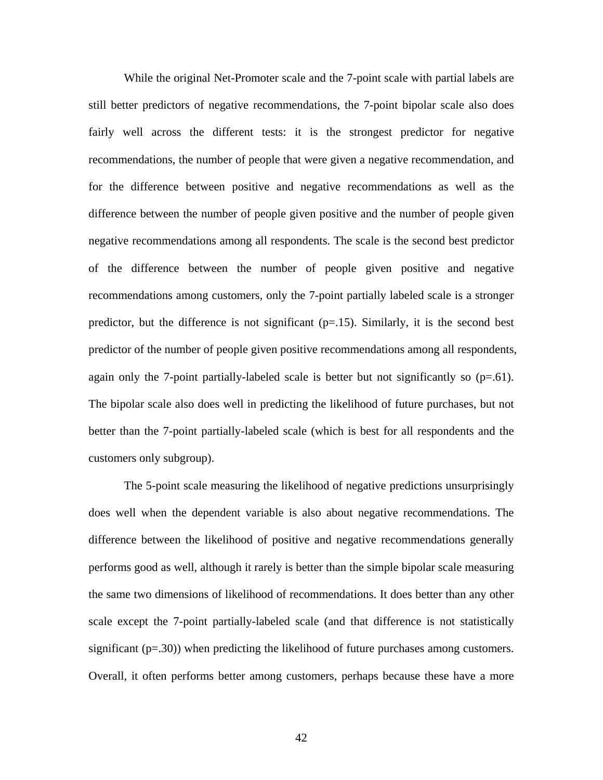While the original Net-Promoter scale and the 7-point scale with partial labels are still better predictors of negative recommendations, the 7-point bipolar scale also does fairly well across the different tests: it is the strongest predictor for negative recommendations, the number of people that were given a negative recommendation, and for the difference between positive and negative recommendations as well as the difference between the number of people given positive and the number of people given negative recommendations among all respondents. The scale is the second best predictor of the difference between the number of people given positive and negative recommendations among customers, only the 7-point partially labeled scale is a stronger predictor, but the difference is not significant  $(p=15)$ . Similarly, it is the second best predictor of the number of people given positive recommendations among all respondents, again only the 7-point partially-labeled scale is better but not significantly so  $(p=61)$ . The bipolar scale also does well in predicting the likelihood of future purchases, but not better than the 7-point partially-labeled scale (which is best for all respondents and the customers only subgroup).

The 5-point scale measuring the likelihood of negative predictions unsurprisingly does well when the dependent variable is also about negative recommendations. The difference between the likelihood of positive and negative recommendations generally performs good as well, although it rarely is better than the simple bipolar scale measuring the same two dimensions of likelihood of recommendations. It does better than any other scale except the 7-point partially-labeled scale (and that difference is not statistically significant  $(p=.30)$ ) when predicting the likelihood of future purchases among customers. Overall, it often performs better among customers, perhaps because these have a more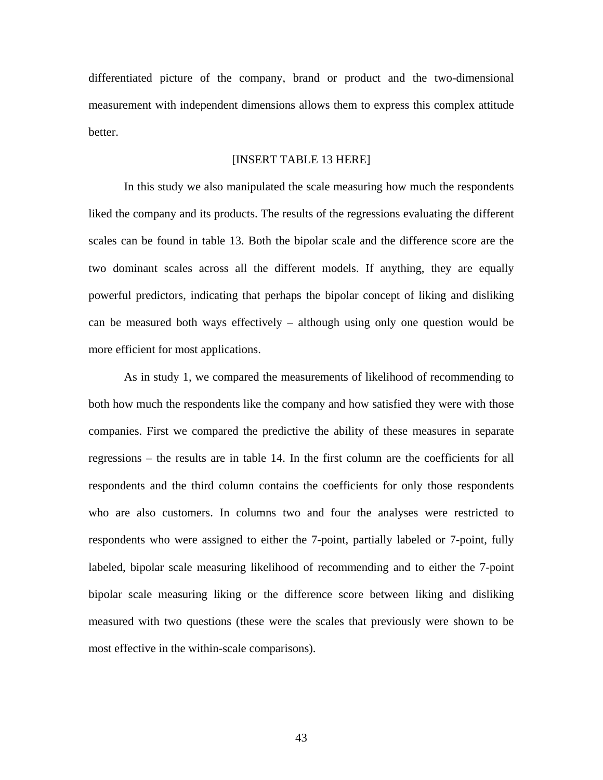differentiated picture of the company, brand or product and the two-dimensional measurement with independent dimensions allows them to express this complex attitude better.

## [INSERT TABLE 13 HERE]

In this study we also manipulated the scale measuring how much the respondents liked the company and its products. The results of the regressions evaluating the different scales can be found in table 13. Both the bipolar scale and the difference score are the two dominant scales across all the different models. If anything, they are equally powerful predictors, indicating that perhaps the bipolar concept of liking and disliking can be measured both ways effectively – although using only one question would be more efficient for most applications.

As in study 1, we compared the measurements of likelihood of recommending to both how much the respondents like the company and how satisfied they were with those companies. First we compared the predictive the ability of these measures in separate regressions – the results are in table 14. In the first column are the coefficients for all respondents and the third column contains the coefficients for only those respondents who are also customers. In columns two and four the analyses were restricted to respondents who were assigned to either the 7-point, partially labeled or 7-point, fully labeled, bipolar scale measuring likelihood of recommending and to either the 7-point bipolar scale measuring liking or the difference score between liking and disliking measured with two questions (these were the scales that previously were shown to be most effective in the within-scale comparisons).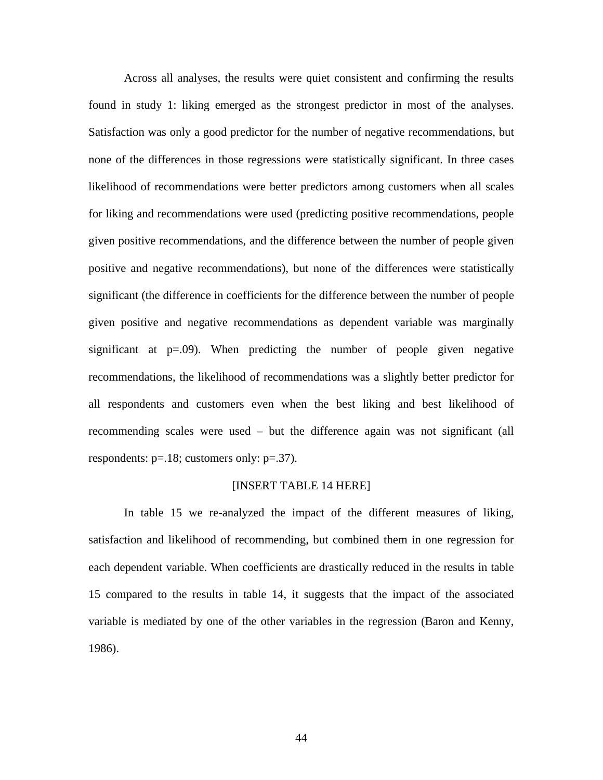Across all analyses, the results were quiet consistent and confirming the results found in study 1: liking emerged as the strongest predictor in most of the analyses. Satisfaction was only a good predictor for the number of negative recommendations, but none of the differences in those regressions were statistically significant. In three cases likelihood of recommendations were better predictors among customers when all scales for liking and recommendations were used (predicting positive recommendations, people given positive recommendations, and the difference between the number of people given positive and negative recommendations), but none of the differences were statistically significant (the difference in coefficients for the difference between the number of people given positive and negative recommendations as dependent variable was marginally significant at  $p=0.09$ . When predicting the number of people given negative recommendations, the likelihood of recommendations was a slightly better predictor for all respondents and customers even when the best liking and best likelihood of recommending scales were used – but the difference again was not significant (all respondents: p=.18; customers only: p=.37).

#### [INSERT TABLE 14 HERE]

In table 15 we re-analyzed the impact of the different measures of liking, satisfaction and likelihood of recommending, but combined them in one regression for each dependent variable. When coefficients are drastically reduced in the results in table 15 compared to the results in table 14, it suggests that the impact of the associated variable is mediated by one of the other variables in the regression (Baron and Kenny, 1986).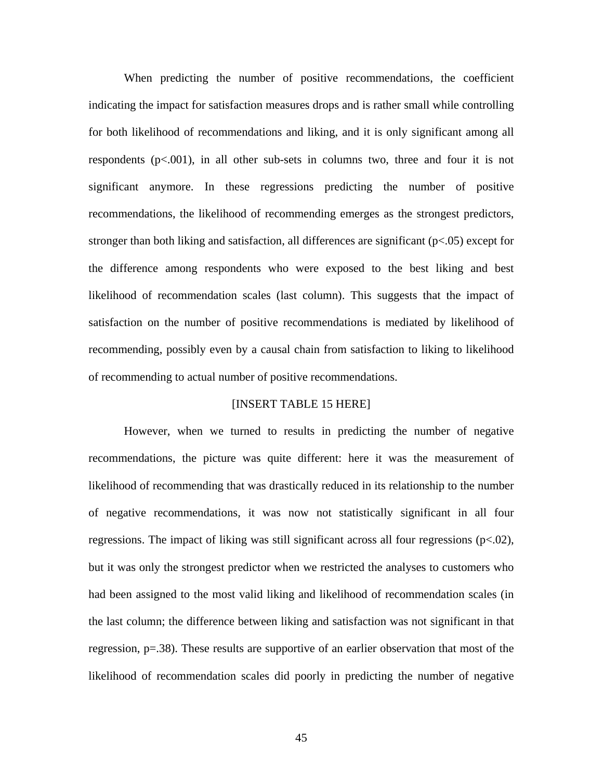When predicting the number of positive recommendations, the coefficient indicating the impact for satisfaction measures drops and is rather small while controlling for both likelihood of recommendations and liking, and it is only significant among all respondents  $(p<.001)$ , in all other sub-sets in columns two, three and four it is not significant anymore. In these regressions predicting the number of positive recommendations, the likelihood of recommending emerges as the strongest predictors, stronger than both liking and satisfaction, all differences are significant (p<.05) except for the difference among respondents who were exposed to the best liking and best likelihood of recommendation scales (last column). This suggests that the impact of satisfaction on the number of positive recommendations is mediated by likelihood of recommending, possibly even by a causal chain from satisfaction to liking to likelihood of recommending to actual number of positive recommendations.

## [INSERT TABLE 15 HERE]

However, when we turned to results in predicting the number of negative recommendations, the picture was quite different: here it was the measurement of likelihood of recommending that was drastically reduced in its relationship to the number of negative recommendations, it was now not statistically significant in all four regressions. The impact of liking was still significant across all four regressions (p<.02), but it was only the strongest predictor when we restricted the analyses to customers who had been assigned to the most valid liking and likelihood of recommendation scales (in the last column; the difference between liking and satisfaction was not significant in that regression, p=.38). These results are supportive of an earlier observation that most of the likelihood of recommendation scales did poorly in predicting the number of negative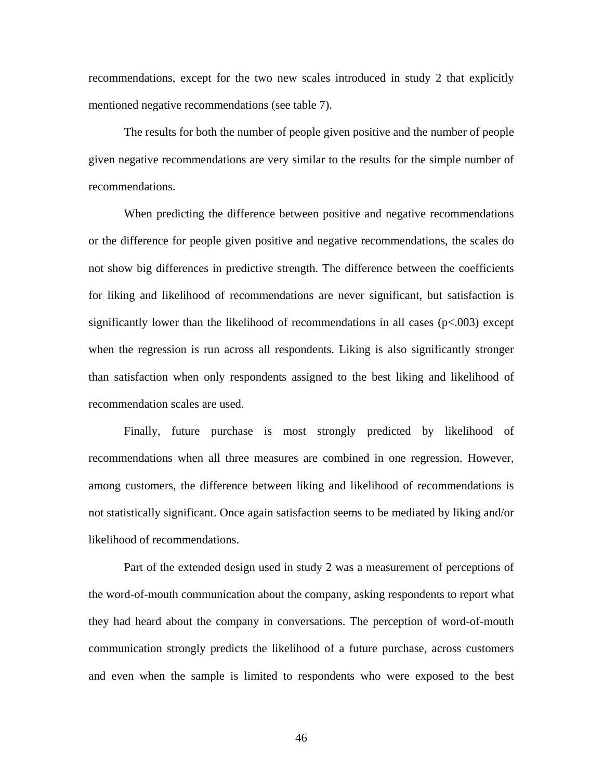recommendations, except for the two new scales introduced in study 2 that explicitly mentioned negative recommendations (see table 7).

The results for both the number of people given positive and the number of people given negative recommendations are very similar to the results for the simple number of recommendations.

When predicting the difference between positive and negative recommendations or the difference for people given positive and negative recommendations, the scales do not show big differences in predictive strength. The difference between the coefficients for liking and likelihood of recommendations are never significant, but satisfaction is significantly lower than the likelihood of recommendations in all cases  $(p<.003)$  except when the regression is run across all respondents. Liking is also significantly stronger than satisfaction when only respondents assigned to the best liking and likelihood of recommendation scales are used.

Finally, future purchase is most strongly predicted by likelihood of recommendations when all three measures are combined in one regression. However, among customers, the difference between liking and likelihood of recommendations is not statistically significant. Once again satisfaction seems to be mediated by liking and/or likelihood of recommendations.

Part of the extended design used in study 2 was a measurement of perceptions of the word-of-mouth communication about the company, asking respondents to report what they had heard about the company in conversations. The perception of word-of-mouth communication strongly predicts the likelihood of a future purchase, across customers and even when the sample is limited to respondents who were exposed to the best

46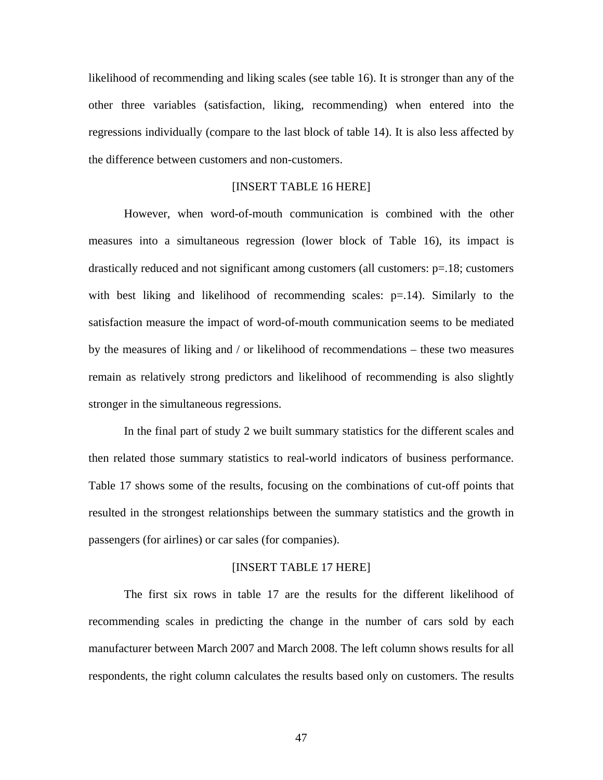likelihood of recommending and liking scales (see table 16). It is stronger than any of the other three variables (satisfaction, liking, recommending) when entered into the regressions individually (compare to the last block of table 14). It is also less affected by the difference between customers and non-customers.

## [INSERT TABLE 16 HERE]

However, when word-of-mouth communication is combined with the other measures into a simultaneous regression (lower block of Table 16), its impact is drastically reduced and not significant among customers (all customers:  $p=18$ ; customers with best liking and likelihood of recommending scales: p=.14). Similarly to the satisfaction measure the impact of word-of-mouth communication seems to be mediated by the measures of liking and / or likelihood of recommendations – these two measures remain as relatively strong predictors and likelihood of recommending is also slightly stronger in the simultaneous regressions.

In the final part of study 2 we built summary statistics for the different scales and then related those summary statistics to real-world indicators of business performance. Table 17 shows some of the results, focusing on the combinations of cut-off points that resulted in the strongest relationships between the summary statistics and the growth in passengers (for airlines) or car sales (for companies).

#### [INSERT TABLE 17 HERE]

The first six rows in table 17 are the results for the different likelihood of recommending scales in predicting the change in the number of cars sold by each manufacturer between March 2007 and March 2008. The left column shows results for all respondents, the right column calculates the results based only on customers. The results

47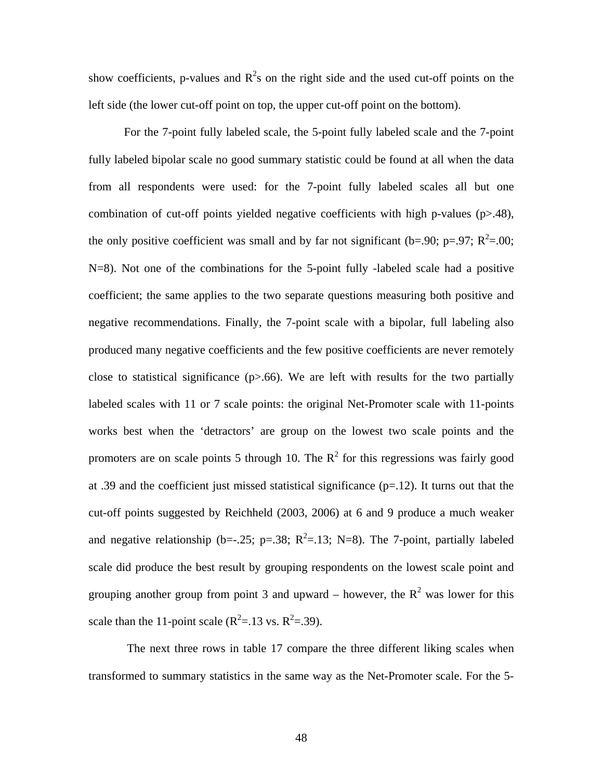show coefficients, p-values and  $R^2$ s on the right side and the used cut-off points on the left side (the lower cut-off point on top, the upper cut-off point on the bottom).

For the 7-point fully labeled scale, the 5-point fully labeled scale and the 7-point fully labeled bipolar scale no good summary statistic could be found at all when the data from all respondents were used: for the 7-point fully labeled scales all but one combination of cut-off points yielded negative coefficients with high p-values (p>.48), the only positive coefficient was small and by far not significant (b=.90; p=.97;  $R^2$ =.00; N=8). Not one of the combinations for the 5-point fully -labeled scale had a positive coefficient; the same applies to the two separate questions measuring both positive and negative recommendations. Finally, the 7-point scale with a bipolar, full labeling also produced many negative coefficients and the few positive coefficients are never remotely close to statistical significance  $(p>0.66)$ . We are left with results for the two partially labeled scales with 11 or 7 scale points: the original Net-Promoter scale with 11-points works best when the 'detractors' are group on the lowest two scale points and the promoters are on scale points 5 through 10. The  $R^2$  for this regressions was fairly good at .39 and the coefficient just missed statistical significance  $(p=12)$ . It turns out that the cut-off points suggested by Reichheld (2003, 2006) at 6 and 9 produce a much weaker and negative relationship (b= $-0.25$ ; p= $0.38$ ; R<sup>2</sup>= $0.13$ ; N=8). The 7-point, partially labeled scale did produce the best result by grouping respondents on the lowest scale point and grouping another group from point 3 and upward – however, the  $R^2$  was lower for this scale than the 11-point scale  $(R^2=13 \text{ vs. } R^2=39)$ .

 The next three rows in table 17 compare the three different liking scales when transformed to summary statistics in the same way as the Net-Promoter scale. For the 5-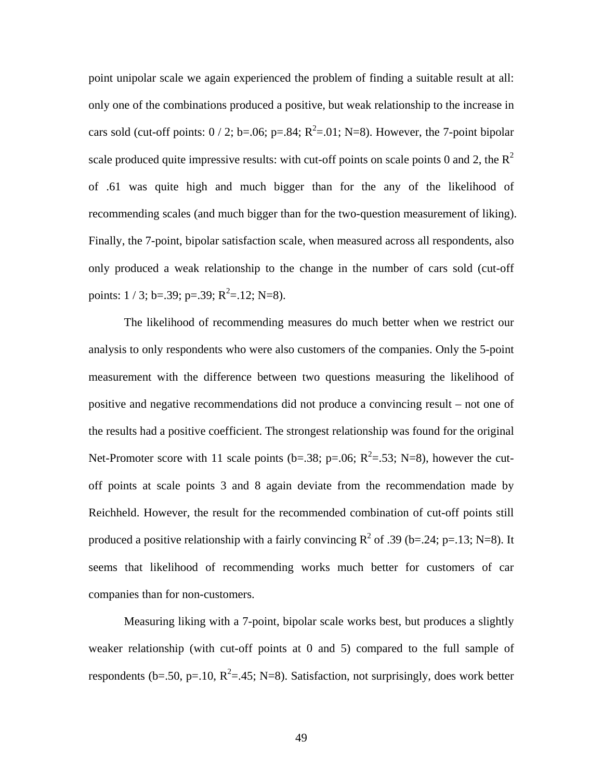point unipolar scale we again experienced the problem of finding a suitable result at all: only one of the combinations produced a positive, but weak relationship to the increase in cars sold (cut-off points:  $0/2$ ; b=.06; p=.84; R<sup>2</sup>=.01; N=8). However, the 7-point bipolar scale produced quite impressive results: with cut-off points on scale points 0 and 2, the  $R^2$ of .61 was quite high and much bigger than for the any of the likelihood of recommending scales (and much bigger than for the two-question measurement of liking). Finally, the 7-point, bipolar satisfaction scale, when measured across all respondents, also only produced a weak relationship to the change in the number of cars sold (cut-off points:  $1/3$ ; b=.39; p=.39;  $R^2$ =.12; N=8).

The likelihood of recommending measures do much better when we restrict our analysis to only respondents who were also customers of the companies. Only the 5-point measurement with the difference between two questions measuring the likelihood of positive and negative recommendations did not produce a convincing result – not one of the results had a positive coefficient. The strongest relationship was found for the original Net-Promoter score with 11 scale points (b=.38; p=.06;  $R^2$ =.53; N=8), however the cutoff points at scale points 3 and 8 again deviate from the recommendation made by Reichheld. However, the result for the recommended combination of cut-off points still produced a positive relationship with a fairly convincing  $R^2$  of .39 (b=.24; p=.13; N=8). It seems that likelihood of recommending works much better for customers of car companies than for non-customers.

Measuring liking with a 7-point, bipolar scale works best, but produces a slightly weaker relationship (with cut-off points at 0 and 5) compared to the full sample of respondents (b=.50, p=.10,  $R^2$ =.45; N=8). Satisfaction, not surprisingly, does work better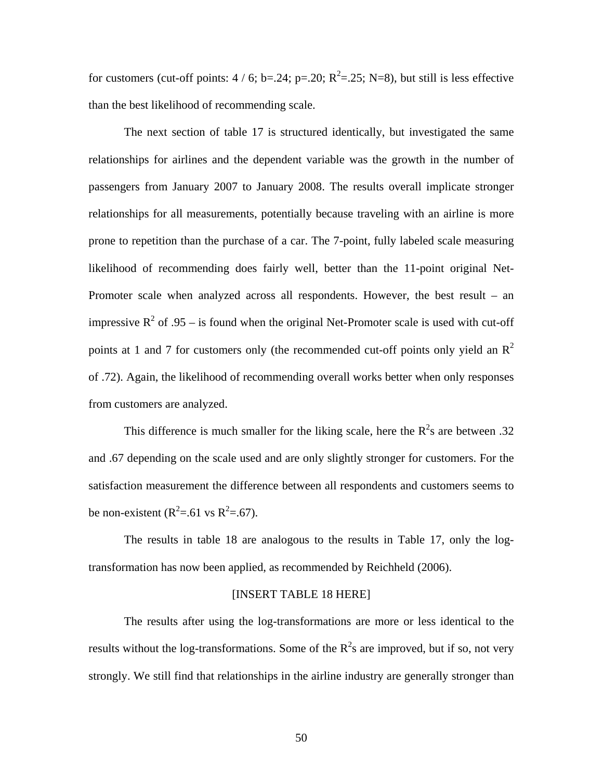for customers (cut-off points:  $4/6$ ; b=.24; p=.20; R<sup>2</sup>=.25; N=8), but still is less effective than the best likelihood of recommending scale.

The next section of table 17 is structured identically, but investigated the same relationships for airlines and the dependent variable was the growth in the number of passengers from January 2007 to January 2008. The results overall implicate stronger relationships for all measurements, potentially because traveling with an airline is more prone to repetition than the purchase of a car. The 7-point, fully labeled scale measuring likelihood of recommending does fairly well, better than the 11-point original Net-Promoter scale when analyzed across all respondents. However, the best result – an impressive  $R^2$  of .95 – is found when the original Net-Promoter scale is used with cut-off points at 1 and 7 for customers only (the recommended cut-off points only yield an  $\mathbb{R}^2$ of .72). Again, the likelihood of recommending overall works better when only responses from customers are analyzed.

This difference is much smaller for the liking scale, here the  $R^2$ s are between .32 and .67 depending on the scale used and are only slightly stronger for customers. For the satisfaction measurement the difference between all respondents and customers seems to be non-existent ( $R^2 = .61$  vs  $R^2 = .67$ ).

The results in table 18 are analogous to the results in Table 17, only the logtransformation has now been applied, as recommended by Reichheld (2006).

## [INSERT TABLE 18 HERE]

The results after using the log-transformations are more or less identical to the results without the log-transformations. Some of the  $R^2$ s are improved, but if so, not very strongly. We still find that relationships in the airline industry are generally stronger than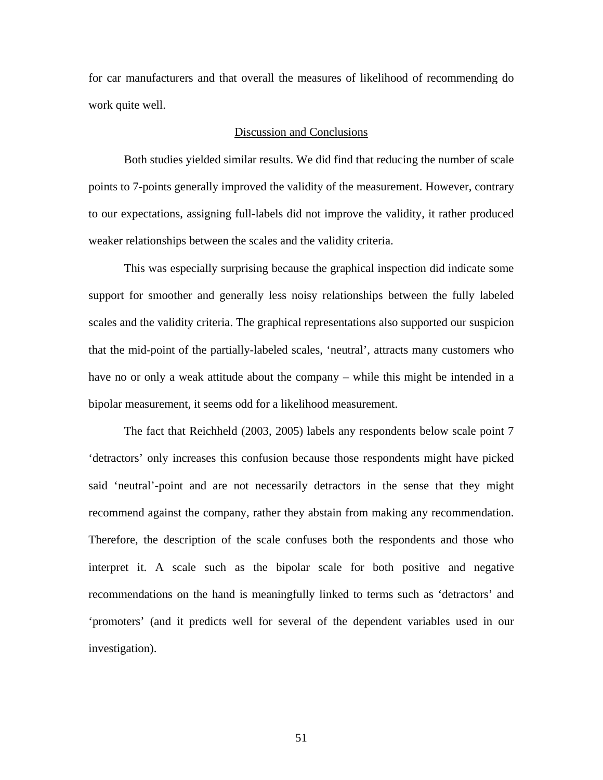for car manufacturers and that overall the measures of likelihood of recommending do work quite well.

## Discussion and Conclusions

Both studies yielded similar results. We did find that reducing the number of scale points to 7-points generally improved the validity of the measurement. However, contrary to our expectations, assigning full-labels did not improve the validity, it rather produced weaker relationships between the scales and the validity criteria.

This was especially surprising because the graphical inspection did indicate some support for smoother and generally less noisy relationships between the fully labeled scales and the validity criteria. The graphical representations also supported our suspicion that the mid-point of the partially-labeled scales, 'neutral', attracts many customers who have no or only a weak attitude about the company – while this might be intended in a bipolar measurement, it seems odd for a likelihood measurement.

The fact that Reichheld (2003, 2005) labels any respondents below scale point 7 'detractors' only increases this confusion because those respondents might have picked said 'neutral'-point and are not necessarily detractors in the sense that they might recommend against the company, rather they abstain from making any recommendation. Therefore, the description of the scale confuses both the respondents and those who interpret it. A scale such as the bipolar scale for both positive and negative recommendations on the hand is meaningfully linked to terms such as 'detractors' and 'promoters' (and it predicts well for several of the dependent variables used in our investigation).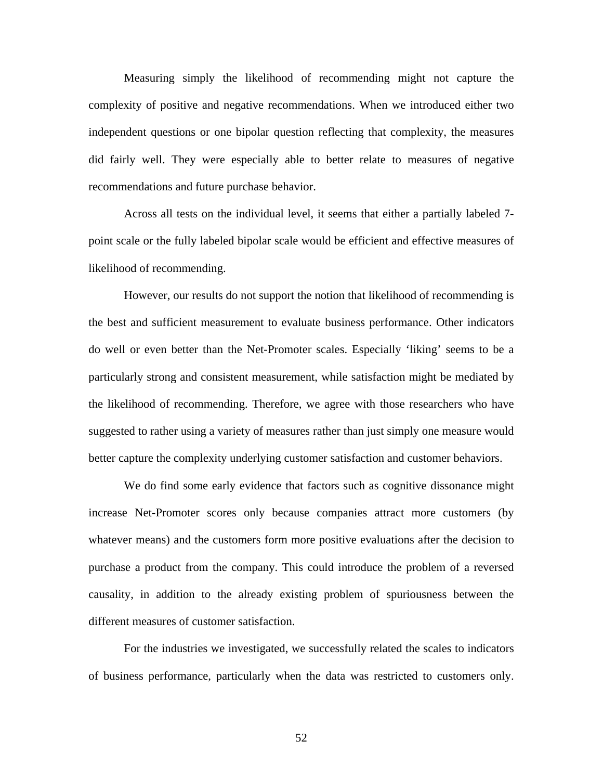Measuring simply the likelihood of recommending might not capture the complexity of positive and negative recommendations. When we introduced either two independent questions or one bipolar question reflecting that complexity, the measures did fairly well. They were especially able to better relate to measures of negative recommendations and future purchase behavior.

Across all tests on the individual level, it seems that either a partially labeled 7 point scale or the fully labeled bipolar scale would be efficient and effective measures of likelihood of recommending.

However, our results do not support the notion that likelihood of recommending is the best and sufficient measurement to evaluate business performance. Other indicators do well or even better than the Net-Promoter scales. Especially 'liking' seems to be a particularly strong and consistent measurement, while satisfaction might be mediated by the likelihood of recommending. Therefore, we agree with those researchers who have suggested to rather using a variety of measures rather than just simply one measure would better capture the complexity underlying customer satisfaction and customer behaviors.

We do find some early evidence that factors such as cognitive dissonance might increase Net-Promoter scores only because companies attract more customers (by whatever means) and the customers form more positive evaluations after the decision to purchase a product from the company. This could introduce the problem of a reversed causality, in addition to the already existing problem of spuriousness between the different measures of customer satisfaction.

For the industries we investigated, we successfully related the scales to indicators of business performance, particularly when the data was restricted to customers only.

52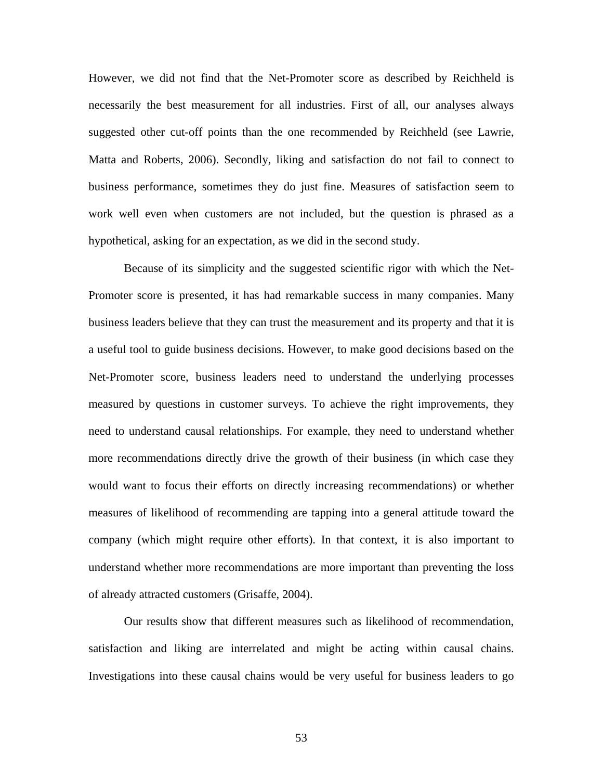However, we did not find that the Net-Promoter score as described by Reichheld is necessarily the best measurement for all industries. First of all, our analyses always suggested other cut-off points than the one recommended by Reichheld (see Lawrie, Matta and Roberts, 2006). Secondly, liking and satisfaction do not fail to connect to business performance, sometimes they do just fine. Measures of satisfaction seem to work well even when customers are not included, but the question is phrased as a hypothetical, asking for an expectation, as we did in the second study.

Because of its simplicity and the suggested scientific rigor with which the Net-Promoter score is presented, it has had remarkable success in many companies. Many business leaders believe that they can trust the measurement and its property and that it is a useful tool to guide business decisions. However, to make good decisions based on the Net-Promoter score, business leaders need to understand the underlying processes measured by questions in customer surveys. To achieve the right improvements, they need to understand causal relationships. For example, they need to understand whether more recommendations directly drive the growth of their business (in which case they would want to focus their efforts on directly increasing recommendations) or whether measures of likelihood of recommending are tapping into a general attitude toward the company (which might require other efforts). In that context, it is also important to understand whether more recommendations are more important than preventing the loss of already attracted customers (Grisaffe, 2004).

Our results show that different measures such as likelihood of recommendation, satisfaction and liking are interrelated and might be acting within causal chains. Investigations into these causal chains would be very useful for business leaders to go

53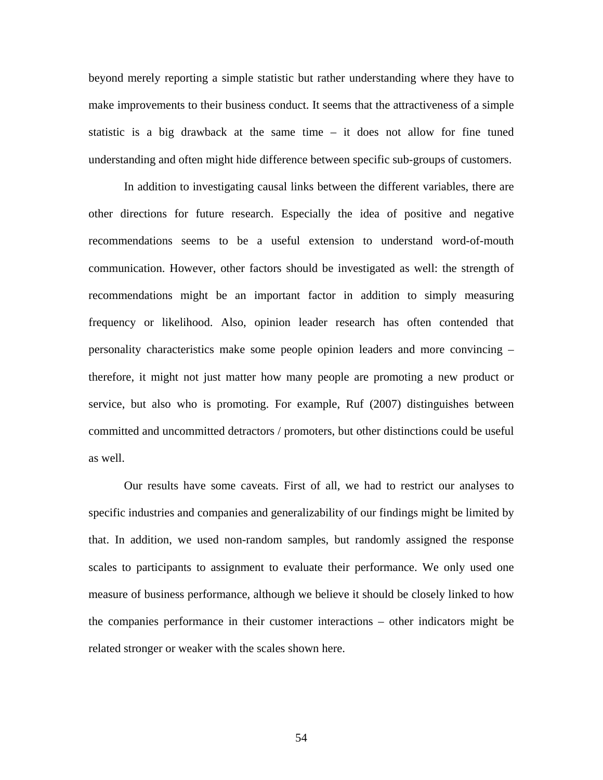beyond merely reporting a simple statistic but rather understanding where they have to make improvements to their business conduct. It seems that the attractiveness of a simple statistic is a big drawback at the same time – it does not allow for fine tuned understanding and often might hide difference between specific sub-groups of customers.

In addition to investigating causal links between the different variables, there are other directions for future research. Especially the idea of positive and negative recommendations seems to be a useful extension to understand word-of-mouth communication. However, other factors should be investigated as well: the strength of recommendations might be an important factor in addition to simply measuring frequency or likelihood. Also, opinion leader research has often contended that personality characteristics make some people opinion leaders and more convincing – therefore, it might not just matter how many people are promoting a new product or service, but also who is promoting. For example, Ruf (2007) distinguishes between committed and uncommitted detractors / promoters, but other distinctions could be useful as well.

Our results have some caveats. First of all, we had to restrict our analyses to specific industries and companies and generalizability of our findings might be limited by that. In addition, we used non-random samples, but randomly assigned the response scales to participants to assignment to evaluate their performance. We only used one measure of business performance, although we believe it should be closely linked to how the companies performance in their customer interactions – other indicators might be related stronger or weaker with the scales shown here.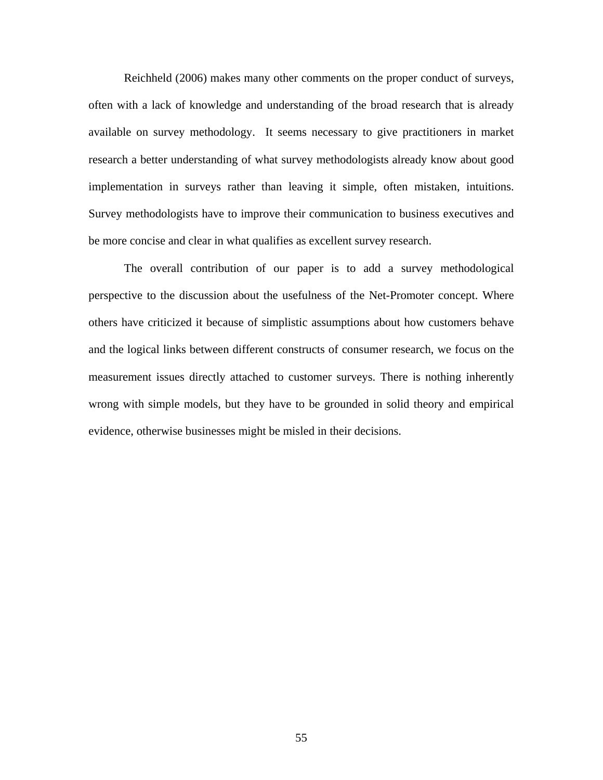Reichheld (2006) makes many other comments on the proper conduct of surveys, often with a lack of knowledge and understanding of the broad research that is already available on survey methodology. It seems necessary to give practitioners in market research a better understanding of what survey methodologists already know about good implementation in surveys rather than leaving it simple, often mistaken, intuitions. Survey methodologists have to improve their communication to business executives and be more concise and clear in what qualifies as excellent survey research.

The overall contribution of our paper is to add a survey methodological perspective to the discussion about the usefulness of the Net-Promoter concept. Where others have criticized it because of simplistic assumptions about how customers behave and the logical links between different constructs of consumer research, we focus on the measurement issues directly attached to customer surveys. There is nothing inherently wrong with simple models, but they have to be grounded in solid theory and empirical evidence, otherwise businesses might be misled in their decisions.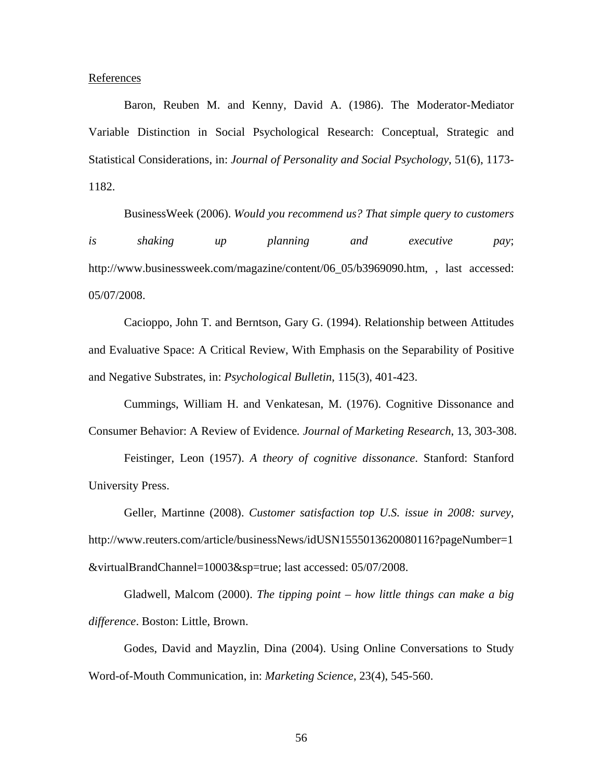**References** 

Baron, Reuben M. and Kenny, David A. (1986). The Moderator-Mediator Variable Distinction in Social Psychological Research: Conceptual, Strategic and Statistical Considerations, in: *Journal of Personality and Social Psychology*, 51(6), 1173- 1182.

BusinessWeek (2006). *Would you recommend us? That simple query to customers is shaking up planning and executive pay*; http://www.businessweek.com/magazine/content/06\_05/b3969090.htm, , last accessed: 05/07/2008.

Cacioppo, John T. and Berntson, Gary G. (1994). Relationship between Attitudes and Evaluative Space: A Critical Review, With Emphasis on the Separability of Positive and Negative Substrates, in: *Psychological Bulletin*, 115(3), 401-423.

Cummings, William H. and Venkatesan, M. (1976). Cognitive Dissonance and Consumer Behavior: A Review of Evidence*. Journal of Marketing Research*, 13, 303-308.

Feistinger, Leon (1957). *A theory of cognitive dissonance*. Stanford: Stanford University Press.

Geller, Martinne (2008). *Customer satisfaction top U.S. issue in 2008: survey*, http://www.reuters.com/article/businessNews/idUSN1555013620080116?pageNumber=1 &virtualBrandChannel=10003&sp=true; last accessed: 05/07/2008.

Gladwell, Malcom (2000). *The tipping point – how little things can make a big difference*. Boston: Little, Brown.

Godes, David and Mayzlin, Dina (2004). Using Online Conversations to Study Word-of-Mouth Communication, in: *Marketing Science*, 23(4), 545-560.

56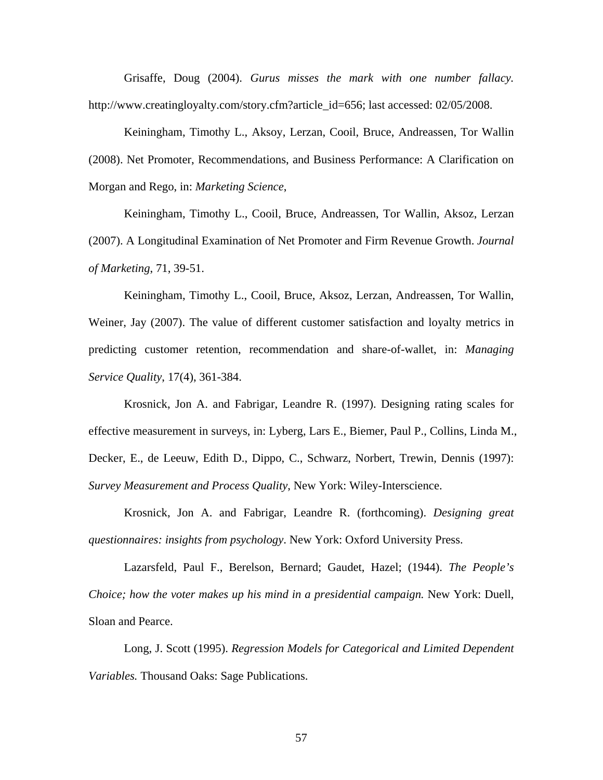Grisaffe, Doug (2004). *Gurus misses the mark with one number fallacy.* http://www.creatingloyalty.com/story.cfm?article\_id=656; last accessed: 02/05/2008.

Keiningham, Timothy L., Aksoy, Lerzan, Cooil, Bruce, Andreassen, Tor Wallin (2008). Net Promoter, Recommendations, and Business Performance: A Clarification on Morgan and Rego, in: *Marketing Science*,

Keiningham, Timothy L., Cooil, Bruce, Andreassen, Tor Wallin, Aksoz, Lerzan (2007). A Longitudinal Examination of Net Promoter and Firm Revenue Growth. *Journal of Marketing*, 71, 39-51.

Keiningham, Timothy L., Cooil, Bruce, Aksoz, Lerzan, Andreassen, Tor Wallin, Weiner, Jay (2007). The value of different customer satisfaction and loyalty metrics in predicting customer retention, recommendation and share-of-wallet, in: *Managing Service Quality*, 17(4), 361-384.

Krosnick, Jon A. and Fabrigar, Leandre R. (1997). Designing rating scales for effective measurement in surveys, in: Lyberg, Lars E., Biemer, Paul P., Collins, Linda M., Decker, E., de Leeuw, Edith D., Dippo, C., Schwarz, Norbert, Trewin, Dennis (1997): *Survey Measurement and Process Quality*, New York: Wiley-Interscience.

Krosnick, Jon A. and Fabrigar, Leandre R. (forthcoming). *Designing great questionnaires: insights from psychology*. New York: Oxford University Press.

Lazarsfeld, Paul F., Berelson, Bernard; Gaudet, Hazel; (1944). *The People's Choice; how the voter makes up his mind in a presidential campaign.* New York: Duell, Sloan and Pearce.

Long, J. Scott (1995). *Regression Models for Categorical and Limited Dependent Variables.* Thousand Oaks: Sage Publications.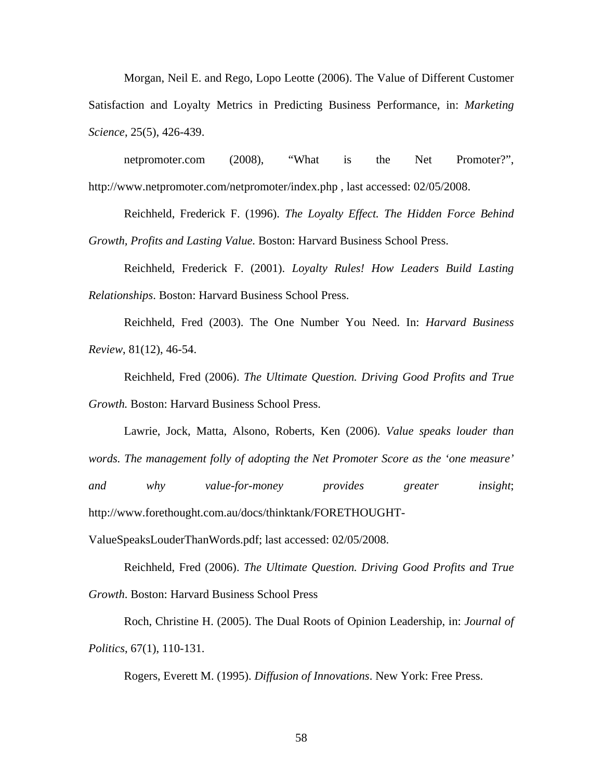Morgan, Neil E. and Rego, Lopo Leotte (2006). The Value of Different Customer Satisfaction and Loyalty Metrics in Predicting Business Performance, in: *Marketing Science*, 25(5), 426-439.

netpromoter.com (2008), "What is the Net Promoter?", http://www.netpromoter.com/netpromoter/index.php , last accessed: 02/05/2008.

Reichheld, Frederick F. (1996). *The Loyalty Effect. The Hidden Force Behind Growth, Profits and Lasting Value.* Boston: Harvard Business School Press.

Reichheld, Frederick F. (2001). *Loyalty Rules! How Leaders Build Lasting Relationships*. Boston: Harvard Business School Press.

Reichheld, Fred (2003). The One Number You Need. In: *Harvard Business Review*, 81(12), 46-54.

Reichheld, Fred (2006). *The Ultimate Question. Driving Good Profits and True Growth.* Boston: Harvard Business School Press.

Lawrie, Jock, Matta, Alsono, Roberts, Ken (2006). *Value speaks louder than words. The management folly of adopting the Net Promoter Score as the 'one measure' and why value-for-money provides greater insight*; http://www.forethought.com.au/docs/thinktank/FORETHOUGHT-

ValueSpeaksLouderThanWords.pdf; last accessed: 02/05/2008.

Reichheld, Fred (2006). *The Ultimate Question. Driving Good Profits and True Growth*. Boston: Harvard Business School Press

Roch, Christine H. (2005). The Dual Roots of Opinion Leadership, in: *Journal of Politics*, 67(1), 110-131.

Rogers, Everett M. (1995). *Diffusion of Innovations*. New York: Free Press.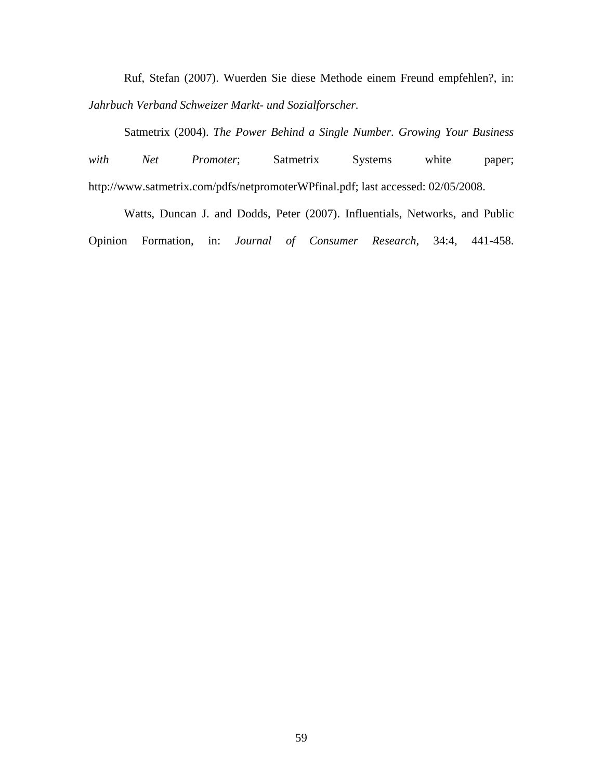Ruf, Stefan (2007). Wuerden Sie diese Methode einem Freund empfehlen?, in: *Jahrbuch Verband Schweizer Markt- und Sozialforscher.* 

Satmetrix (2004). *The Power Behind a Single Number. Growing Your Business*  with Net Promoter; Satmetrix Systems white paper; http://www.satmetrix.com/pdfs/netpromoterWPfinal.pdf; last accessed: 02/05/2008.

Watts, Duncan J. and Dodds, Peter (2007). Influentials, Networks, and Public Opinion Formation, in: *Journal of Consumer Research*, 34:4, 441-458.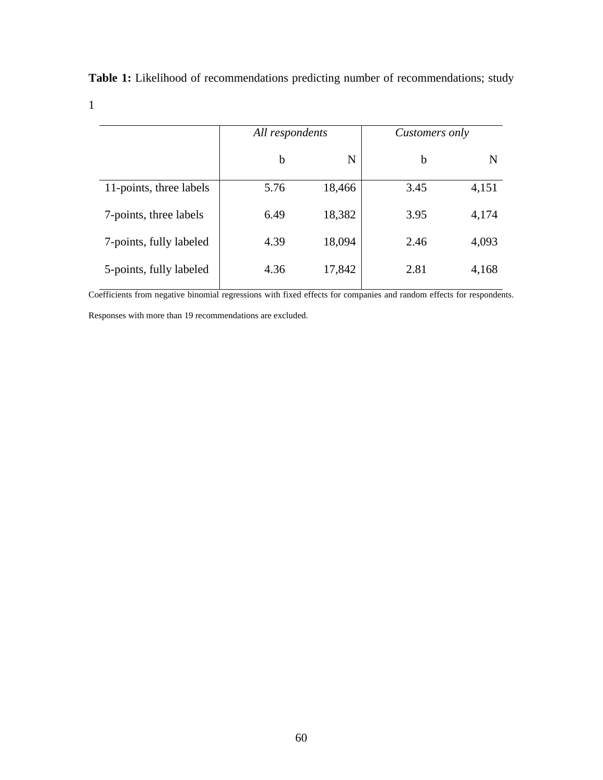|                 | <b>Table 1:</b> Likelihood of recommendations predicting number of recommendations; study |
|-----------------|-------------------------------------------------------------------------------------------|
|                 |                                                                                           |
| All respondents | <i>Customers only</i>                                                                     |

|                         | $\mathbf{I}$ |        |      |       |
|-------------------------|--------------|--------|------|-------|
|                         | b            | N      | b    | N     |
| 11-points, three labels | 5.76         | 18,466 | 3.45 | 4,151 |
| 7-points, three labels  | 6.49         | 18,382 | 3.95 | 4,174 |
| 7-points, fully labeled | 4.39         | 18,094 | 2.46 | 4,093 |
| 5-points, fully labeled | 4.36         | 17,842 | 2.81 | 4,168 |
|                         |              |        |      |       |

Coefficients from negative binomial regressions with fixed effects for companies and random effects for respondents.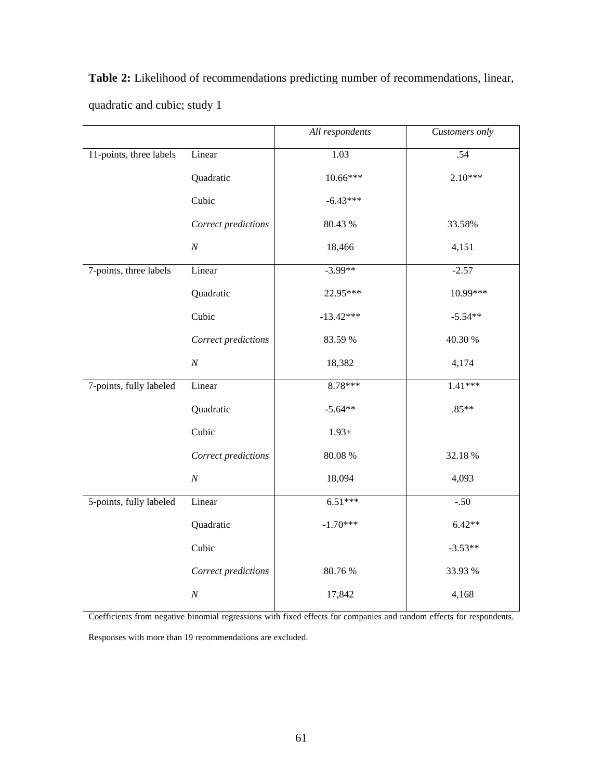|                         |                     | All respondents | Customers only |
|-------------------------|---------------------|-----------------|----------------|
| 11-points, three labels | Linear              | 1.03            | .54            |
|                         | Quadratic           | 10.66***        | $2.10***$      |
|                         | Cubic               | $-6.43***$      |                |
|                         | Correct predictions | 80.43 %         | 33.58%         |
|                         | $\cal N$            | 18,466          | 4,151          |
| 7-points, three labels  | Linear              | $-3.99**$       | $-2.57$        |
|                         | Quadratic           | 22.95***        | 10.99***       |
|                         | Cubic               | $-13.42***$     | $-5.54**$      |
|                         | Correct predictions | 83.59 %         | 40.30 %        |
|                         | $\cal N$            | 18,382          | 4,174          |
| 7-points, fully labeled | Linear              | 8.78***         | $1.41***$      |
|                         | Quadratic           | $-5.64**$       | $.85**$        |
|                         | Cubic               | $1.93+$         |                |
|                         | Correct predictions | 80.08 %         | 32.18%         |
|                         | $\cal N$            | 18,094          | 4,093          |
| 5-points, fully labeled | Linear              | $6.51***$       | $-.50$         |
|                         | Quadratic           | $-1.70***$      | $6.42**$       |
|                         | Cubic               |                 | $-3.53**$      |
|                         | Correct predictions | 80.76 %         | 33.93 %        |
|                         | $\cal N$            | 17,842          | 4,168          |

**Table 2:** Likelihood of recommendations predicting number of recommendations, linear, quadratic and cubic; study 1

Coefficients from negative binomial regressions with fixed effects for companies and random effects for respondents.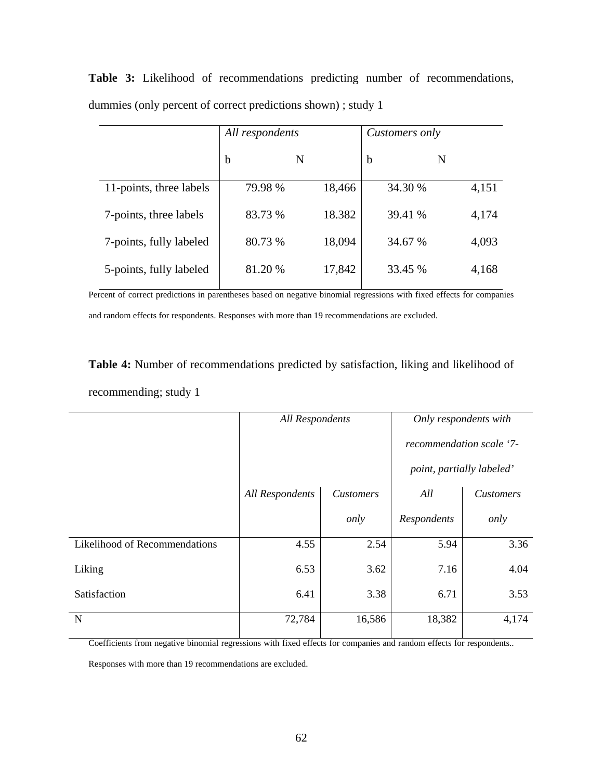|                         | All respondents |        | Customers only |       |
|-------------------------|-----------------|--------|----------------|-------|
|                         | b               | N      | $\mathbf b$    | N     |
| 11-points, three labels | 79.98 %         | 18,466 | 34.30 %        | 4,151 |
| 7-points, three labels  | 83.73 %         | 18.382 | 39.41 %        | 4,174 |
| 7-points, fully labeled | 80.73 %         | 18,094 | 34.67 %        | 4,093 |
| 5-points, fully labeled | 81.20 %         | 17,842 | 33.45 %        | 4,168 |

**Table 3:** Likelihood of recommendations predicting number of recommendations, dummies (only percent of correct predictions shown) ; study 1

Percent of correct predictions in parentheses based on negative binomial regressions with fixed effects for companies and random effects for respondents. Responses with more than 19 recommendations are excluded.

**Table 4:** Number of recommendations predicted by satisfaction, liking and likelihood of recommending; study 1

|                               | <b>All Respondents</b> |           | Only respondents with    |                           |
|-------------------------------|------------------------|-----------|--------------------------|---------------------------|
|                               |                        |           | recommendation scale '7- |                           |
|                               |                        |           |                          | point, partially labeled' |
|                               | <b>All Respondents</b> | Customers | All                      | <b>Customers</b>          |
|                               |                        | only      | Respondents              | only                      |
| Likelihood of Recommendations | 4.55                   | 2.54      | 5.94                     | 3.36                      |
| Liking                        | 6.53                   | 3.62      | 7.16                     | 4.04                      |
| Satisfaction                  | 6.41                   | 3.38      | 6.71                     | 3.53                      |
| N                             | 72,784                 | 16,586    | 18,382                   | 4,174                     |

Coefficients from negative binomial regressions with fixed effects for companies and random effects for respondents..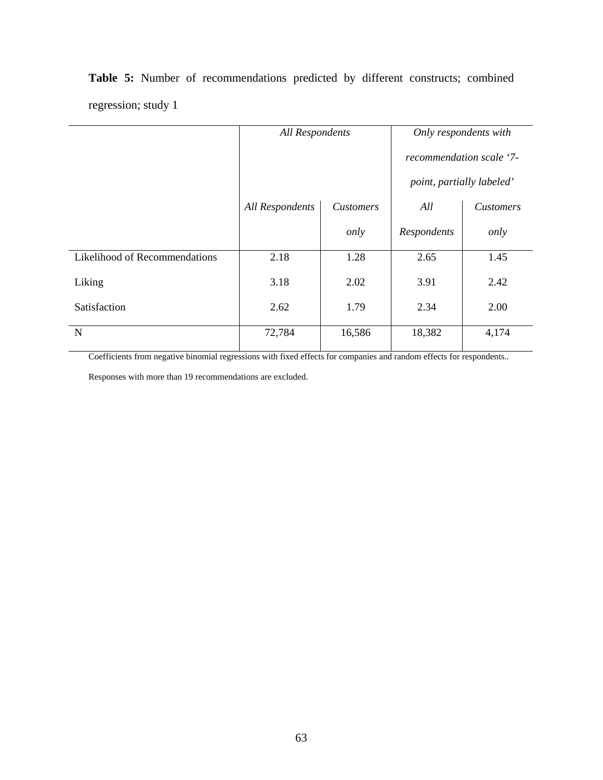|                               | <b>All Respondents</b> |                           | Only respondents with    |                  |  |
|-------------------------------|------------------------|---------------------------|--------------------------|------------------|--|
|                               |                        |                           | recommendation scale '7- |                  |  |
|                               |                        | point, partially labeled' |                          |                  |  |
|                               | <b>All Respondents</b> | <b>Customers</b>          | All                      | <b>Customers</b> |  |
|                               |                        | only                      | Respondents              | only             |  |
| Likelihood of Recommendations | 2.18                   | 1.28                      | 2.65                     | 1.45             |  |
| Liking                        | 3.18                   | 2.02                      | 3.91                     | 2.42             |  |
| Satisfaction                  | 2.62                   | 1.79                      | 2.34                     | 2.00             |  |
| N                             | 72,784                 | 16,586                    | 18,382                   | 4,174            |  |

**Table 5:** Number of recommendations predicted by different constructs; combined regression; study 1

Coefficients from negative binomial regressions with fixed effects for companies and random effects for respondents..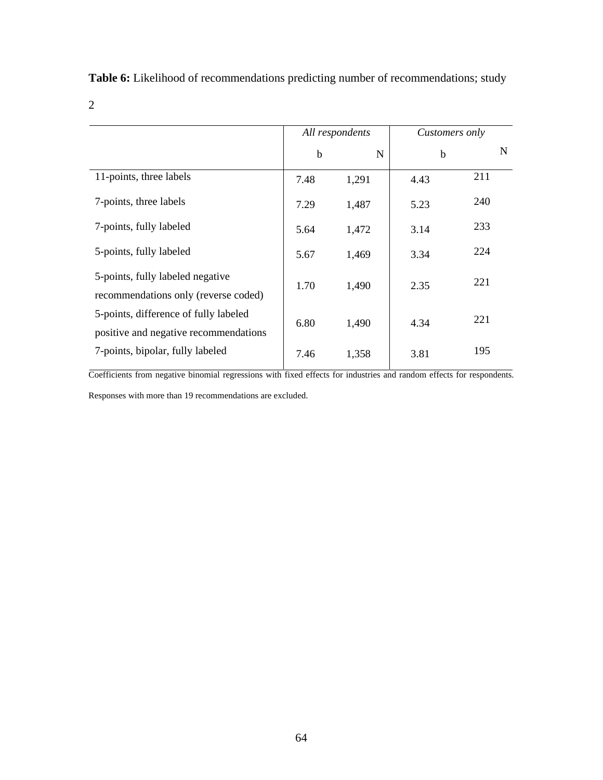**Table 6:** Likelihood of recommendations predicting number of recommendations; study

## 2

|                                                                                | All respondents |       | Customers only |     |
|--------------------------------------------------------------------------------|-----------------|-------|----------------|-----|
|                                                                                | $\mathbf b$     | N     | $\mathbf b$    | N   |
| 11-points, three labels                                                        | 7.48            | 1,291 | 4.43           | 211 |
| 7-points, three labels                                                         | 7.29            | 1,487 | 5.23           | 240 |
| 7-points, fully labeled                                                        | 5.64            | 1,472 | 3.14           | 233 |
| 5-points, fully labeled                                                        | 5.67            | 1,469 | 3.34           | 224 |
| 5-points, fully labeled negative<br>recommendations only (reverse coded)       | 1.70            | 1,490 | 2.35           | 221 |
| 5-points, difference of fully labeled<br>positive and negative recommendations | 6.80            | 1,490 | 4.34           | 221 |
| 7-points, bipolar, fully labeled                                               | 7.46            | 1,358 | 3.81           | 195 |

Coefficients from negative binomial regressions with fixed effects for industries and random effects for respondents. Responses with more than 19 recommendations are excluded.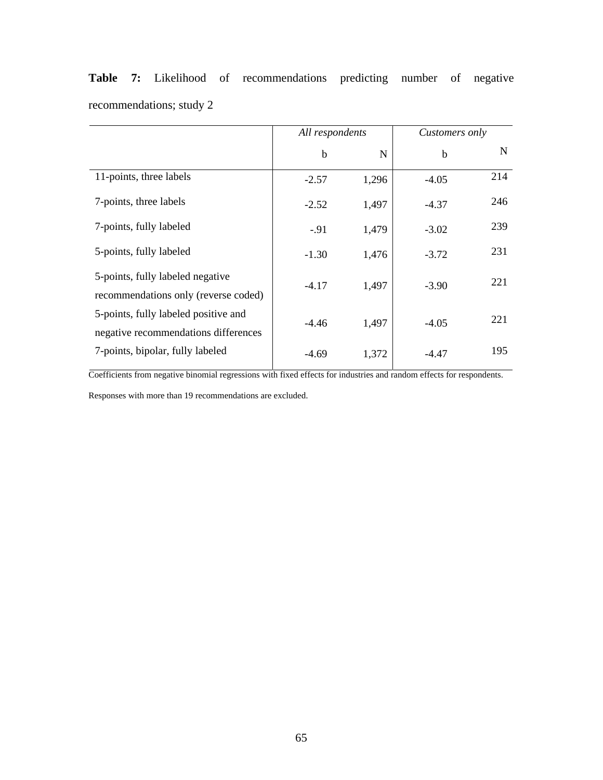|                                                                              | All respondents |       | Customers only |     |
|------------------------------------------------------------------------------|-----------------|-------|----------------|-----|
|                                                                              | $\mathbf b$     | N     | $\mathbf b$    | N   |
| 11-points, three labels                                                      | $-2.57$         | 1,296 | $-4.05$        | 214 |
| 7-points, three labels                                                       | $-2.52$         | 1,497 | $-4.37$        | 246 |
| 7-points, fully labeled                                                      | $-0.91$         | 1,479 | $-3.02$        | 239 |
| 5-points, fully labeled                                                      | $-1.30$         | 1,476 | $-3.72$        | 231 |
| 5-points, fully labeled negative<br>recommendations only (reverse coded)     | $-4.17$         | 1,497 | $-3.90$        | 221 |
| 5-points, fully labeled positive and<br>negative recommendations differences | $-4.46$         | 1,497 | $-4.05$        | 221 |
| 7-points, bipolar, fully labeled                                             | $-4.69$         | 1,372 | $-4.47$        | 195 |

**Table 7:** Likelihood of recommendations predicting number of negative recommendations; study 2

Coefficients from negative binomial regressions with fixed effects for industries and random effects for respondents.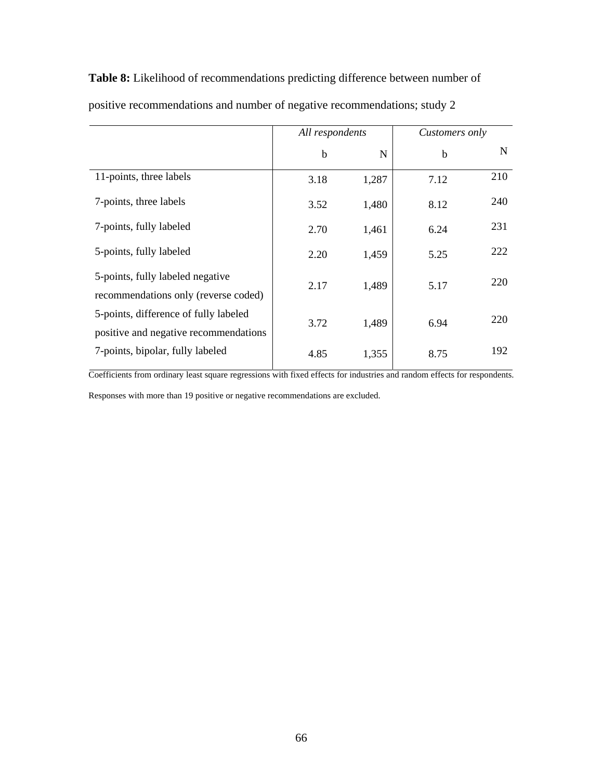**Table 8:** Likelihood of recommendations predicting difference between number of

|                                                                                | All respondents |       | Customers only |             |
|--------------------------------------------------------------------------------|-----------------|-------|----------------|-------------|
|                                                                                | $\mathbf b$     | N     | $\mathbf b$    | $\mathbf N$ |
| 11-points, three labels                                                        | 3.18            | 1,287 | 7.12           | 210         |
| 7-points, three labels                                                         | 3.52            | 1,480 | 8.12           | 240         |
| 7-points, fully labeled                                                        | 2.70            | 1,461 | 6.24           | 231         |
| 5-points, fully labeled                                                        | 2.20            | 1,459 | 5.25           | 222         |
| 5-points, fully labeled negative<br>recommendations only (reverse coded)       | 2.17            | 1,489 | 5.17           | 220         |
| 5-points, difference of fully labeled<br>positive and negative recommendations | 3.72            | 1,489 | 6.94           | 220         |
| 7-points, bipolar, fully labeled                                               | 4.85            | 1,355 | 8.75           | 192         |

positive recommendations and number of negative recommendations; study 2

Coefficients from ordinary least square regressions with fixed effects for industries and random effects for respondents.

Responses with more than 19 positive or negative recommendations are excluded.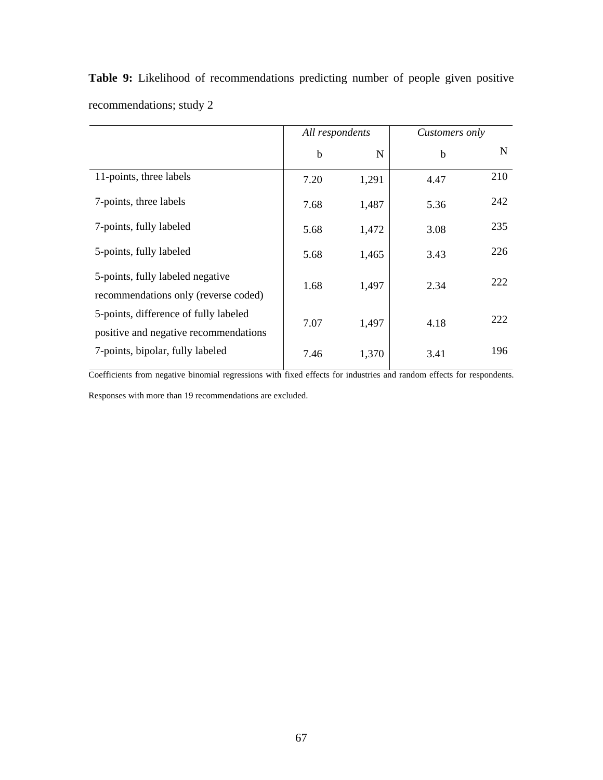|                                                                                | All respondents |       | Customers only |     |
|--------------------------------------------------------------------------------|-----------------|-------|----------------|-----|
|                                                                                | b               | N     | $\mathbf b$    | N   |
| 11-points, three labels                                                        | 7.20            | 1,291 | 4.47           | 210 |
| 7-points, three labels                                                         | 7.68            | 1,487 | 5.36           | 242 |
| 7-points, fully labeled                                                        | 5.68            | 1,472 | 3.08           | 235 |
| 5-points, fully labeled                                                        | 5.68            | 1,465 | 3.43           | 226 |
| 5-points, fully labeled negative<br>recommendations only (reverse coded)       | 1.68            | 1,497 | 2.34           | 222 |
| 5-points, difference of fully labeled<br>positive and negative recommendations | 7.07            | 1,497 | 4.18           | 222 |
| 7-points, bipolar, fully labeled                                               | 7.46            | 1,370 | 3.41           | 196 |

**Table 9:** Likelihood of recommendations predicting number of people given positive recommendations; study 2

Coefficients from negative binomial regressions with fixed effects for industries and random effects for respondents. Responses with more than 19 recommendations are excluded.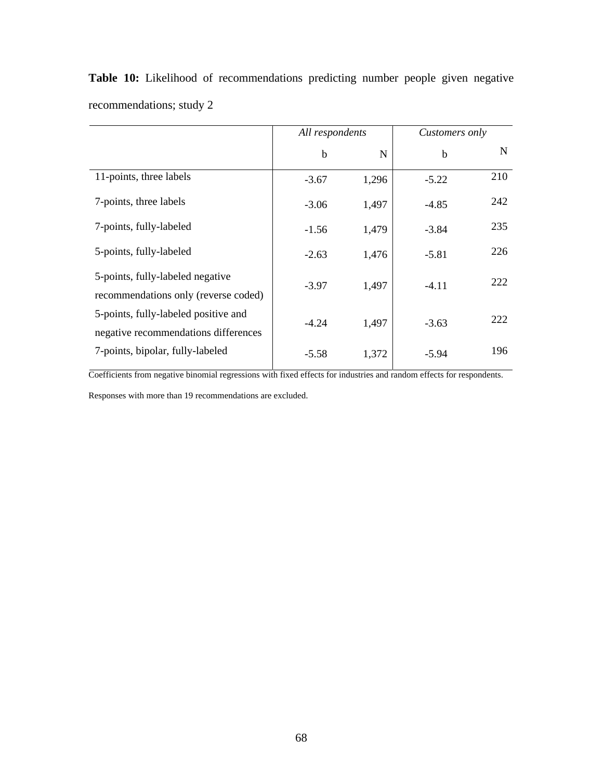|                                                                              | All respondents |       | Customers only |     |
|------------------------------------------------------------------------------|-----------------|-------|----------------|-----|
|                                                                              | $\mathbf b$     | N     | b              | N   |
| 11-points, three labels                                                      | $-3.67$         | 1,296 | $-5.22$        | 210 |
| 7-points, three labels                                                       | $-3.06$         | 1,497 | $-4.85$        | 242 |
| 7-points, fully-labeled                                                      | $-1.56$         | 1,479 | $-3.84$        | 235 |
| 5-points, fully-labeled                                                      | $-2.63$         | 1,476 | $-5.81$        | 226 |
| 5-points, fully-labeled negative<br>recommendations only (reverse coded)     | $-3.97$         | 1,497 | $-4.11$        | 222 |
| 5-points, fully-labeled positive and<br>negative recommendations differences | $-4.24$         | 1,497 | $-3.63$        | 222 |
| 7-points, bipolar, fully-labeled                                             | $-5.58$         | 1,372 | $-5.94$        | 196 |

**Table 10:** Likelihood of recommendations predicting number people given negative recommendations; study 2

Coefficients from negative binomial regressions with fixed effects for industries and random effects for respondents.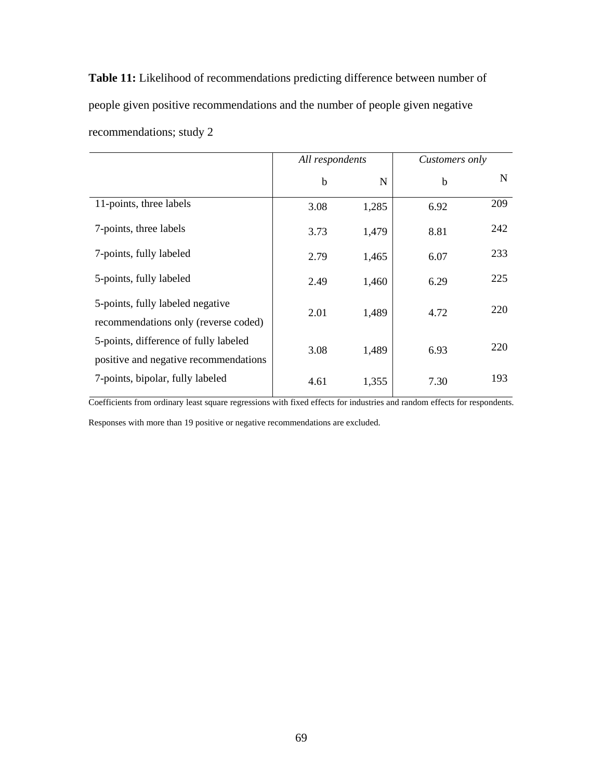**Table 11:** Likelihood of recommendations predicting difference between number of people given positive recommendations and the number of people given negative recommendations; study 2

|                                                                                | All respondents |             | Customers only |     |
|--------------------------------------------------------------------------------|-----------------|-------------|----------------|-----|
|                                                                                | b               | $\mathbf N$ | $\mathbf b$    | N   |
| 11-points, three labels                                                        | 3.08            | 1,285       | 6.92           | 209 |
| 7-points, three labels                                                         | 3.73            | 1,479       | 8.81           | 242 |
| 7-points, fully labeled                                                        | 2.79            | 1,465       | 6.07           | 233 |
| 5-points, fully labeled                                                        | 2.49            | 1,460       | 6.29           | 225 |
| 5-points, fully labeled negative<br>recommendations only (reverse coded)       | 2.01            | 1,489       | 4.72           | 220 |
| 5-points, difference of fully labeled<br>positive and negative recommendations | 3.08            | 1,489       | 6.93           | 220 |
| 7-points, bipolar, fully labeled                                               | 4.61            | 1,355       | 7.30           | 193 |

Coefficients from ordinary least square regressions with fixed effects for industries and random effects for respondents. Responses with more than 19 positive or negative recommendations are excluded.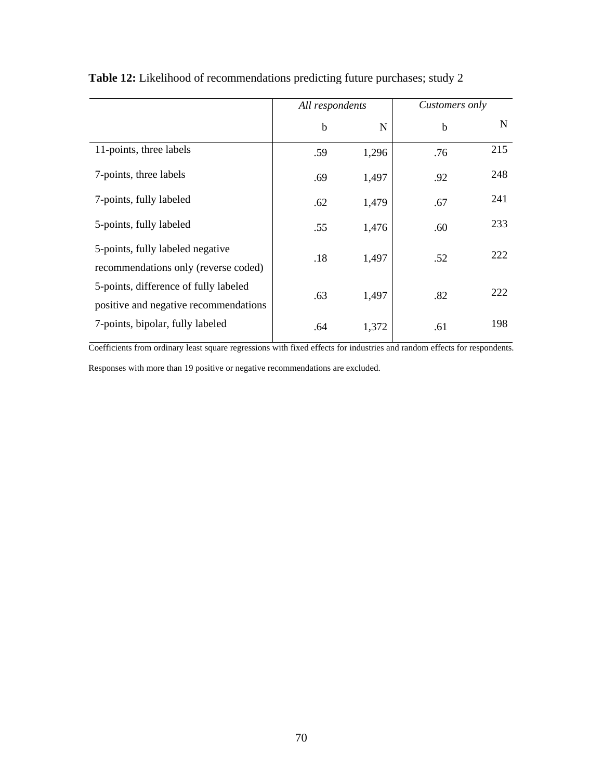|                                                                                | All respondents |       | Customers only |             |
|--------------------------------------------------------------------------------|-----------------|-------|----------------|-------------|
|                                                                                | $\mathbf b$     | N     | $\mathbf b$    | $\mathbf N$ |
| 11-points, three labels                                                        | .59             | 1,296 | .76            | 215         |
| 7-points, three labels                                                         | .69             | 1,497 | .92            | 248         |
| 7-points, fully labeled                                                        | .62             | 1,479 | .67            | 241         |
| 5-points, fully labeled                                                        | .55             | 1,476 | .60            | 233         |
| 5-points, fully labeled negative<br>recommendations only (reverse coded)       | .18             | 1,497 | .52            | 222         |
| 5-points, difference of fully labeled<br>positive and negative recommendations | .63             | 1,497 | .82            | 222         |
| 7-points, bipolar, fully labeled                                               | .64             | 1,372 | .61            | 198         |

**Table 12:** Likelihood of recommendations predicting future purchases; study 2

Coefficients from ordinary least square regressions with fixed effects for industries and random effects for respondents.

Responses with more than 19 positive or negative recommendations are excluded.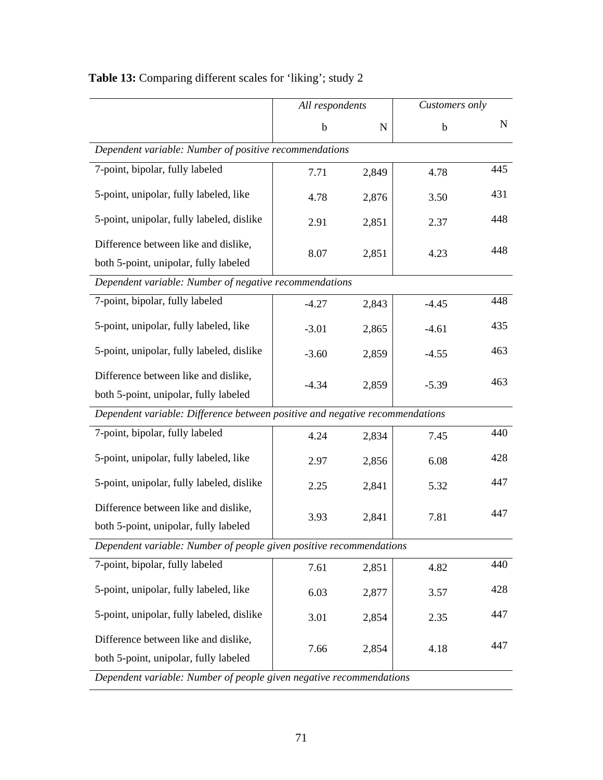|                                                                               | All respondents |           | Customers only |     |
|-------------------------------------------------------------------------------|-----------------|-----------|----------------|-----|
|                                                                               | $\mathbf b$     | ${\bf N}$ | $\mathbf b$    | N   |
| Dependent variable: Number of positive recommendations                        |                 |           |                |     |
| 7-point, bipolar, fully labeled                                               | 7.71            | 2,849     | 4.78           | 445 |
| 5-point, unipolar, fully labeled, like                                        | 4.78            | 2,876     | 3.50           | 431 |
| 5-point, unipolar, fully labeled, dislike                                     | 2.91            | 2,851     | 2.37           | 448 |
| Difference between like and dislike,<br>both 5-point, unipolar, fully labeled | 8.07            | 2,851     | 4.23           | 448 |
| Dependent variable: Number of negative recommendations                        |                 |           |                |     |
| 7-point, bipolar, fully labeled                                               | $-4.27$         | 2,843     | $-4.45$        | 448 |
| 5-point, unipolar, fully labeled, like                                        | $-3.01$         | 2,865     | $-4.61$        | 435 |
| 5-point, unipolar, fully labeled, dislike                                     | $-3.60$         | 2,859     | $-4.55$        | 463 |
| Difference between like and dislike,<br>both 5-point, unipolar, fully labeled | $-4.34$         | 2,859     | $-5.39$        | 463 |
| Dependent variable: Difference between positive and negative recommendations  |                 |           |                |     |
| 7-point, bipolar, fully labeled                                               | 4.24            | 2,834     | 7.45           | 440 |
| 5-point, unipolar, fully labeled, like                                        | 2.97            | 2,856     | 6.08           | 428 |
| 5-point, unipolar, fully labeled, dislike                                     | 2.25            | 2,841     | 5.32           | 447 |
| Difference between like and dislike,<br>both 5-point, unipolar, fully labeled | 3.93            | 2,841     | 7.81           | 447 |
| Dependent variable: Number of people given positive recommendations           |                 |           |                |     |
| 7-point, bipolar, fully labeled                                               | 7.61            | 2,851     | 4.82           | 440 |
| 5-point, unipolar, fully labeled, like                                        | 6.03            | 2,877     | 3.57           | 428 |
| 5-point, unipolar, fully labeled, dislike                                     | 3.01            | 2,854     | 2.35           | 447 |
| Difference between like and dislike,<br>both 5-point, unipolar, fully labeled | 7.66            | 2,854     | 4.18           | 447 |
| Dependent variable: Number of people given negative recommendations           |                 |           |                |     |

# **Table 13:** Comparing different scales for 'liking'; study 2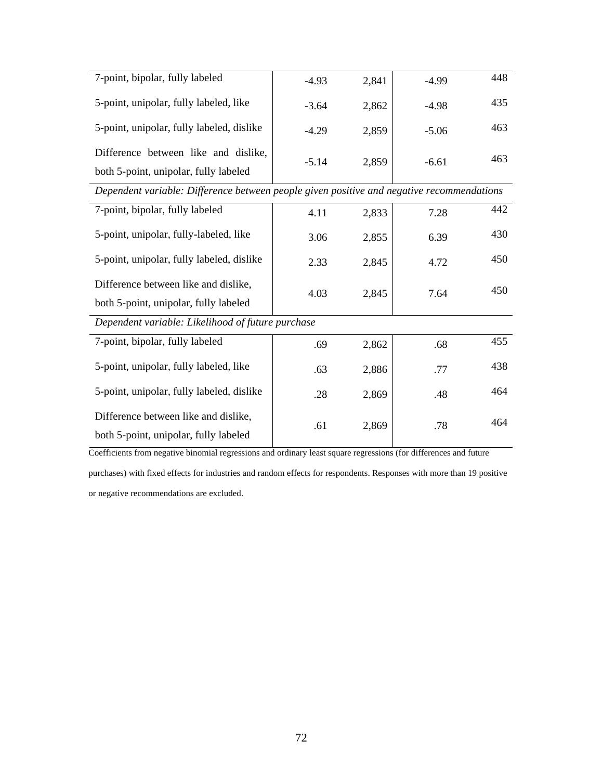| 7-point, bipolar, fully labeled           | $-4.93$ | 2,841 | $-4.99$ | 448 |
|-------------------------------------------|---------|-------|---------|-----|
| 5-point, unipolar, fully labeled, like    | $-3.64$ | 2,862 | $-4.98$ | 435 |
| 5-point, unipolar, fully labeled, dislike | $-4.29$ | 2,859 | $-5.06$ | 463 |
| Difference between like and dislike,      | $-5.14$ | 2,859 | $-6.61$ | 463 |
| both 5-point, unipolar, fully labeled     |         |       |         |     |

*Dependent variable: Difference between people given positive and negative recommendations* 

| 7-point, bipolar, fully labeled                                               | 4.11 | 2,833 | 7.28 | 442 |
|-------------------------------------------------------------------------------|------|-------|------|-----|
| 5-point, unipolar, fully-labeled, like                                        | 3.06 | 2,855 | 6.39 | 430 |
| 5-point, unipolar, fully labeled, dislike                                     | 2.33 | 2,845 | 4.72 | 450 |
| Difference between like and dislike,<br>both 5-point, unipolar, fully labeled | 4.03 | 2,845 | 7.64 | 450 |
| Dependent variable: Likelihood of future purchase                             |      |       |      |     |
| 7-point, bipolar, fully labeled                                               | .69  | 2,862 | .68  | 455 |
| 5-point, unipolar, fully labeled, like                                        | .63  | 2,886 | .77  | 438 |
| 5-point, unipolar, fully labeled, dislike                                     | .28  | 2,869 | .48  | 464 |
| Difference between like and dislike,<br>both 5-point, unipolar, fully labeled | .61  | 2,869 | .78  | 464 |

Coefficients from negative binomial regressions and ordinary least square regressions (for differences and future

purchases) with fixed effects for industries and random effects for respondents. Responses with more than 19 positive or negative recommendations are excluded.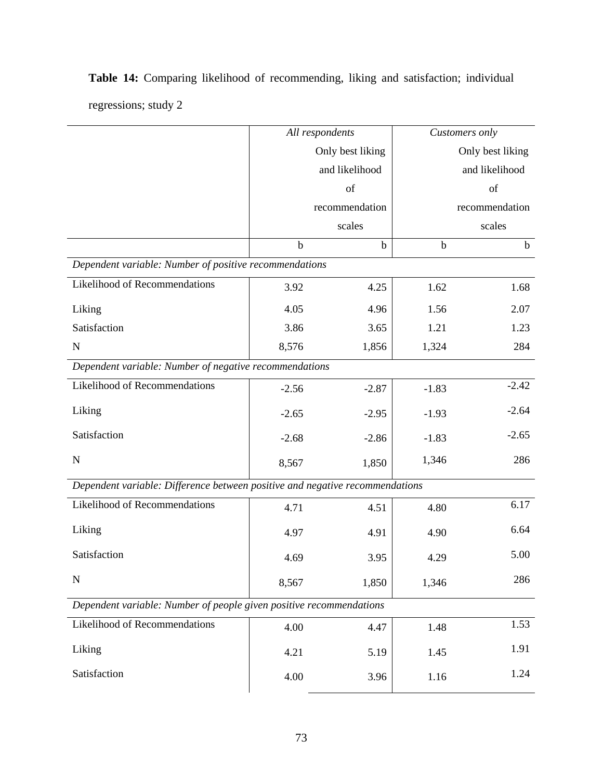|                                                                              | All respondents  |                |             | Customers only   |  |  |
|------------------------------------------------------------------------------|------------------|----------------|-------------|------------------|--|--|
|                                                                              | Only best liking |                |             | Only best liking |  |  |
|                                                                              |                  | and likelihood |             | and likelihood   |  |  |
|                                                                              |                  | of             |             | of               |  |  |
|                                                                              |                  | recommendation |             | recommendation   |  |  |
|                                                                              |                  | scales         |             | scales           |  |  |
|                                                                              | $\mathbf b$      | $\mathbf b$    | $\mathbf b$ | $\mathbf b$      |  |  |
| Dependent variable: Number of positive recommendations                       |                  |                |             |                  |  |  |
| Likelihood of Recommendations                                                | 3.92             | 4.25           | 1.62        | 1.68             |  |  |
| Liking                                                                       | 4.05             | 4.96           | 1.56        | 2.07             |  |  |
| Satisfaction                                                                 | 3.86             | 3.65           | 1.21        | 1.23             |  |  |
| $\mathbf N$                                                                  | 8,576            | 1,856          | 1,324       | 284              |  |  |
| Dependent variable: Number of negative recommendations                       |                  |                |             |                  |  |  |
| <b>Likelihood of Recommendations</b>                                         | $-2.56$          | $-2.87$        | $-1.83$     | $-2.42$          |  |  |
| Liking                                                                       | $-2.65$          | $-2.95$        | $-1.93$     | $-2.64$          |  |  |
| Satisfaction                                                                 | $-2.68$          | $-2.86$        | $-1.83$     | $-2.65$          |  |  |
| ${\bf N}$                                                                    | 8,567            | 1,850          | 1,346       | 286              |  |  |
| Dependent variable: Difference between positive and negative recommendations |                  |                |             |                  |  |  |
| Likelihood of Recommendations                                                | 4.71             | 4.51           | 4.80        | 6.17             |  |  |
| Liking                                                                       | 4.97             | 4.91           | 4.90        | 6.64             |  |  |
| Satisfaction                                                                 | 4.69             | 3.95           | 4.29        | 5.00             |  |  |
| $\mathbf N$                                                                  | 8,567            | 1,850          | 1,346       | 286              |  |  |
| Dependent variable: Number of people given positive recommendations          |                  |                |             |                  |  |  |
| <b>Likelihood of Recommendations</b>                                         | 4.00             | 4.47           | 1.48        | 1.53             |  |  |
| Liking                                                                       | 4.21             | 5.19           | 1.45        | 1.91             |  |  |
| Satisfaction                                                                 | 4.00             | 3.96           | 1.16        | 1.24             |  |  |
|                                                                              |                  |                |             |                  |  |  |

**Table 14:** Comparing likelihood of recommending, liking and satisfaction; individual regressions; study 2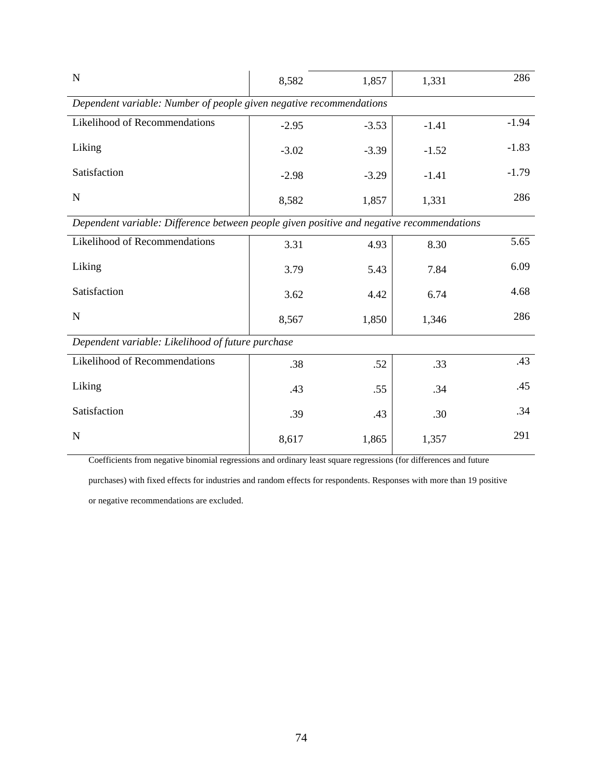| $\mathbf N$                                                                               | 8,582   | 1,857   | 1,331   | 286     |  |  |  |  |
|-------------------------------------------------------------------------------------------|---------|---------|---------|---------|--|--|--|--|
| Dependent variable: Number of people given negative recommendations                       |         |         |         |         |  |  |  |  |
| Likelihood of Recommendations                                                             | $-2.95$ | $-3.53$ | $-1.41$ | $-1.94$ |  |  |  |  |
| Liking                                                                                    | $-3.02$ | $-3.39$ | $-1.52$ | $-1.83$ |  |  |  |  |
| Satisfaction                                                                              | $-2.98$ | $-3.29$ | $-1.41$ | $-1.79$ |  |  |  |  |
| ${\bf N}$                                                                                 | 8,582   | 1,857   | 1,331   | 286     |  |  |  |  |
| Dependent variable: Difference between people given positive and negative recommendations |         |         |         |         |  |  |  |  |
| Likelihood of Recommendations                                                             | 3.31    | 4.93    | 8.30    | 5.65    |  |  |  |  |
| Liking                                                                                    | 3.79    | 5.43    | 7.84    | 6.09    |  |  |  |  |
| Satisfaction                                                                              | 3.62    | 4.42    | 6.74    | 4.68    |  |  |  |  |
| $\mathbf N$                                                                               | 8,567   | 1,850   | 1,346   | 286     |  |  |  |  |
| Dependent variable: Likelihood of future purchase                                         |         |         |         |         |  |  |  |  |
| Likelihood of Recommendations                                                             | .38     | .52     | .33     | .43     |  |  |  |  |
| Liking                                                                                    | .43     | .55     | .34     | .45     |  |  |  |  |
| Satisfaction                                                                              | .39     | .43     | .30     | .34     |  |  |  |  |
| $\mathbf N$                                                                               | 8,617   | 1,865   | 1,357   | 291     |  |  |  |  |

Coefficients from negative binomial regressions and ordinary least square regressions (for differences and future

purchases) with fixed effects for industries and random effects for respondents. Responses with more than 19 positive

or negative recommendations are excluded.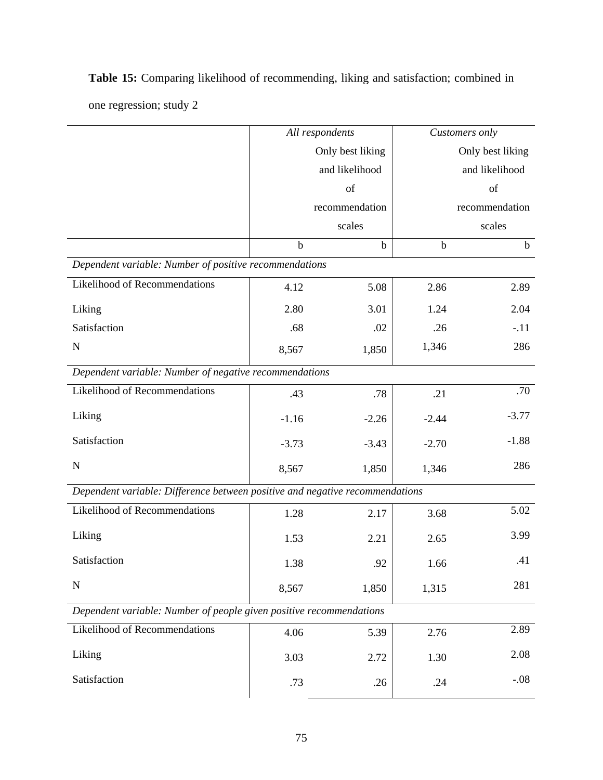|                                                                              | All respondents |                  |             | Customers only   |  |
|------------------------------------------------------------------------------|-----------------|------------------|-------------|------------------|--|
|                                                                              |                 | Only best liking |             | Only best liking |  |
|                                                                              |                 | and likelihood   |             | and likelihood   |  |
|                                                                              |                 | of               |             | of               |  |
|                                                                              |                 | recommendation   |             | recommendation   |  |
|                                                                              |                 | scales           |             | scales           |  |
|                                                                              | $\mathbf b$     | $\mathbf b$      | $\mathbf b$ | $\mathbf b$      |  |
| Dependent variable: Number of positive recommendations                       |                 |                  |             |                  |  |
| Likelihood of Recommendations                                                | 4.12            | 5.08             | 2.86        | 2.89             |  |
| Liking                                                                       | 2.80            | 3.01             | 1.24        | 2.04             |  |
| Satisfaction                                                                 | .68             | .02              | .26         | $-.11$           |  |
| $\mathbf N$                                                                  | 8,567           | 1,850            | 1,346       | 286              |  |
| Dependent variable: Number of negative recommendations                       |                 |                  |             |                  |  |
| <b>Likelihood of Recommendations</b>                                         | .43             | .78              | .21         | .70              |  |
| Liking                                                                       | $-1.16$         | $-2.26$          | $-2.44$     | $-3.77$          |  |
| Satisfaction                                                                 | $-3.73$         | $-3.43$          | $-2.70$     | $-1.88$          |  |
| $\mathbf N$                                                                  | 8,567           | 1,850            | 1,346       | 286              |  |
| Dependent variable: Difference between positive and negative recommendations |                 |                  |             |                  |  |
| <b>Likelihood of Recommendations</b>                                         | 1.28            | 2.17             | 3.68        | 5.02             |  |
| Liking                                                                       | 1.53            | 2.21             | 2.65        | 3.99             |  |
| Satisfaction                                                                 | 1.38            | .92              | 1.66        | .41              |  |
| $\mathbf N$                                                                  | 8,567           | 1,850            | 1,315       | 281              |  |
| Dependent variable: Number of people given positive recommendations          |                 |                  |             |                  |  |
| Likelihood of Recommendations                                                | 4.06            | 5.39             | 2.76        | 2.89             |  |
| Liking                                                                       | 3.03            | 2.72             | 1.30        | 2.08             |  |
| Satisfaction                                                                 | .73             | .26              | .24         | $-.08$           |  |
|                                                                              |                 |                  |             |                  |  |

**Table 15:** Comparing likelihood of recommending, liking and satisfaction; combined in one regression; study 2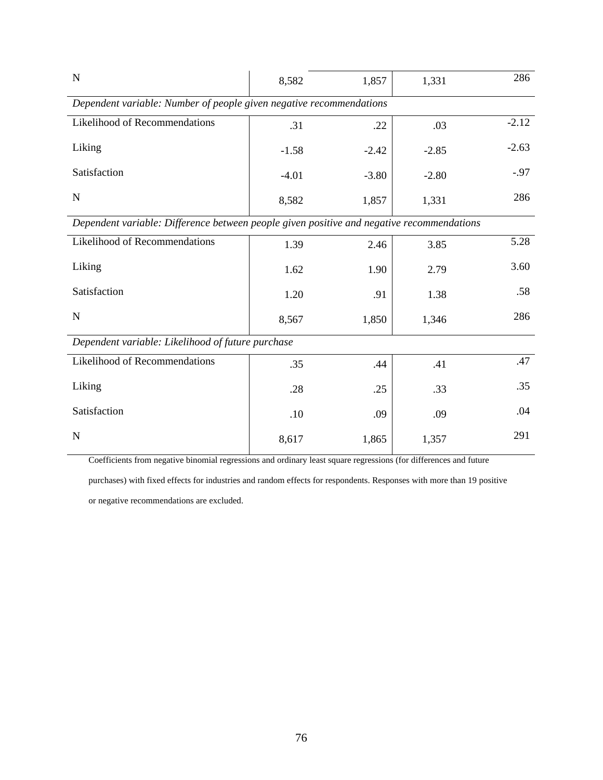| $\mathbf N$                                                                               | 8,582   | 1,857   | 1,331   | 286     |  |  |  |  |
|-------------------------------------------------------------------------------------------|---------|---------|---------|---------|--|--|--|--|
| Dependent variable: Number of people given negative recommendations                       |         |         |         |         |  |  |  |  |
| Likelihood of Recommendations                                                             | .31     | .22     | .03     | $-2.12$ |  |  |  |  |
| Liking                                                                                    | $-1.58$ | $-2.42$ | $-2.85$ | $-2.63$ |  |  |  |  |
| Satisfaction                                                                              | $-4.01$ | $-3.80$ | $-2.80$ | $-.97$  |  |  |  |  |
| $\mathbf N$                                                                               | 8,582   | 1,857   | 1,331   | 286     |  |  |  |  |
| Dependent variable: Difference between people given positive and negative recommendations |         |         |         |         |  |  |  |  |
| Likelihood of Recommendations                                                             | 1.39    | 2.46    | 3.85    | 5.28    |  |  |  |  |
| Liking                                                                                    | 1.62    | 1.90    | 2.79    | 3.60    |  |  |  |  |
| Satisfaction                                                                              | 1.20    | .91     | 1.38    | .58     |  |  |  |  |
| $\mathbf N$                                                                               | 8,567   | 1,850   | 1,346   | 286     |  |  |  |  |
| Dependent variable: Likelihood of future purchase                                         |         |         |         |         |  |  |  |  |
| Likelihood of Recommendations                                                             | .35     | .44     | .41     | .47     |  |  |  |  |
| Liking                                                                                    | .28     | .25     | .33     | .35     |  |  |  |  |
| Satisfaction                                                                              | .10     | .09     | .09     | .04     |  |  |  |  |
| $\mathbf N$                                                                               | 8,617   | 1,865   | 1,357   | 291     |  |  |  |  |

Coefficients from negative binomial regressions and ordinary least square regressions (for differences and future

purchases) with fixed effects for industries and random effects for respondents. Responses with more than 19 positive

or negative recommendations are excluded.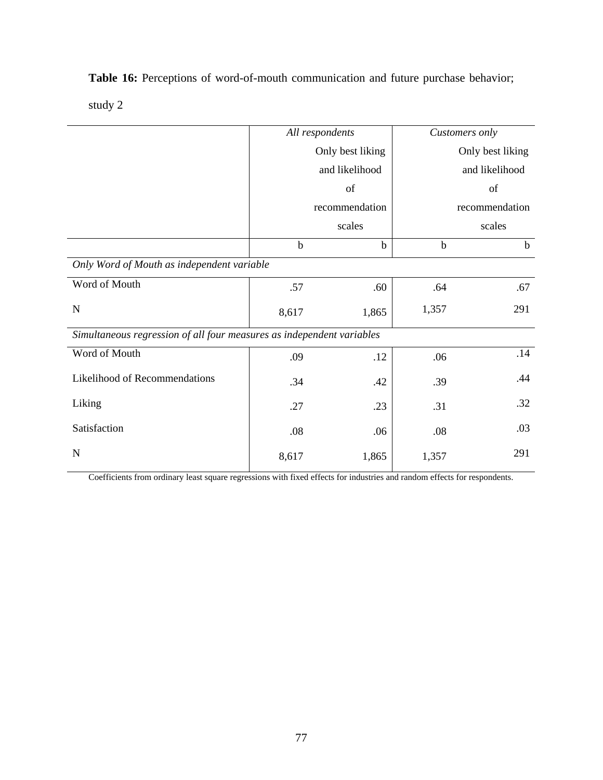**Table 16:** Perceptions of word-of-mouth communication and future purchase behavior;

study 2

|                                                                       |                  | All respondents | Customers only |                  |
|-----------------------------------------------------------------------|------------------|-----------------|----------------|------------------|
|                                                                       | Only best liking |                 |                | Only best liking |
|                                                                       |                  | and likelihood  |                | and likelihood   |
|                                                                       |                  | of              |                | of               |
|                                                                       |                  | recommendation  |                | recommendation   |
|                                                                       |                  | scales          |                | scales           |
|                                                                       | $\mathbf b$      | $\mathbf b$     | $\mathbf b$    | $\mathbf b$      |
| Only Word of Mouth as independent variable                            |                  |                 |                |                  |
| Word of Mouth                                                         | .57              | .60             | .64            | .67              |
| $\mathbf N$                                                           | 8,617            | 1,865           | 1,357          | 291              |
| Simultaneous regression of all four measures as independent variables |                  |                 |                |                  |
| Word of Mouth                                                         | .09              | .12             | .06            | .14              |
| Likelihood of Recommendations                                         | .34              | .42             | .39            | .44              |
| Liking                                                                | .27              | .23             | .31            | .32              |
| Satisfaction                                                          | .08              | .06             | .08            | .03              |
| $\mathbf N$                                                           | 8,617            | 1,865           | 1,357          | 291              |

Coefficients from ordinary least square regressions with fixed effects for industries and random effects for respondents.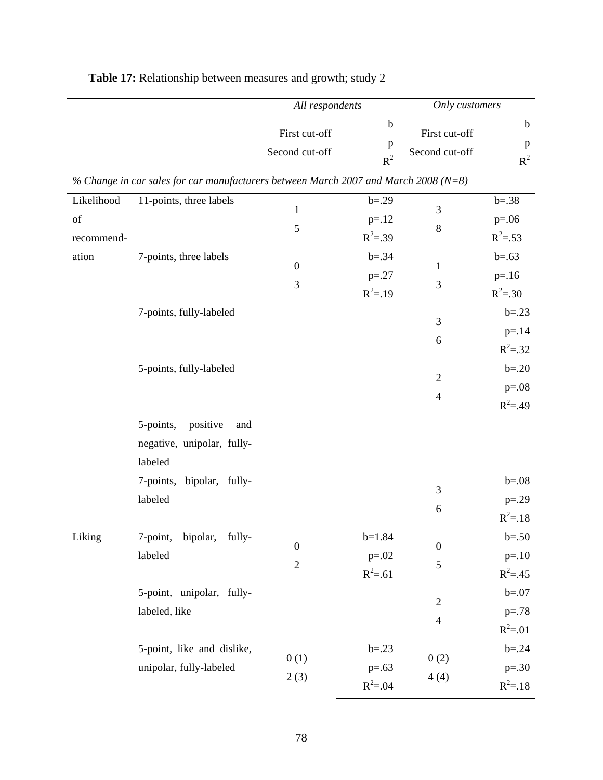|            |                                                                                         | All respondents                 |                           | Only customers                  |                           |
|------------|-----------------------------------------------------------------------------------------|---------------------------------|---------------------------|---------------------------------|---------------------------|
|            |                                                                                         | First cut-off<br>Second cut-off | $\mathbf b$<br>p<br>$R^2$ | First cut-off<br>Second cut-off | $\mathbf b$<br>p<br>$R^2$ |
|            | % Change in car sales for car manufacturers between March 2007 and March 2008 ( $N=8$ ) |                                 |                           |                                 |                           |
| Likelihood | 11-points, three labels                                                                 | $\mathbf{1}$                    | $b = .29$                 | 3                               | $b = .38$                 |
| of         |                                                                                         | $\mathfrak{S}$                  | $p = 12$                  | $8\,$                           | $p=.06$                   |
| recommend- |                                                                                         |                                 | $R^2 = .39$               |                                 | $R^2 = .53$               |
| ation      | 7-points, three labels                                                                  | $\boldsymbol{0}$                | $b = .34$                 | $\mathbf{1}$                    | $b = .63$                 |
|            |                                                                                         | $\mathfrak{Z}$                  | $p = 0.27$                | 3                               | $p = 16$                  |
|            |                                                                                         |                                 | $R^2 = .19$               |                                 | $R^2 = .30$               |
|            | 7-points, fully-labeled                                                                 |                                 |                           | $\mathfrak{Z}$                  | $b = .23$                 |
|            |                                                                                         |                                 |                           | $\sqrt{6}$                      | $p = .14$                 |
|            |                                                                                         |                                 |                           |                                 | $R^2 = .32$               |
|            | 5-points, fully-labeled                                                                 |                                 |                           | $\mathfrak{2}$                  | $b = .20$                 |
|            |                                                                                         |                                 |                           | $\overline{4}$                  | $p=.08$                   |
|            |                                                                                         |                                 |                           |                                 | $R^2 = .49$               |
|            | 5-points,<br>positive<br>and                                                            |                                 |                           |                                 |                           |
|            | negative, unipolar, fully-                                                              |                                 |                           |                                 |                           |
|            | labeled                                                                                 |                                 |                           |                                 |                           |
|            | 7-points, bipolar, fully-<br>labeled                                                    |                                 |                           | $\mathfrak{Z}$                  | $b = 0.08$                |
|            |                                                                                         |                                 |                           | $\sqrt{6}$                      | $p=.29$<br>$R^2 = .18$    |
| Liking     | 7-point, bipolar, fully-                                                                |                                 | $b=1.84$                  |                                 | $b = .50$                 |
|            | labeled                                                                                 | $\boldsymbol{0}$                | $p=.02$                   | $\boldsymbol{0}$                | $p = 10$                  |
|            |                                                                                         | $\mathbf{2}$                    | $R^2 = .61$               | 5                               | $R^2 = .45$               |
|            | 5-point, unipolar, fully-                                                               |                                 |                           |                                 | $b = 07$                  |
|            | labeled, like                                                                           |                                 |                           | $\overline{2}$                  | $p=.78$                   |
|            |                                                                                         |                                 |                           | $\overline{4}$                  | $R^2 = 01$                |
|            | 5-point, like and dislike,                                                              |                                 | $b = .23$                 |                                 | $b = .24$                 |
|            | unipolar, fully-labeled                                                                 | 0(1)                            | $p=.63$                   | 0(2)                            | $p=.30$                   |
|            |                                                                                         | 2(3)                            | $R^2 = .04$               | 4(4)                            | $R^2 = .18$               |

| <b>Table 17:</b> Relationship between measures and growth; study 2 |
|--------------------------------------------------------------------|
|--------------------------------------------------------------------|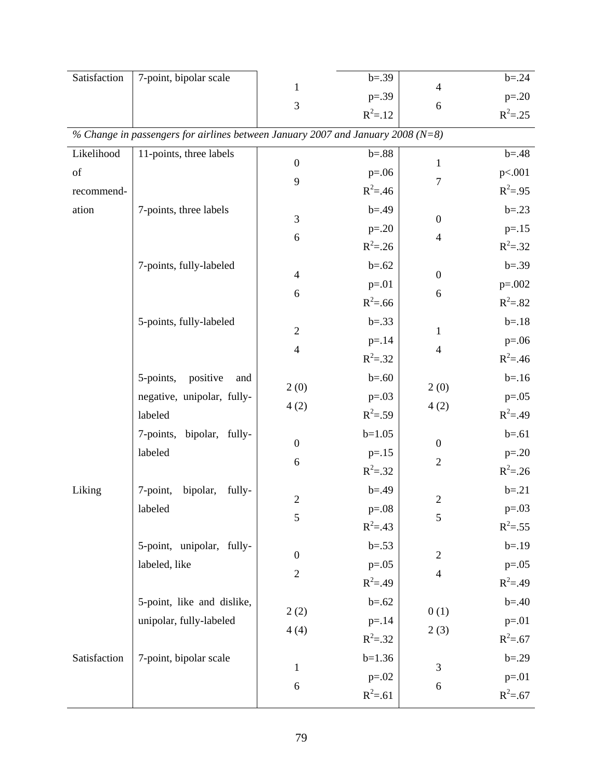| Satisfaction | 7-point, bipolar scale                                                              |                  | $b = .39$   |                          | $b = .24$   |
|--------------|-------------------------------------------------------------------------------------|------------------|-------------|--------------------------|-------------|
|              |                                                                                     | 1                | $p = .39$   | $\overline{4}$           | $p=.20$     |
|              |                                                                                     | 3                | $R^2 = .12$ | 6                        | $R^2 = .25$ |
|              | % Change in passengers for airlines between January 2007 and January 2008 ( $N=8$ ) |                  |             |                          |             |
| Likelihood   | 11-points, three labels                                                             | $\boldsymbol{0}$ | $b = 88$    | $\mathbf{1}$             | $b = .48$   |
| of           |                                                                                     | 9                | $p=.06$     | 7                        | p<.001      |
| recommend-   |                                                                                     |                  | $R^2 = .46$ |                          | $R^2 = .95$ |
| ation        | 7-points, three labels                                                              | 3                | $b = .49$   | $\boldsymbol{0}$         | $b = .23$   |
|              |                                                                                     | 6                | $p=.20$     | $\overline{\mathcal{L}}$ | $p = 15$    |
|              |                                                                                     |                  | $R^2 = .26$ |                          | $R^2 = .32$ |
|              | 7-points, fully-labeled                                                             | $\overline{4}$   | $b = .62$   | $\boldsymbol{0}$         | $b = .39$   |
|              |                                                                                     | 6                | $p = 01$    | 6                        | $p=.002$    |
|              |                                                                                     |                  | $R^2 = .66$ |                          | $R^2 = .82$ |
|              | 5-points, fully-labeled                                                             | $\sqrt{2}$       | $b = .33$   |                          | $b = .18$   |
|              |                                                                                     |                  | $p = 14$    | $\mathbf{1}$             | $p=.06$     |
|              |                                                                                     | $\overline{4}$   | $R^2 = .32$ | $\overline{\mathcal{L}}$ | $R^2 = .46$ |
|              | 5-points,<br>positive<br>and                                                        |                  | $b = .60$   |                          | $b = 16$    |
|              | negative, unipolar, fully-                                                          | 2(0)             | $p = 0.03$  | 2(0)                     | $p=.05$     |
|              | labeled                                                                             | 4(2)             | $R^2 = .59$ | 4(2)                     | $R^2 = .49$ |
|              | 7-points, bipolar, fully-                                                           |                  | $b=1.05$    |                          | $b = .61$   |
|              | labeled                                                                             | $\boldsymbol{0}$ | $p = 15$    | $\boldsymbol{0}$         | $p=.20$     |
|              |                                                                                     | 6                | $R^2 = .32$ | $\sqrt{2}$               | $R^2 = .26$ |
| Liking       | 7-point,<br>bipolar,<br>fully-                                                      |                  | $b = .49$   |                          | $b = .21$   |
|              | labeled                                                                             | $\sqrt{2}$       | $p=.08$     | $\overline{2}$           | $p=.03$     |
|              |                                                                                     | 5                | $R^2 = .43$ | $\mathfrak{S}$           | $R^2 = .55$ |
|              | 5-point, unipolar, fully-                                                           |                  | $b = .53$   |                          | $b = .19$   |
|              | labeled, like                                                                       | $\boldsymbol{0}$ | $p=.05$     | $\mathbf{2}$             | $p=.05$     |
|              |                                                                                     | $\sqrt{2}$       | $R^2 = .49$ | $\overline{\mathcal{L}}$ | $R^2 = .49$ |
|              | 5-point, like and dislike,                                                          |                  | $b = .62$   |                          | $b = .40$   |
|              | unipolar, fully-labeled                                                             | 2(2)             | $p = 14$    | 0(1)                     | $p = 01$    |
|              |                                                                                     | 4(4)             | $R^2 = .32$ | 2(3)                     | $R^2 = .67$ |
| Satisfaction | 7-point, bipolar scale                                                              |                  | $b=1.36$    |                          | $b = .29$   |
|              |                                                                                     | $\mathbf{1}$     | $p=.02$     | 3                        | $p = 01$    |
|              |                                                                                     | 6                | $R^2 = .61$ | 6                        | $R^2 = .67$ |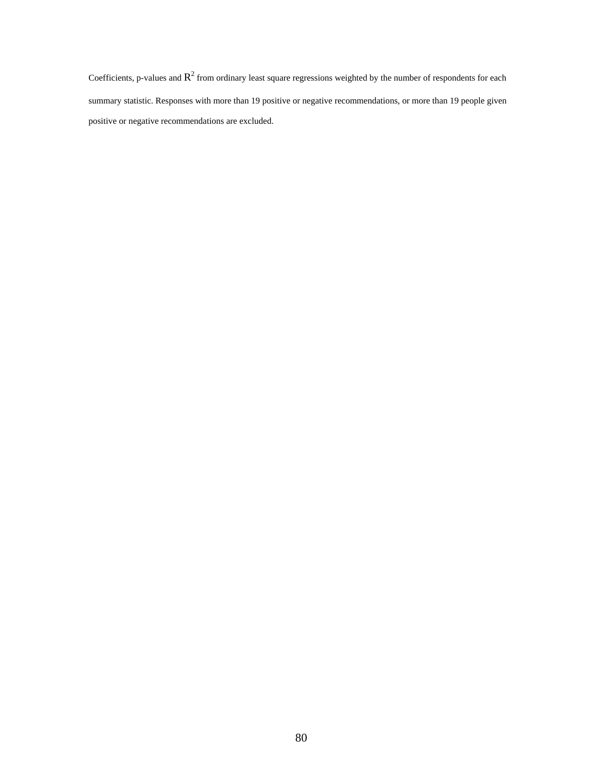Coefficients, p-values and  $R^2$  from ordinary least square regressions weighted by the number of respondents for each summary statistic. Responses with more than 19 positive or negative recommendations, or more than 19 people given positive or negative recommendations are excluded.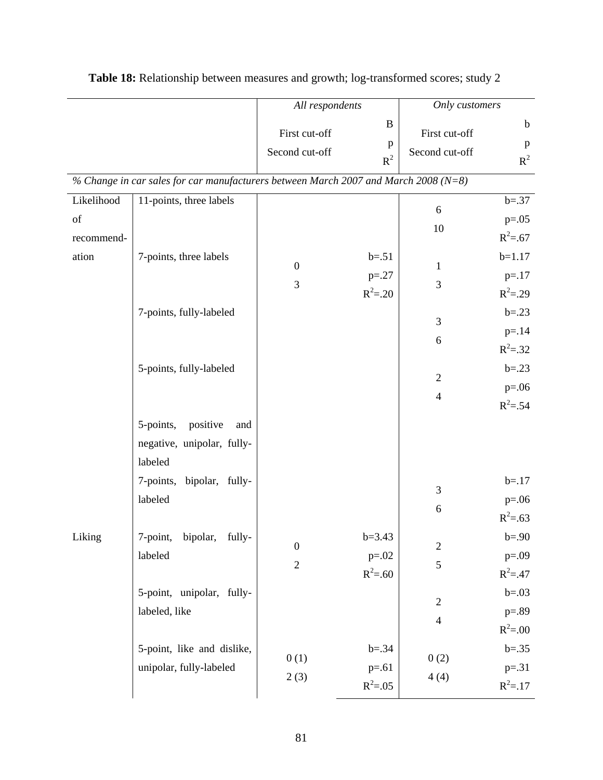|                                         |                                                                                         | All respondents                    |                                       | Only customers                     |                                                 |
|-----------------------------------------|-----------------------------------------------------------------------------------------|------------------------------------|---------------------------------------|------------------------------------|-------------------------------------------------|
|                                         |                                                                                         | First cut-off<br>Second cut-off    | $\bf{B}$<br>p<br>$R^2$                | First cut-off<br>Second cut-off    | $\mathbf b$<br>$\mathbf{p}$<br>$R^2$            |
|                                         | % Change in car sales for car manufacturers between March 2007 and March 2008 ( $N=8$ ) |                                    |                                       |                                    |                                                 |
| Likelihood<br>of<br>recommend-<br>ation | 11-points, three labels<br>7-points, three labels                                       |                                    | $b = .51$                             | 6<br>10                            | $b = .37$<br>$p=.05$<br>$R^2 = .67$<br>$b=1.17$ |
|                                         |                                                                                         | $\boldsymbol{0}$<br>$\mathfrak{Z}$ | $p = 0.27$<br>$R^2 = .20$             | $\mathbf{1}$<br>$\mathfrak{Z}$     | $p = 17$<br>$R^2 = .29$                         |
|                                         | 7-points, fully-labeled                                                                 |                                    |                                       | $\mathfrak{Z}$<br>$\boldsymbol{6}$ | $b = .23$<br>$p = 14$<br>$R^2 = .32$            |
|                                         | 5-points, fully-labeled                                                                 |                                    |                                       | $\sqrt{2}$<br>$\overline{4}$       | $b = .23$<br>$p=.06$<br>$R^2 = .54$             |
|                                         | 5-points,<br>positive<br>and<br>negative, unipolar, fully-<br>labeled                   |                                    |                                       |                                    |                                                 |
|                                         | 7-points, bipolar, fully-<br>labeled                                                    |                                    |                                       | $\mathfrak{Z}$<br>$\sqrt{6}$       | $b = .17$<br>$p=.06$<br>$R^2 = .63$             |
| Liking                                  | 7-point, bipolar, fully-<br>labeled                                                     | $\boldsymbol{0}$<br>$\mathbf{2}$   | $b=3.43$<br>$p=.02$<br>$R^2 = .60$    | $\sqrt{2}$<br>5                    | $b = .90$<br>$p=.09$<br>$R^2 = .47$             |
|                                         | 5-point, unipolar, fully-<br>labeled, like                                              |                                    |                                       | $\mathfrak{2}$<br>$\overline{4}$   | $b = .03$<br>$p = .89$<br>$R^2 = .00$           |
|                                         | 5-point, like and dislike,<br>unipolar, fully-labeled                                   | 0(1)<br>2(3)                       | $b = .34$<br>$p = .61$<br>$R^2 = .05$ | 0(2)<br>4(4)                       | $b = .35$<br>$p=.31$<br>$R^2 = .17$             |

| Table 18: Relationship between measures and growth; log-transformed scores; study 2 |  |  |
|-------------------------------------------------------------------------------------|--|--|
|-------------------------------------------------------------------------------------|--|--|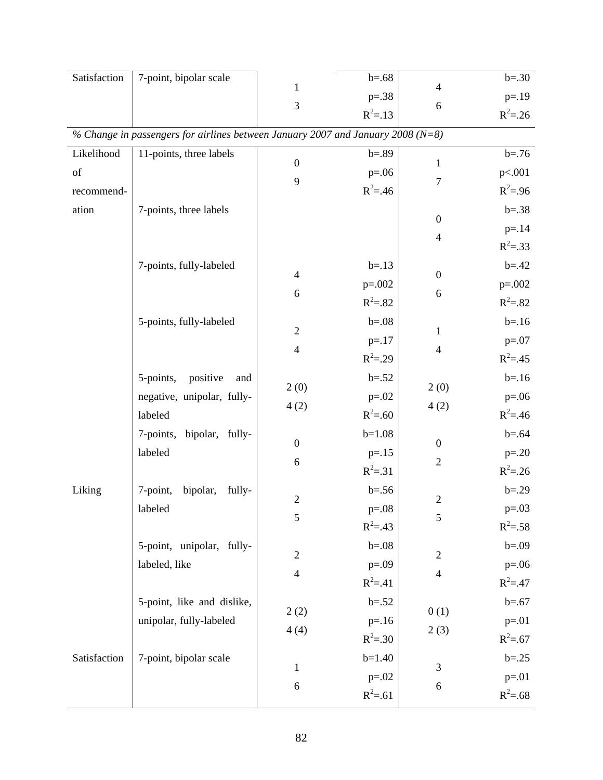| Satisfaction | 7-point, bipolar scale                                                              |                  | $b = .68$   | $\overline{4}$   | $b = .30$   |
|--------------|-------------------------------------------------------------------------------------|------------------|-------------|------------------|-------------|
|              |                                                                                     | 1                | $p=.38$     |                  | $p = .19$   |
|              |                                                                                     | $\mathfrak{Z}$   | $R^2 = .13$ | 6                | $R^2 = 26$  |
|              | % Change in passengers for airlines between January 2007 and January 2008 ( $N=8$ ) |                  |             |                  |             |
| Likelihood   | 11-points, three labels                                                             | $\boldsymbol{0}$ | $b = .89$   | $\mathbf{1}$     | $b = .76$   |
| of           |                                                                                     | 9                | $p=.06$     | $\tau$           | p<.001      |
| recommend-   |                                                                                     |                  | $R^2 = .46$ |                  | $R^2 = .96$ |
| ation        | 7-points, three labels                                                              |                  |             | $\boldsymbol{0}$ | $b = .38$   |
|              |                                                                                     |                  |             | $\overline{4}$   | $p = 14$    |
|              |                                                                                     |                  |             |                  | $R^2 = .33$ |
|              | 7-points, fully-labeled                                                             | $\overline{4}$   | $b = .13$   | $\boldsymbol{0}$ | $b = .42$   |
|              |                                                                                     | 6                | $p=.002$    | 6                | $p=.002$    |
|              |                                                                                     |                  | $R^2 = .82$ |                  | $R^2 = .82$ |
|              | 5-points, fully-labeled                                                             | $\sqrt{2}$       | $b = 0.08$  | 1                | $b = 16$    |
|              |                                                                                     | $\overline{4}$   | $p = 17$    | $\overline{4}$   | $p=.07$     |
|              |                                                                                     |                  | $R^2 = .29$ |                  | $R^2 = .45$ |
|              | 5-points,<br>positive<br>and                                                        | 2(0)             | $b = .52$   | 2(0)             | $b = 16$    |
|              | negative, unipolar, fully-                                                          | 4(2)             | $p=.02$     | 4(2)             | $p=.06$     |
|              | labeled                                                                             |                  | $R^2 = .60$ |                  | $R^2 = .46$ |
|              | 7-points, bipolar, fully-                                                           | $\boldsymbol{0}$ | $b=1.08$    | $\boldsymbol{0}$ | $b = .64$   |
|              | labeled                                                                             | 6                | $p = 15$    | $\overline{2}$   | $p=.20$     |
|              |                                                                                     |                  | $R^2 = .31$ |                  | $R^2 = .26$ |
| Liking       | 7-point,<br>bipolar,<br>fully-                                                      | $\sqrt{2}$       | $b = 0.56$  | $\overline{2}$   | $b = .29$   |
|              | labeled                                                                             | 5                | $p=.08$     | 5                | $p=.03$     |
|              |                                                                                     |                  | $R^2 = .43$ |                  | $R^2 = .58$ |
|              | 5-point, unipolar, fully-                                                           | $\overline{2}$   | $b=.08$     | $\overline{2}$   | $b = .09$   |
|              | labeled, like                                                                       | $\overline{4}$   | $p=.09$     | $\overline{4}$   | $p=.06$     |
|              |                                                                                     |                  | $R^2 = .41$ |                  | $R^2 = .47$ |
|              | 5-point, like and dislike,                                                          | 2(2)             | $b = .52$   | 0(1)             | $b = .67$   |
|              | unipolar, fully-labeled                                                             | 4(4)             | $p = 16$    | 2(3)             | $p = 01$    |
|              |                                                                                     |                  | $R^2 = .30$ |                  | $R^2 = .67$ |
| Satisfaction | 7-point, bipolar scale                                                              | $\mathbf 1$      | $b=1.40$    | 3                | $b = .25$   |
|              |                                                                                     | 6                | $p=.02$     | 6                | $p = 01$    |
|              |                                                                                     |                  | $R^2 = .61$ |                  | $R^2 = .68$ |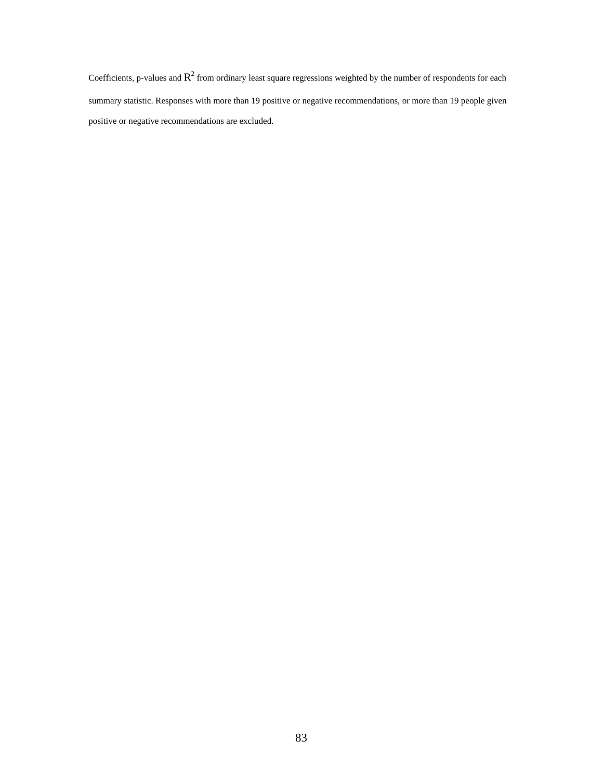Coefficients, p-values and  $R^2$  from ordinary least square regressions weighted by the number of respondents for each summary statistic. Responses with more than 19 positive or negative recommendations, or more than 19 people given positive or negative recommendations are excluded.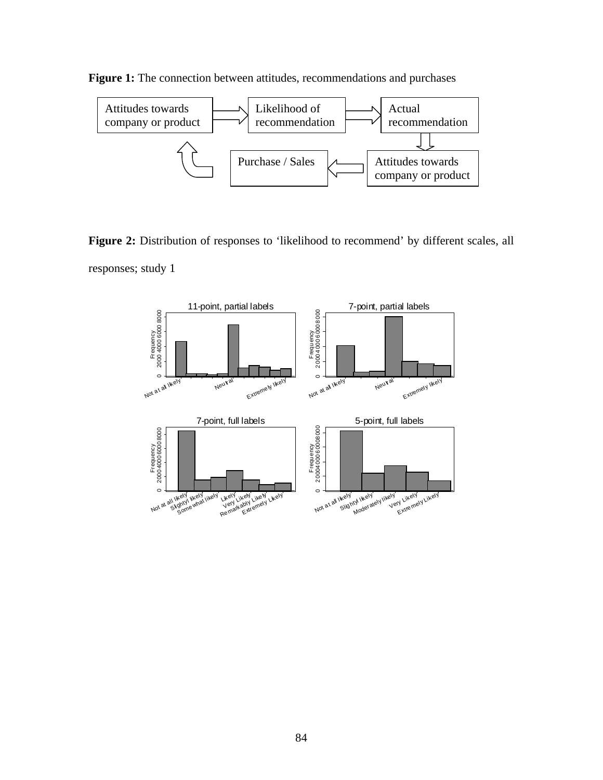

Figure 1: The connection between attitudes, recommendations and purchases

Figure 2: Distribution of responses to 'likelihood to recommend' by different scales, all responses; study 1

company or product

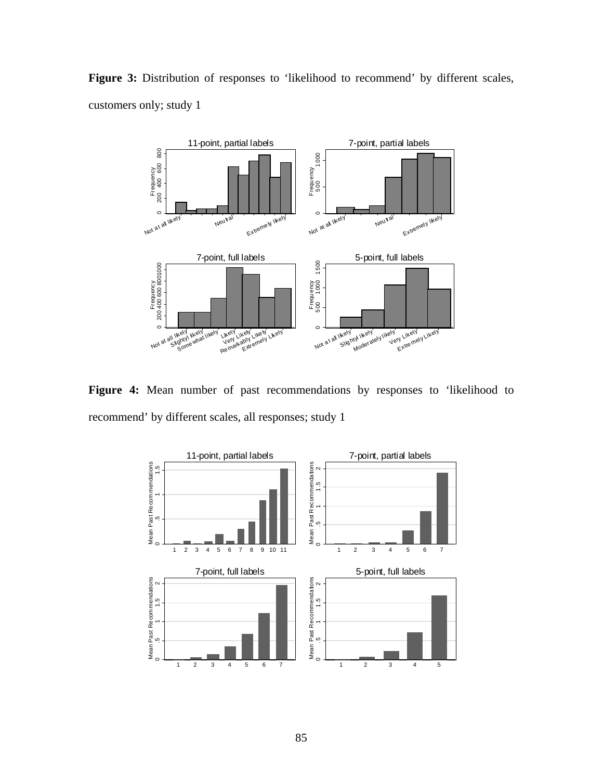

Figure 3: Distribution of responses to 'likelihood to recommend' by different scales, customers only; study 1

Figure 4: Mean number of past recommendations by responses to 'likelihood to recommend' by different scales, all responses; study 1

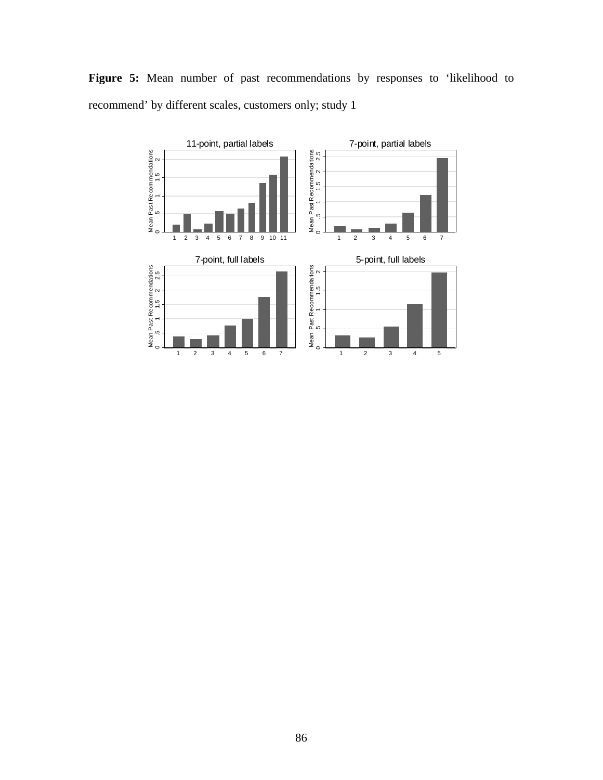

Figure 5: Mean number of past recommendations by responses to 'likelihood to recommend' by different scales, customers only; study 1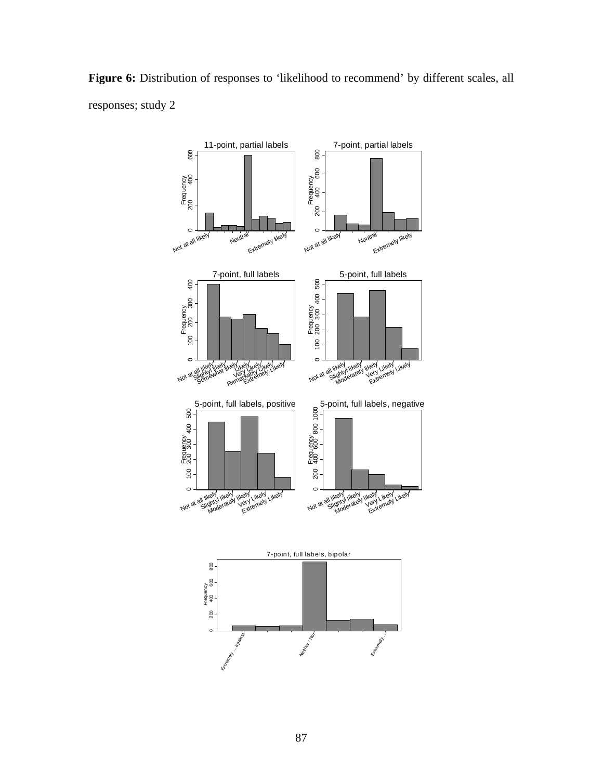

Figure 6: Distribution of responses to 'likelihood to recommend' by different scales, all responses; study 2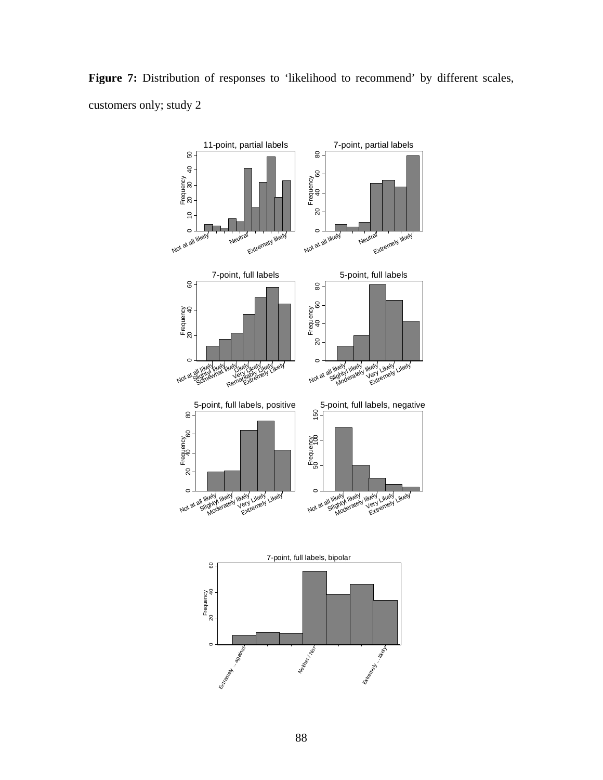

Figure 7: Distribution of responses to 'likelihood to recommend' by different scales, customers only; study 2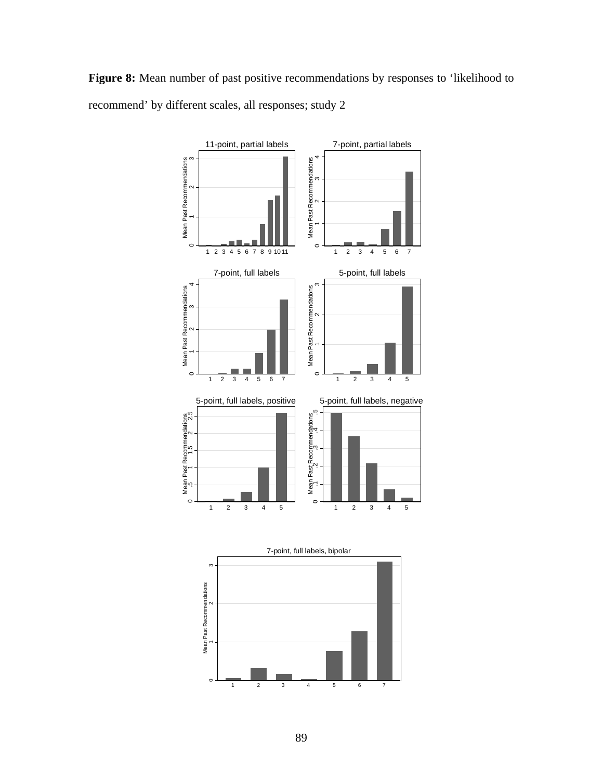Figure 8: Mean number of past positive recommendations by responses to 'likelihood to recommend' by different scales, all responses; study 2

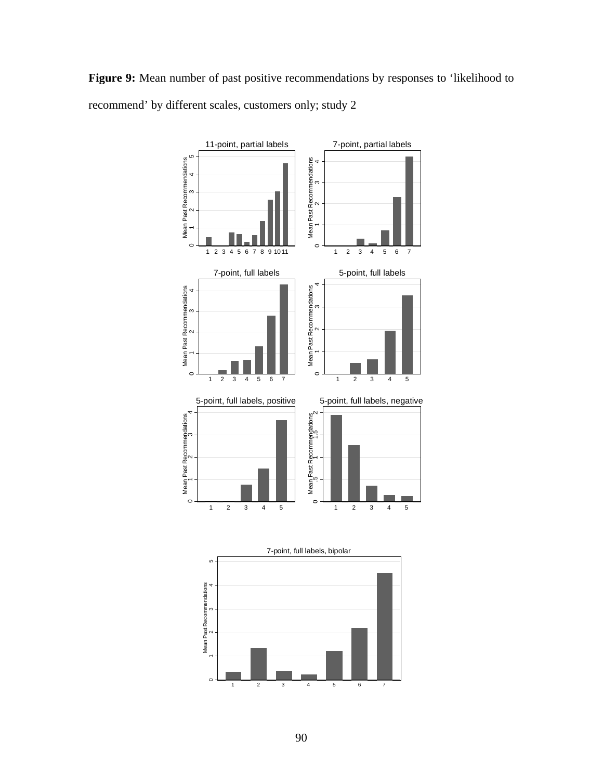Figure 9: Mean number of past positive recommendations by responses to 'likelihood to recommend' by different scales, customers only; study 2

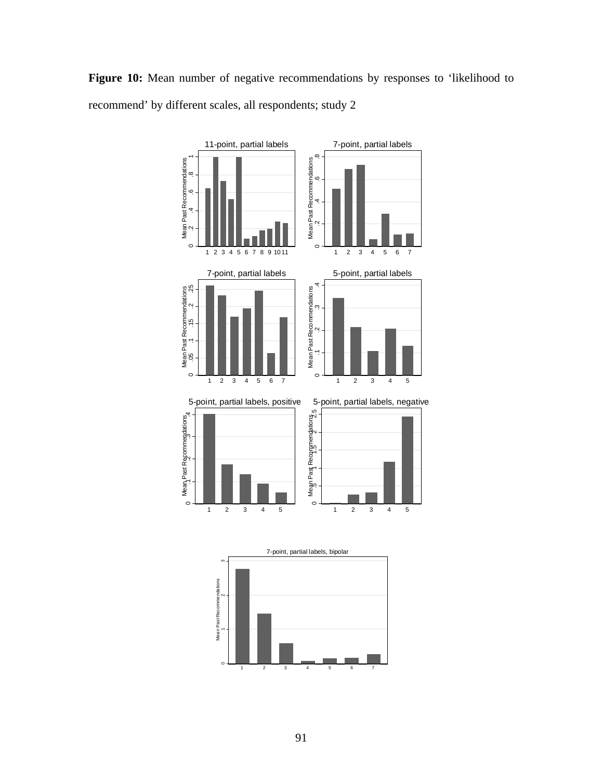Figure 10: Mean number of negative recommendations by responses to 'likelihood to recommend' by different scales, all respondents; study 2



1 23 4 5 67

 $\circ$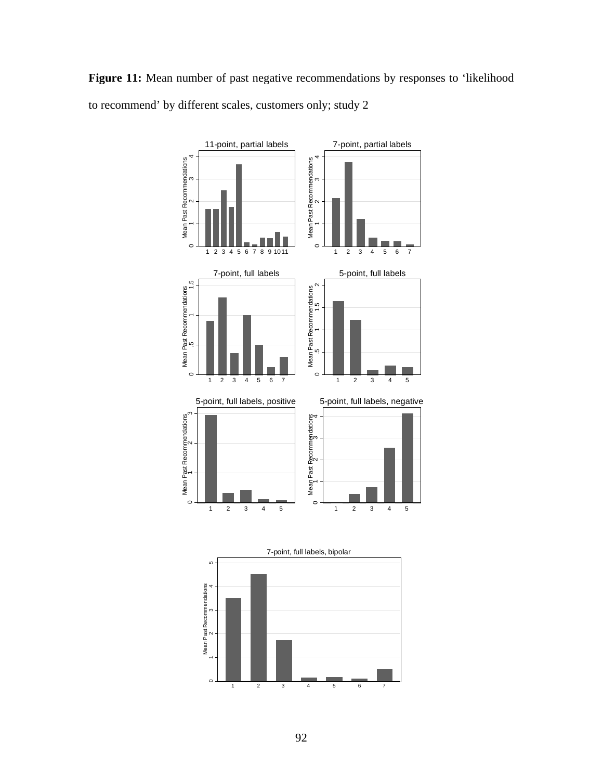Figure 11: Mean number of past negative recommendations by responses to 'likelihood to recommend' by different scales, customers only; study 2



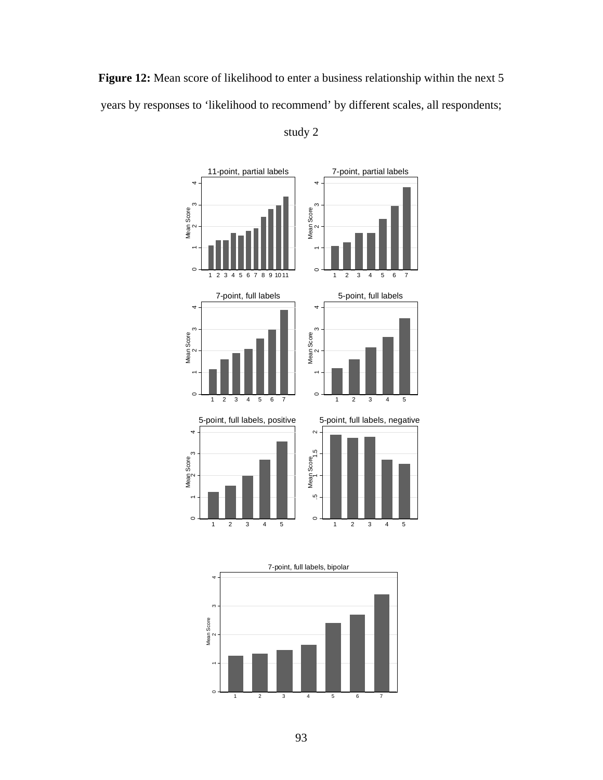Figure 12: Mean score of likelihood to enter a business relationship within the next 5 years by responses to 'likelihood to recommend' by different scales, all respondents;



study 2